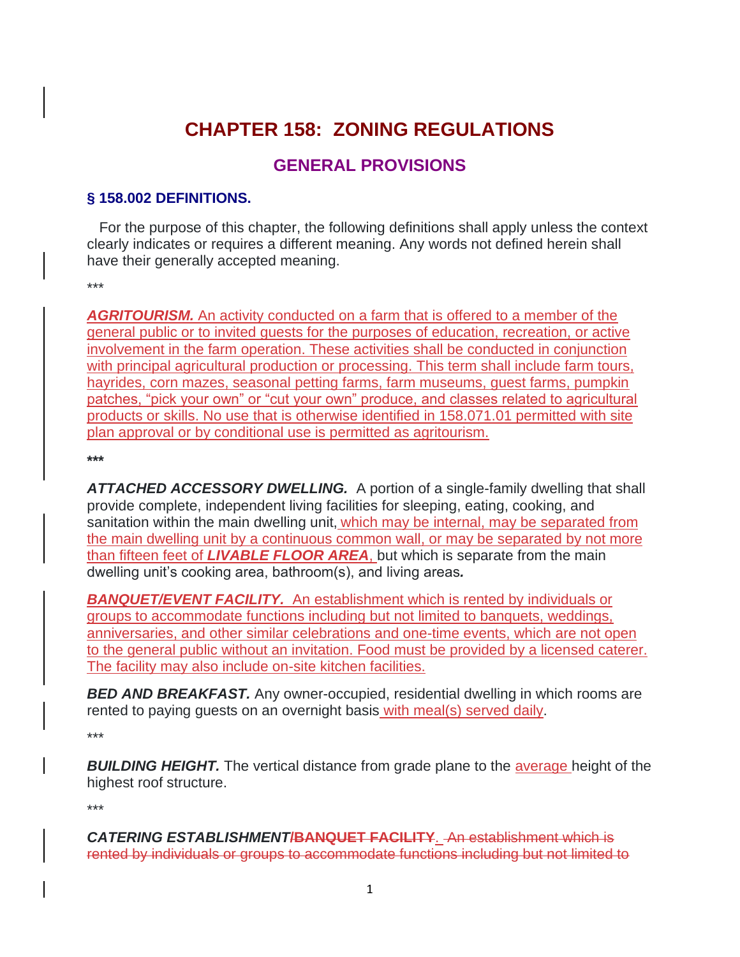# **CHAPTER 158: ZONING REGULATIONS**

# **GENERAL PROVISIONS**

#### **§ 158.002 DEFINITIONS.**

 For the purpose of this chapter, the following definitions shall apply unless the context clearly indicates or requires a different meaning. Any words not defined herein shall have their generally accepted meaning.

\*\*\*

*AGRITOURISM.* An activity conducted on a farm that is offered to a member of the general public or to invited guests for the purposes of education, recreation, or active involvement in the farm operation. These activities shall be conducted in conjunction with principal agricultural production or processing. This term shall include farm tours, hayrides, corn mazes, seasonal petting farms, farm museums, guest farms, pumpkin patches, "pick your own" or "cut your own" produce, and classes related to agricultural products or skills. No use that is otherwise identified in 158.071.01 permitted with site plan approval or by conditional use is permitted as agritourism.

**\*\*\***

*ATTACHED ACCESSORY DWELLING.* A portion of a single-family dwelling that shall provide complete, independent living facilities for sleeping, eating, cooking, and sanitation within the main dwelling unit, which may be internal, may be separated from the main dwelling unit by a continuous common wall, or may be separated by not more than fifteen feet of *LIVABLE FLOOR AREA*, but which is separate from the main dwelling unit's cooking area, bathroom(s), and living areas*.*

*BANQUET/EVENT FACILITY.* An establishment which is rented by individuals or groups to accommodate functions including but not limited to banquets, weddings, anniversaries, and other similar celebrations and one-time events, which are not open to the general public without an invitation. Food must be provided by a licensed caterer. The facility may also include on-site kitchen facilities.

*BED AND BREAKFAST.* Any owner-occupied, residential dwelling in which rooms are rented to paying guests on an overnight basis with meal(s) served daily.

\*\*\*

**BUILDING HEIGHT.** The vertical distance from grade plane to the average height of the highest roof structure.

\*\*\*

*CATERING ESTABLISHMENT***/BANQUET FACILITY**. An establishment which is rented by individuals or groups to accommodate functions including but not limited to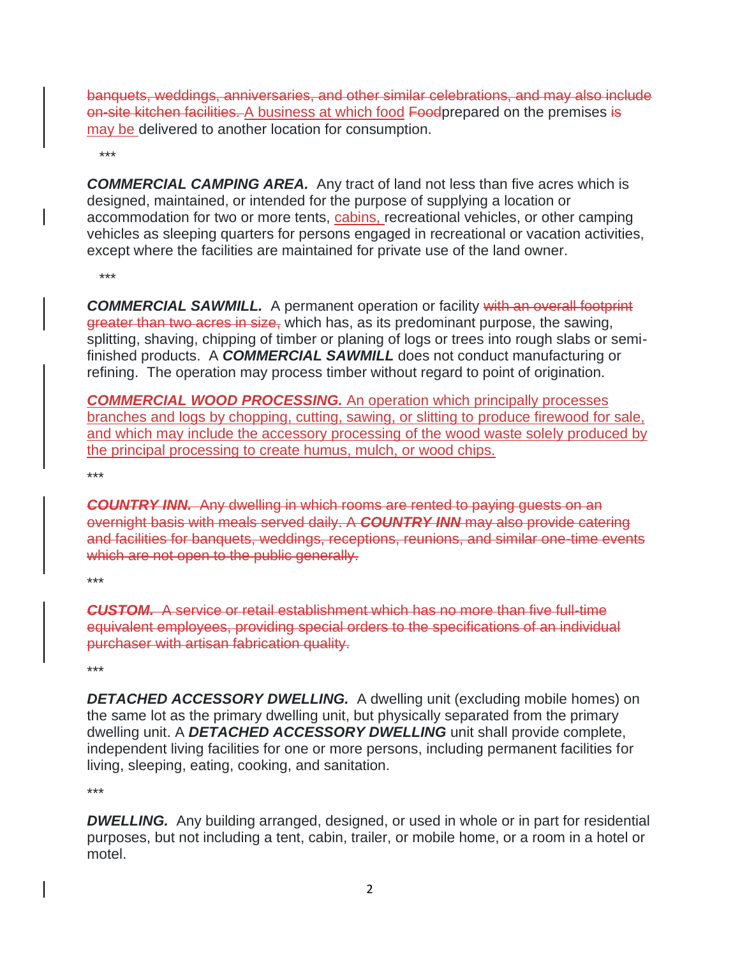banquets, weddings, anniversaries, and other similar celebrations, and may also include on-site kitchen facilities. A business at which food Foodprepared on the premises is may be delivered to another location for consumption.

\*\*\*

*COMMERCIAL CAMPING AREA.* Any tract of land not less than five acres which is designed, maintained, or intended for the purpose of supplying a location or accommodation for two or more tents, cabins, recreational vehicles, or other camping vehicles as sleeping quarters for persons engaged in recreational or vacation activities, except where the facilities are maintained for private use of the land owner.

\*\*\*

**COMMERCIAL SAWMILL.** A permanent operation or facility with an overall footprint greater than two acres in size, which has, as its predominant purpose, the sawing, splitting, shaving, chipping of timber or planing of logs or trees into rough slabs or semifinished products. A *COMMERCIAL SAWMILL* does not conduct manufacturing or refining. The operation may process timber without regard to point of origination.

*COMMERCIAL WOOD PROCESSING.* An operation which principally processes branches and logs by chopping, cutting, sawing, or slitting to produce firewood for sale, and which may include the accessory processing of the wood waste solely produced by the principal processing to create humus, mulch, or wood chips.

\*\*\*

*COUNTRY INN.* Any dwelling in which rooms are rented to paying guests on an overnight basis with meals served daily. A *COUNTRY INN* may also provide catering and facilities for banquets, weddings, receptions, reunions, and similar one-time events which are not open to the public generally.

\*\*\*

*CUSTOM.* A service or retail establishment which has no more than five full-time equivalent employees, providing special orders to the specifications of an individual purchaser with artisan fabrication quality.

\*\*\*

**DETACHED ACCESSORY DWELLING.** A dwelling unit (excluding mobile homes) on the same lot as the primary dwelling unit, but physically separated from the primary dwelling unit. A *DETACHED ACCESSORY DWELLING* unit shall provide complete, independent living facilities for one or more persons, including permanent facilities for living, sleeping, eating, cooking, and sanitation.

\*\*\*

**DWELLING.** Any building arranged, designed, or used in whole or in part for residential purposes, but not including a tent, cabin, trailer, or mobile home, or a room in a hotel or motel.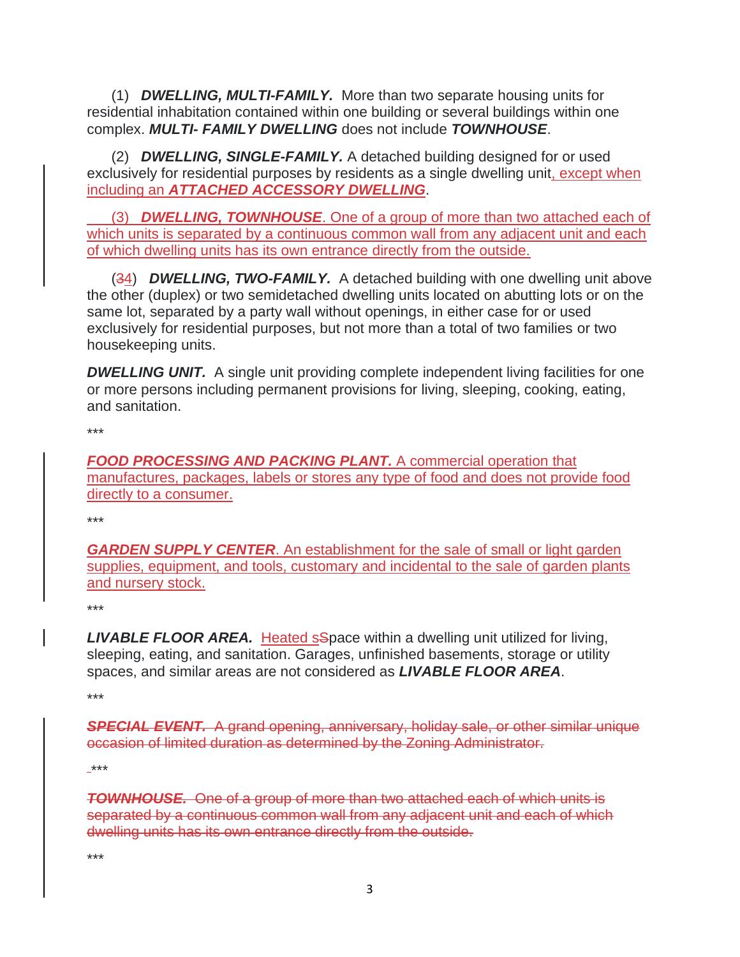(1) *DWELLING, MULTI-FAMILY.* More than two separate housing units for residential inhabitation contained within one building or several buildings within one complex. *MULTI- FAMILY DWELLING* does not include *TOWNHOUSE*.

 (2) *DWELLING, SINGLE-FAMILY.* A detached building designed for or used exclusively for residential purposes by residents as a single dwelling unit, except when including an *ATTACHED ACCESSORY DWELLING*.

 (3) *DWELLING, TOWNHOUSE*. One of a group of more than two attached each of which units is separated by a continuous common wall from any adjacent unit and each of which dwelling units has its own entrance directly from the outside.

 (34) *DWELLING, TWO-FAMILY.* A detached building with one dwelling unit above the other (duplex) or two semidetached dwelling units located on abutting lots or on the same lot, separated by a party wall without openings, in either case for or used exclusively for residential purposes, but not more than a total of two families or two housekeeping units.

**DWELLING UNIT.** A single unit providing complete independent living facilities for one or more persons including permanent provisions for living, sleeping, cooking, eating, and sanitation.

\*\*\*

**FOOD PROCESSING AND PACKING PLANT.** A commercial operation that manufactures, packages, labels or stores any type of food and does not provide food directly to a consumer.

\*\*\*

*GARDEN SUPPLY CENTER*. An establishment for the sale of small or light garden supplies, equipment, and tools, customary and incidental to the sale of garden plants and nursery stock.

\*\*\*

**LIVABLE FLOOR AREA.** Heated sSpace within a dwelling unit utilized for living, sleeping, eating, and sanitation. Garages, unfinished basements, storage or utility spaces, and similar areas are not considered as *LIVABLE FLOOR AREA*.

\*\*\*

*SPECIAL EVENT.* A grand opening, anniversary, holiday sale, or other similar unique occasion of limited duration as determined by the Zoning Administrator.

\*\*\*

*TOWNHOUSE.* One of a group of more than two attached each of which units is separated by a continuous common wall from any adjacent unit and each of which dwelling units has its own entrance directly from the outside.

\*\*\*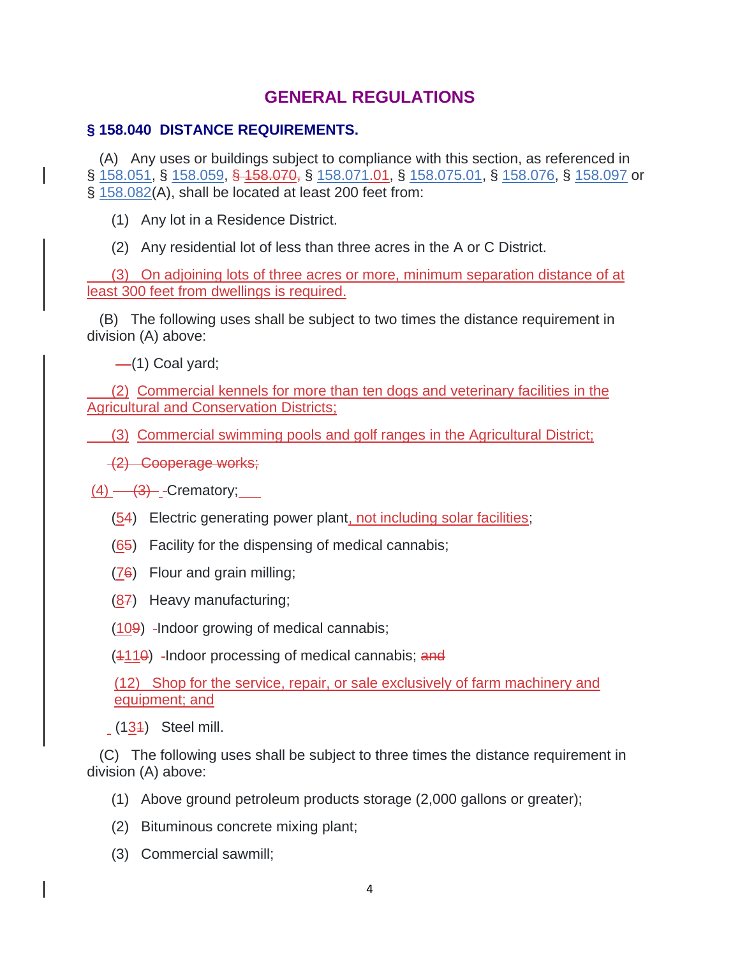# **GENERAL REGULATIONS**

### **§ 158.040 DISTANCE REQUIREMENTS.**

 (A) Any uses or buildings subject to compliance with this section, as referenced in § [158.051,](https://codelibrary.amlegal.com/codes/carrollcounty/latest/carrollcounty_md/0-0-0-27931#JD_158.051) § [158.059,](https://codelibrary.amlegal.com/codes/carrollcounty/latest/carrollcounty_md/0-0-0-27990#JD_158.059) § 158.070, § [158.071.](https://codelibrary.amlegal.com/codes/carrollcounty/latest/carrollcounty_md/0-0-0-28161#JD_158.071)01, § [158.075.01,](https://codelibrary.amlegal.com/codes/carrollcounty/latest/carrollcounty_md/0-0-0-30485#JD_158.075.01) § [158.076,](https://codelibrary.amlegal.com/codes/carrollcounty/latest/carrollcounty_md/0-0-0-28449#JD_158.076) § [158.097](https://codelibrary.amlegal.com/codes/carrollcounty/latest/carrollcounty_md/0-0-0-28819#JD_158.097) or § [158.082\(](https://codelibrary.amlegal.com/codes/carrollcounty/latest/carrollcounty_md/0-0-0-28564#JD_158.082)A), shall be located at least 200 feet from:

(1) Any lot in a Residence District.

(2) Any residential lot of less than three acres in the A or C District.

 (3) On adjoining lots of three acres or more, minimum separation distance of at least 300 feet from dwellings is required.

 (B) The following uses shall be subject to two times the distance requirement in division (A) above:

 $-$ (1) Coal yard;

 (2) Commercial kennels for more than ten dogs and veterinary facilities in the Agricultural and Conservation Districts;

(3) Commercial swimming pools and golf ranges in the Agricultural District;

(2) Cooperage works;

 $(4)$   $\longrightarrow$   $(3)$  - Crematory;

- (54) Electric generating power plant, not including solar facilities;
- (65) Facility for the dispensing of medical cannabis;
- (76) Flour and grain milling;
- $(87)$  Heavy manufacturing;
- $(109)$  -Indoor growing of medical cannabis;

 $(4110)$  -Indoor processing of medical cannabis; and

(12) Shop for the service, repair, or sale exclusively of farm machinery and equipment; and

(131) Steel mill.

 (C) The following uses shall be subject to three times the distance requirement in division (A) above:

- (1) Above ground petroleum products storage (2,000 gallons or greater);
- (2) Bituminous concrete mixing plant;
- (3) Commercial sawmill;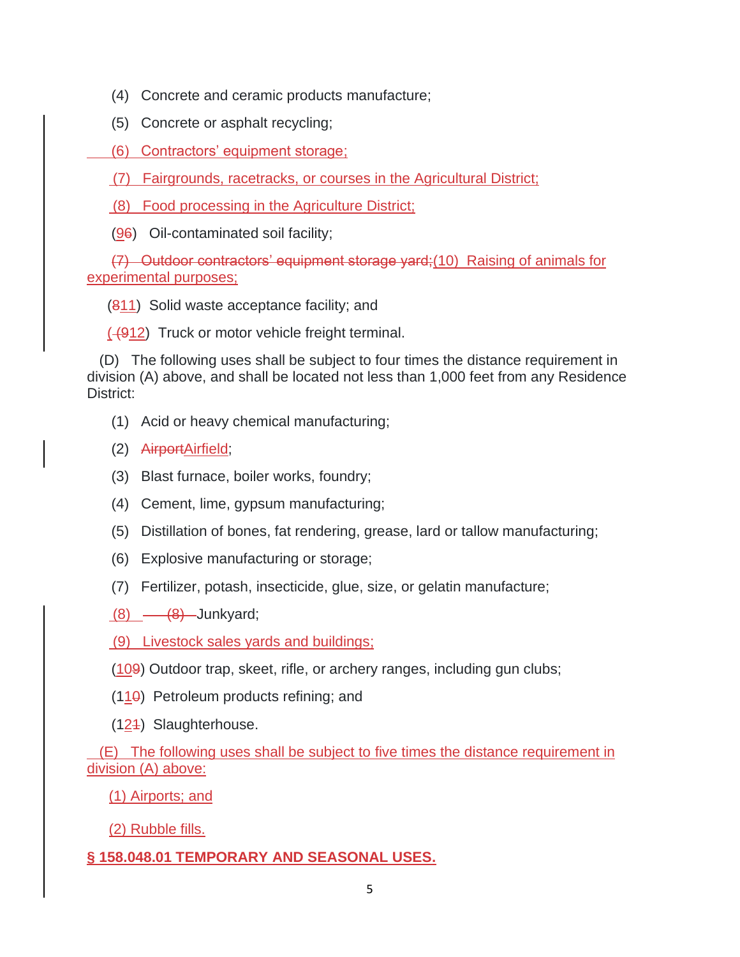- (4) Concrete and ceramic products manufacture;
- (5) Concrete or asphalt recycling;
- (6) Contractors' equipment storage;

(7) Fairgrounds, racetracks, or courses in the Agricultural District;

- (8) Food processing in the Agriculture District;
- (96) Oil-contaminated soil facility;

 (7) Outdoor contractors' equipment storage yard;(10) Raising of animals for experimental purposes;

(811) Solid waste acceptance facility; and

 $(4912)$  Truck or motor vehicle freight terminal.

 (D) The following uses shall be subject to four times the distance requirement in division (A) above, and shall be located not less than 1,000 feet from any Residence District:

- (1) Acid or heavy chemical manufacturing;
- (2) AirportAirfield;
- (3) Blast furnace, boiler works, foundry;
- (4) Cement, lime, gypsum manufacturing;
- (5) Distillation of bones, fat rendering, grease, lard or tallow manufacturing;
- (6) Explosive manufacturing or storage;
- (7) Fertilizer, potash, insecticide, glue, size, or gelatin manufacture;
- $(8)$   $\longrightarrow$   $(8)$  Junkyard;
- (9) Livestock sales yards and buildings;
- $(109)$  Outdoor trap, skeet, rifle, or archery ranges, including gun clubs;
- $(110)$  Petroleum products refining; and
- (121) Slaughterhouse.

 (E) The following uses shall be subject to five times the distance requirement in division (A) above:

(1) Airports; and

(2) Rubble fills.

### **§ 158.048.01 TEMPORARY AND SEASONAL USES.**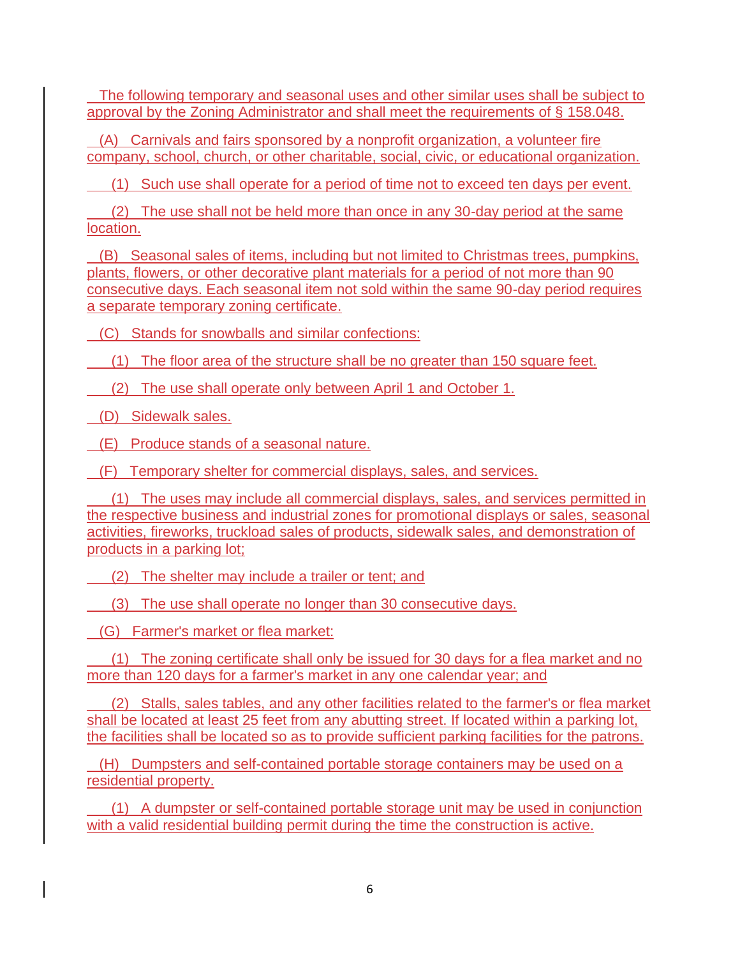The following temporary and seasonal uses and other similar uses shall be subiect to approval by the Zoning Administrator and shall meet the requirements of § [158.048.](https://codelibrary.amlegal.com/codes/carrollcounty/latest/carrollcounty_md/0-0-0-27922#JD_158.048)

 (A) Carnivals and fairs sponsored by a nonprofit organization, a volunteer fire company, school, church, or other charitable, social, civic, or educational organization.

(1) Such use shall operate for a period of time not to exceed ten days per event.

 (2) The use shall not be held more than once in any 30-day period at the same location.

 (B) Seasonal sales of items, including but not limited to Christmas trees, pumpkins, plants, flowers, or other decorative plant materials for a period of not more than 90 consecutive days. Each seasonal item not sold within the same 90-day period requires a separate temporary zoning certificate.

(C) Stands for snowballs and similar confections:

(1) The floor area of the structure shall be no greater than 150 square feet.

(2) The use shall operate only between April 1 and October 1.

(D) Sidewalk sales.

(E) Produce stands of a seasonal nature.

(F) Temporary shelter for commercial displays, sales, and services.

 (1) The uses may include all commercial displays, sales, and services permitted in the respective business and industrial zones for promotional displays or sales, seasonal activities, fireworks, truckload sales of products, sidewalk sales, and demonstration of products in a parking lot;

(2) The shelter may include a trailer or tent; and

(3) The use shall operate no longer than 30 consecutive days.

(G) Farmer's market or flea market:

 (1) The zoning certificate shall only be issued for 30 days for a flea market and no more than 120 days for a farmer's market in any one calendar year; and

 (2) Stalls, sales tables, and any other facilities related to the farmer's or flea market shall be located at least 25 feet from any abutting street. If located within a parking lot, the facilities shall be located so as to provide sufficient parking facilities for the patrons.

 (H) Dumpsters and self-contained portable storage containers may be used on a residential property.

 (1) A dumpster or self-contained portable storage unit may be used in conjunction with a valid residential building permit during the time the construction is active.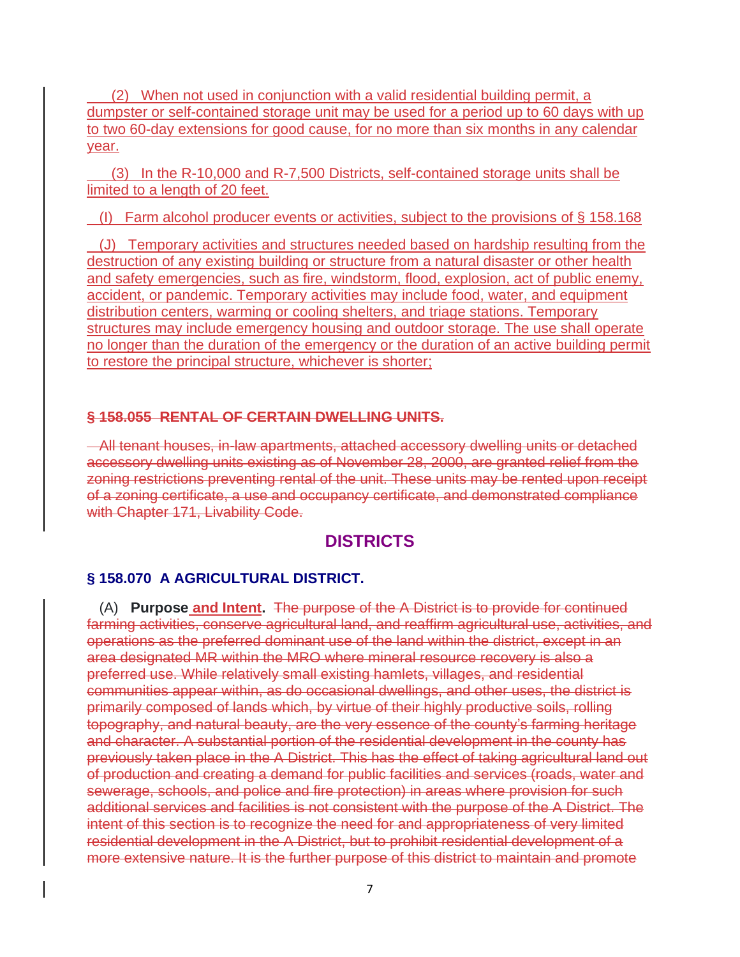(2) When not used in conjunction with a valid residential building permit, a dumpster or self-contained storage unit may be used for a period up to 60 days with up to two 60-day extensions for good cause, for no more than six months in any calendar year.

 (3) In the R-10,000 and R-7,500 Districts, self-contained storage units shall be limited to a length of 20 feet.

(I) Farm alcohol producer events or activities, subject to the provisions of  $\S$  158.168

 (J) Temporary activities and structures needed based on hardship resulting from the destruction of any existing building or structure from a natural disaster or other health and safety emergencies, such as fire, windstorm, flood, explosion, act of public enemy, accident, or pandemic. Temporary activities may include food, water, and equipment distribution centers, warming or cooling shelters, and triage stations. Temporary structures may include emergency housing and outdoor storage. The use shall operate no longer than the duration of the emergency or the duration of an active building permit to restore the principal structure, whichever is shorter;

#### **§ 158.055 RENTAL OF CERTAIN DWELLING UNITS.**

 All tenant houses, in-law apartments, attached accessory dwelling units or detached accessory dwelling units existing as of November 28, 2000, are granted relief from the zoning restrictions preventing rental of the unit. These units may be rented upon receipt of a zoning certificate, a use and occupancy certificate, and demonstrated compliance with Chapter 171, Livability Code.

### **DISTRICTS**

#### **§ 158.070 A AGRICULTURAL DISTRICT.**

 (A) **Purpose and Intent.** The purpose of the A District is to provide for continued farming activities, conserve agricultural land, and reaffirm agricultural use, activities, and operations as the preferred dominant use of the land within the district, except in an area designated MR within the MRO where mineral resource recovery is also a preferred use. While relatively small existing hamlets, villages, and residential communities appear within, as do occasional dwellings, and other uses, the district is primarily composed of lands which, by virtue of their highly productive soils, rolling topography, and natural beauty, are the very essence of the county's farming heritage and character. A substantial portion of the residential development in the county has previously taken place in the A District. This has the effect of taking agricultural land out of production and creating a demand for public facilities and services (roads, water and sewerage, schools, and police and fire protection) in areas where provision for such additional services and facilities is not consistent with the purpose of the A District. The intent of this section is to recognize the need for and appropriateness of very limited residential development in the A District, but to prohibit residential development of a more extensive nature. It is the further purpose of this district to maintain and promote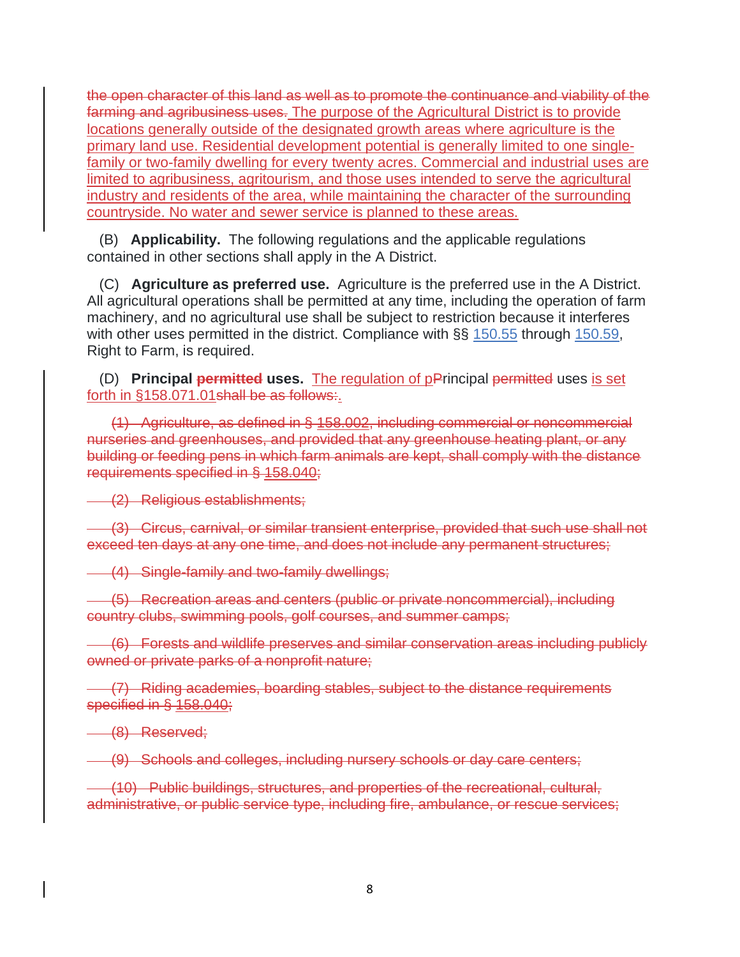the open character of this land as well as to promote the continuance and viability of the farming and agribusiness uses. The purpose of the Agricultural District is to provide locations generally outside of the designated growth areas where agriculture is the primary land use. Residential development potential is generally limited to one singlefamily or two-family dwelling for every twenty acres. Commercial and industrial uses are limited to agribusiness, agritourism, and those uses intended to serve the agricultural industry and residents of the area, while maintaining the character of the surrounding countryside. No water and sewer service is planned to these areas.

 (B) **Applicability.** The following regulations and the applicable regulations contained in other sections shall apply in the A District.

 (C) **Agriculture as preferred use.** Agriculture is the preferred use in the A District. All agricultural operations shall be permitted at any time, including the operation of farm machinery, and no agricultural use shall be subject to restriction because it interferes with other uses permitted in the district. Compliance with §§ [150.55](https://codelibrary.amlegal.com/codes/carrollcounty/latest/carrollcounty_md/0-0-0-20811#JD_150.55) through [150.59,](https://codelibrary.amlegal.com/codes/carrollcounty/latest/carrollcounty_md/0-0-0-20840#JD_150.59) Right to Farm, is required.

 (D) **Principal permitted uses.** The regulation of pPrincipal permitted uses is set forth in §158.071.01 shall be as follows:

 (1) Agriculture, as defined in § 158.002, including commercial or noncommercial nurseries and greenhouses, and provided that any greenhouse heating plant, or any building or feeding pens in which farm animals are kept, shall comply with the distance requirements specified in § 158.040;

(2) Religious establishments;

 (3) Circus, carnival, or similar transient enterprise, provided that such use shall not exceed ten days at any one time, and does not include any permanent structures;

(4) Single-family and two-family dwellings;

 (5) Recreation areas and centers (public or private noncommercial), including country clubs, swimming pools, golf courses, and summer camps;

 (6) Forests and wildlife preserves and similar conservation areas including publicly owned or private parks of a nonprofit nature;

 (7) Riding academies, boarding stables, subject to the distance requirements specified in § 158.040;

(8) Reserved;

(9) Schools and colleges, including nursery schools or day care centers;

 (10) Public buildings, structures, and properties of the recreational, cultural, administrative, or public service type, including fire, ambulance, or rescue services;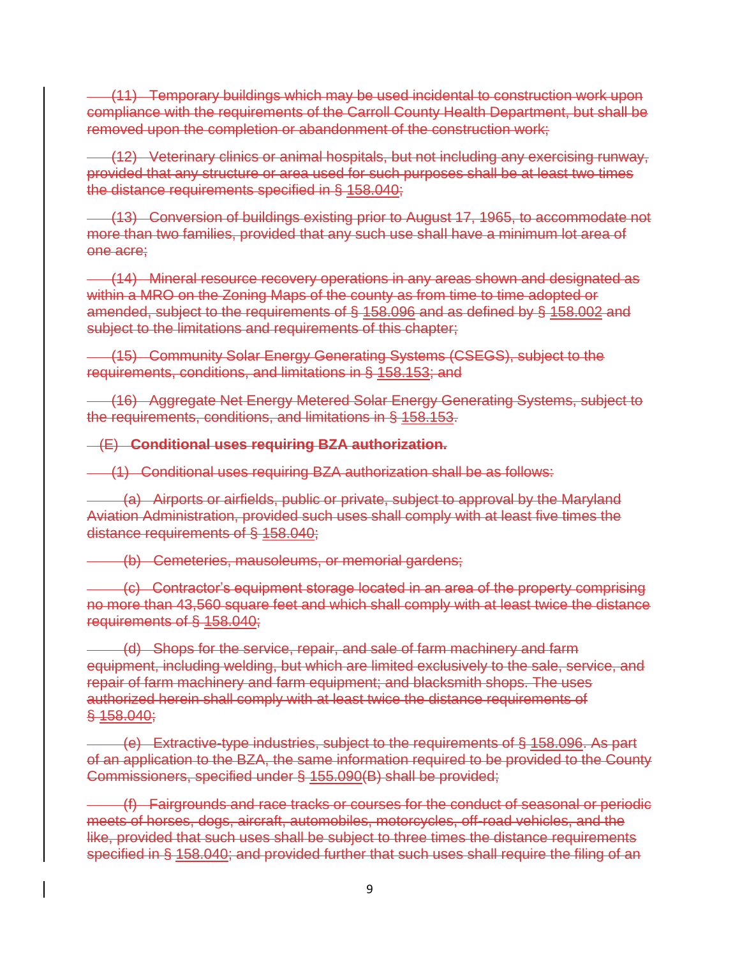(11) Temporary buildings which may be used incidental to construction work upon compliance with the requirements of the Carroll County Health Department, but shall be removed upon the completion or abandonment of the construction work;

 (12) Veterinary clinics or animal hospitals, but not including any exercising runway, provided that any structure or area used for such purposes shall be at least two times the distance requirements specified in § 158.040;

 (13) Conversion of buildings existing prior to August 17, 1965, to accommodate not more than two families, provided that any such use shall have a minimum lot area of one acre;

 (14) Mineral resource recovery operations in any areas shown and designated as within a MRO on the Zoning Maps of the county as from time to time adopted or amended, subject to the requirements of § 158.096 and as defined by § 158.002 and subject to the limitations and requirements of this chapter;

 (15) Community Solar Energy Generating Systems (CSEGS), subject to the requirements, conditions, and limitations in § 158.153; and

 (16) Aggregate Net Energy Metered Solar Energy Generating Systems, subject to the requirements, conditions, and limitations in § 158.153.

(E) **Conditional uses requiring BZA authorization.**

(1) Conditional uses requiring BZA authorization shall be as follows:

 (a) Airports or airfields, public or private, subject to approval by the Maryland Aviation Administration, provided such uses shall comply with at least five times the distance requirements of § 158.040;

(b) Cemeteries, mausoleums, or memorial gardens;

 (c) Contractor's equipment storage located in an area of the property comprising no more than 43,560 square feet and which shall comply with at least twice the distance requirements of § 158.040;

 (d) Shops for the service, repair, and sale of farm machinery and farm equipment, including welding, but which are limited exclusively to the sale, service, and repair of farm machinery and farm equipment; and blacksmith shops. The uses authorized herein shall comply with at least twice the distance requirements of § 158.040;

 (e) Extractive-type industries, subject to the requirements of § 158.096. As part of an application to the BZA, the same information required to be provided to the County Commissioners, specified under § 155.090(B) shall be provided;

 (f) Fairgrounds and race tracks or courses for the conduct of seasonal or periodic meets of horses, dogs, aircraft, automobiles, motorcycles, off-road vehicles, and the like, provided that such uses shall be subject to three times the distance requirements specified in § 158.040; and provided further that such uses shall require the filing of an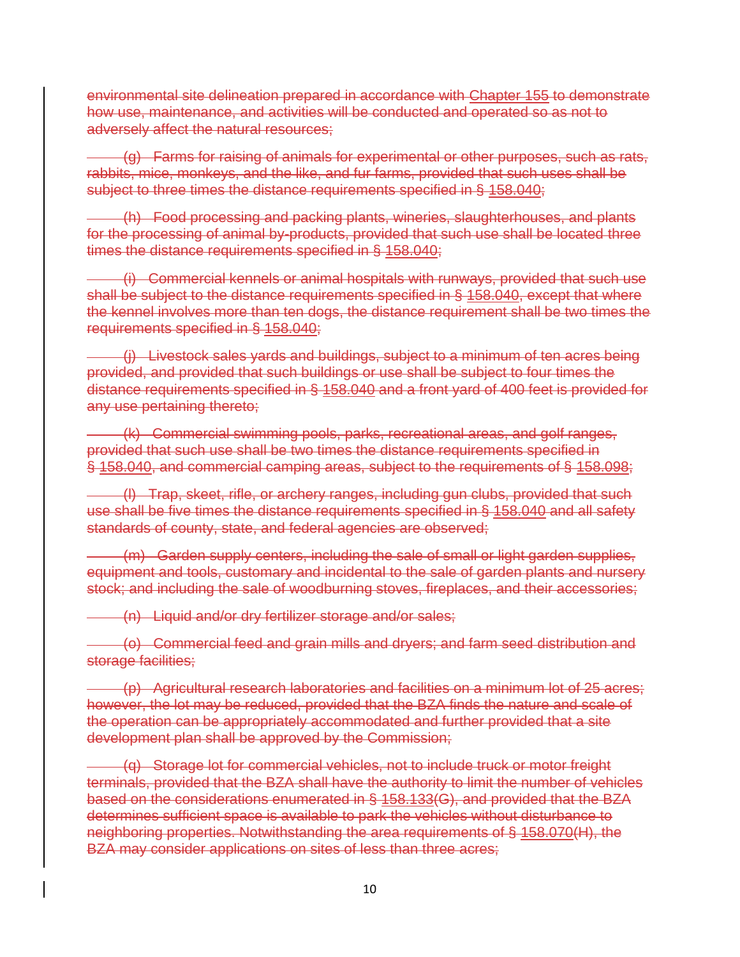environmental site delineation prepared in accordance with Chapter 155 to demonstrate how use, maintenance, and activities will be conducted and operated so as not to adversely affect the natural resources;

 (g) Farms for raising of animals for experimental or other purposes, such as rats, rabbits, mice, monkeys, and the like, and fur farms, provided that such uses shall be subject to three times the distance requirements specified in § 158.040;

 (h) Food processing and packing plants, wineries, slaughterhouses, and plants for the processing of animal by-products, provided that such use shall be located three times the distance requirements specified in § 158.040;

 (i) Commercial kennels or animal hospitals with runways, provided that such use shall be subject to the distance requirements specified in § 158.040, except that where the kennel involves more than ten dogs, the distance requirement shall be two times the requirements specified in § 158.040;

 (j) Livestock sales yards and buildings, subject to a minimum of ten acres being provided, and provided that such buildings or use shall be subject to four times the distance requirements specified in § 158.040 and a front yard of 400 feet is provided for any use pertaining thereto;

 (k) Commercial swimming pools, parks, recreational areas, and golf ranges, provided that such use shall be two times the distance requirements specified in § 158.040, and commercial camping areas, subject to the requirements of § 158.098;

 (l) Trap, skeet, rifle, or archery ranges, including gun clubs, provided that such use shall be five times the distance requirements specified in § 158.040 and all safety standards of county, state, and federal agencies are observed;

 (m) Garden supply centers, including the sale of small or light garden supplies, equipment and tools, customary and incidental to the sale of garden plants and nursery stock; and including the sale of woodburning stoves, fireplaces, and their accessories;

(n) Liquid and/or dry fertilizer storage and/or sales;

 (o) Commercial feed and grain mills and dryers; and farm seed distribution and storage facilities;

 (p) Agricultural research laboratories and facilities on a minimum lot of 25 acres; however, the lot may be reduced, provided that the BZA finds the nature and scale of the operation can be appropriately accommodated and further provided that a site development plan shall be approved by the Commission;

 (q) Storage lot for commercial vehicles, not to include truck or motor freight terminals, provided that the BZA shall have the authority to limit the number of vehicles based on the considerations enumerated in § 158.133(G), and provided that the BZA determines sufficient space is available to park the vehicles without disturbance to neighboring properties. Notwithstanding the area requirements of § 158.070(H), the BZA may consider applications on sites of less than three acres;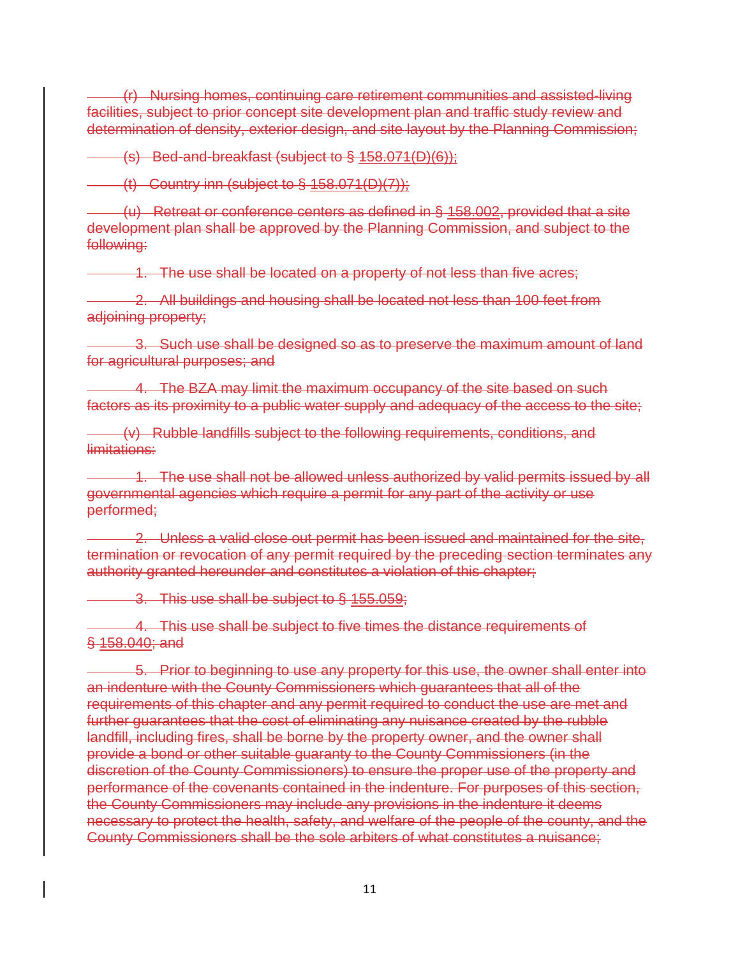(r) Nursing homes, continuing care retirement communities and assisted-living facilities, subject to prior concept site development plan and traffic study review and determination of density, exterior design, and site layout by the Planning Commission;

(s) Bed-and-breakfast (subject to § 158.071(D)(6));

 $($ t) Country inn (subject to § 158.071(D)(7));

 (u) Retreat or conference centers as defined in § 158.002, provided that a site development plan shall be approved by the Planning Commission, and subject to the following:

1. The use shall be located on a property of not less than five acres;

2. All buildings and housing shall be located not less than 100 feet from adjoining property;

 3. Such use shall be designed so as to preserve the maximum amount of land for agricultural purposes; and

 4. The BZA may limit the maximum occupancy of the site based on such factors as its proximity to a public water supply and adequacy of the access to the site;

 (v) Rubble landfills subject to the following requirements, conditions, and limitations:

1. The use shall not be allowed unless authorized by valid permits issued by all governmental agencies which require a permit for any part of the activity or use performed;

 2. Unless a valid close out permit has been issued and maintained for the site, termination or revocation of any permit required by the preceding section terminates any authority granted hereunder and constitutes a violation of this chapter;

3. This use shall be subject to § 155.059;

 4. This use shall be subject to five times the distance requirements of § 158.040; and

 5. Prior to beginning to use any property for this use, the owner shall enter into an indenture with the County Commissioners which guarantees that all of the requirements of this chapter and any permit required to conduct the use are met and further guarantees that the cost of eliminating any nuisance created by the rubble landfill, including fires, shall be borne by the property owner, and the owner shall provide a bond or other suitable guaranty to the County Commissioners (in the discretion of the County Commissioners) to ensure the proper use of the property and performance of the covenants contained in the indenture. For purposes of this section, the County Commissioners may include any provisions in the indenture it deems necessary to protect the health, safety, and welfare of the people of the county, and the County Commissioners shall be the sole arbiters of what constitutes a nuisance;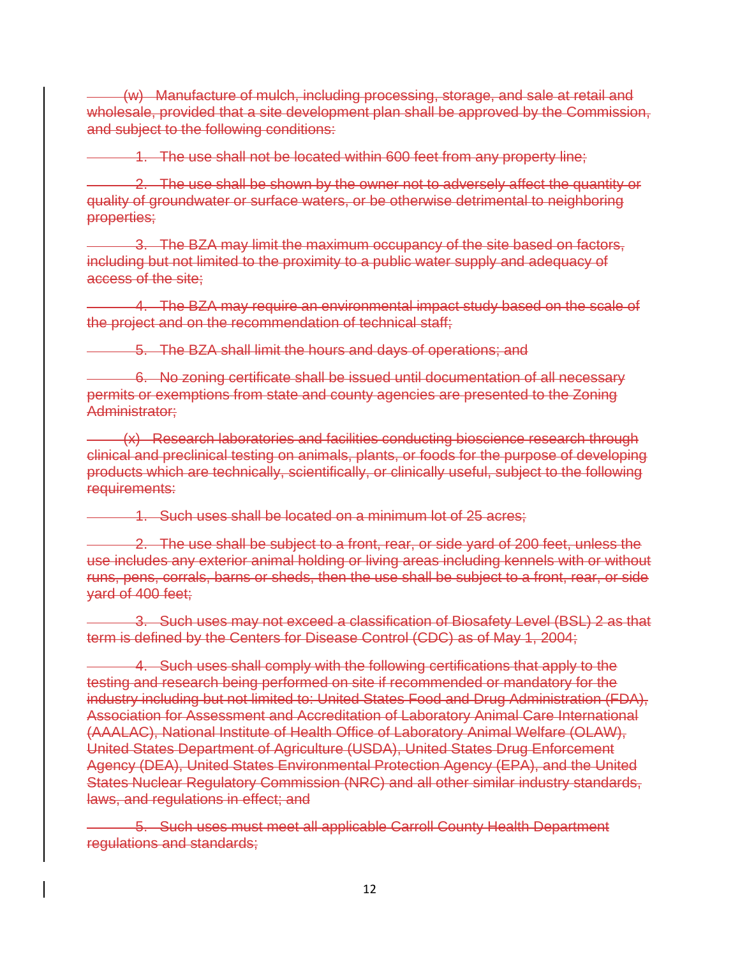(w) Manufacture of mulch, including processing, storage, and sale at retail and wholesale, provided that a site development plan shall be approved by the Commission, and subject to the following conditions:

1. The use shall not be located within 600 feet from any property line;

 2. The use shall be shown by the owner not to adversely affect the quantity or quality of groundwater or surface waters, or be otherwise detrimental to neighboring properties;

 3. The BZA may limit the maximum occupancy of the site based on factors, including but not limited to the proximity to a public water supply and adequacy of access of the site;

 4. The BZA may require an environmental impact study based on the scale of the project and on the recommendation of technical staff;

5. The BZA shall limit the hours and days of operations; and

 6. No zoning certificate shall be issued until documentation of all necessary permits or exemptions from state and county agencies are presented to the Zoning Administrator;

(x) Research laboratories and facilities conducting bioscience research through clinical and preclinical testing on animals, plants, or foods for the purpose of developing products which are technically, scientifically, or clinically useful, subject to the following requirements:

1. Such uses shall be located on a minimum lot of 25 acres;

2. The use shall be subject to a front, rear, or side yard of 200 feet, unless the use includes any exterior animal holding or living areas including kennels with or without runs, pens, corrals, barns or sheds, then the use shall be subject to a front, rear, or side yard of 400 feet;

 3. Such uses may not exceed a classification of Biosafety Level (BSL) 2 as that term is defined by the Centers for Disease Control (CDC) as of May 1, 2004;

 4. Such uses shall comply with the following certifications that apply to the testing and research being performed on site if recommended or mandatory for the industry including but not limited to: United States Food and Drug Administration (FDA), Association for Assessment and Accreditation of Laboratory Animal Care International (AAALAC), National Institute of Health Office of Laboratory Animal Welfare (OLAW), United States Department of Agriculture (USDA), United States Drug Enforcement Agency (DEA), United States Environmental Protection Agency (EPA), and the United States Nuclear Regulatory Commission (NRC) and all other similar industry standards, laws, and regulations in effect; and

 5. Such uses must meet all applicable Carroll County Health Department regulations and standards;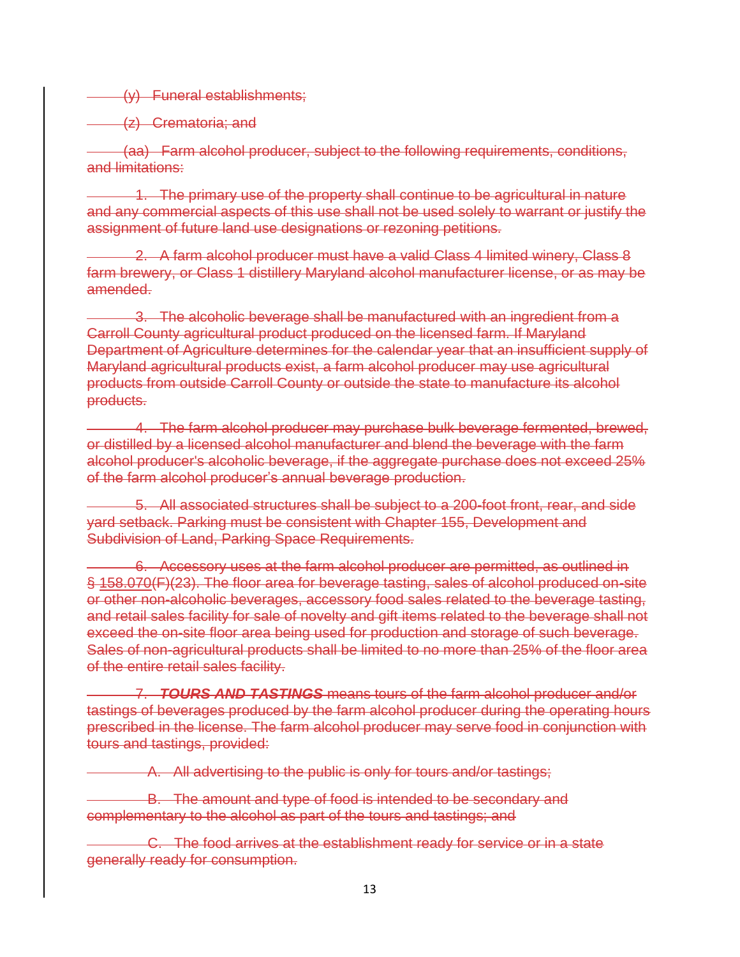(y) Funeral establishments;

(z) Crematoria; and

 (aa) Farm alcohol producer, subject to the following requirements, conditions, and limitations:

 1. The primary use of the property shall continue to be agricultural in nature and any commercial aspects of this use shall not be used solely to warrant or justify the assignment of future land use designations or rezoning petitions.

 2. A farm alcohol producer must have a valid Class 4 limited winery, Class 8 farm brewery, or Class 1 distillery Maryland alcohol manufacturer license, or as may be amended.

 3. The alcoholic beverage shall be manufactured with an ingredient from a Carroll County agricultural product produced on the licensed farm. If Maryland Department of Agriculture determines for the calendar year that an insufficient supply of Maryland agricultural products exist, a farm alcohol producer may use agricultural products from outside Carroll County or outside the state to manufacture its alcohol products.

 4. The farm alcohol producer may purchase bulk beverage fermented, brewed, or distilled by a licensed alcohol manufacturer and blend the beverage with the farm alcohol producer's alcoholic beverage, if the aggregate purchase does not exceed 25% of the farm alcohol producer's annual beverage production.

 5. All associated structures shall be subject to a 200-foot front, rear, and side yard setback. Parking must be consistent with Chapter 155, Development and Subdivision of Land, Parking Space Requirements.

 6. Accessory uses at the farm alcohol producer are permitted, as outlined in § 158.070(F)(23). The floor area for beverage tasting, sales of alcohol produced on-site or other non-alcoholic beverages, accessory food sales related to the beverage tasting, and retail sales facility for sale of novelty and gift items related to the beverage shall not exceed the on-site floor area being used for production and storage of such beverage. Sales of non-agricultural products shall be limited to no more than 25% of the floor area of the entire retail sales facility.

 7. *TOURS AND TASTINGS* means tours of the farm alcohol producer and/or tastings of beverages produced by the farm alcohol producer during the operating hours prescribed in the license. The farm alcohol producer may serve food in conjunction with tours and tastings, provided:

A. All advertising to the public is only for tours and/or tastings;

B. The amount and type of food is intended to be secondary and complementary to the alcohol as part of the tours and tastings; and

 C. The food arrives at the establishment ready for service or in a state generally ready for consumption.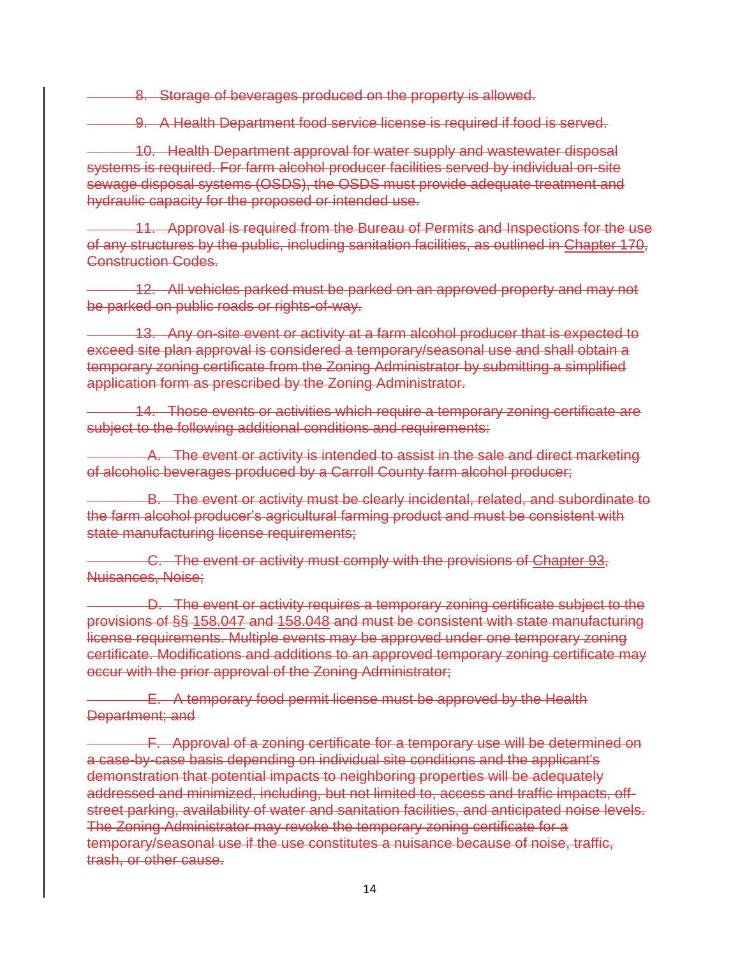8. Storage of beverages produced on the property is allowed.

9. A Health Department food service license is required if food is served.

 10. Health Department approval for water supply and wastewater disposal systems is required. For farm alcohol producer facilities served by individual on-site sewage disposal systems (OSDS), the OSDS must provide adequate treatment and hydraulic capacity for the proposed or intended use.

 11. Approval is required from the Bureau of Permits and Inspections for the use of any structures by the public, including sanitation facilities, as outlined in Chapter 170, Construction Codes.

 12. All vehicles parked must be parked on an approved property and may not be parked on public roads or rights-of-way.

 13. Any on-site event or activity at a farm alcohol producer that is expected to exceed site plan approval is considered a temporary/seasonal use and shall obtain a temporary zoning certificate from the Zoning Administrator by submitting a simplified application form as prescribed by the Zoning Administrator.

 14. Those events or activities which require a temporary zoning certificate are subject to the following additional conditions and requirements:

 A. The event or activity is intended to assist in the sale and direct marketing of alcoholic beverages produced by a Carroll County farm alcohol producer;

 B. The event or activity must be clearly incidental, related, and subordinate to the farm alcohol producer's agricultural farming product and must be consistent with state manufacturing license requirements;

 C. The event or activity must comply with the provisions of Chapter 93, Nuisances, Noise;

 D. The event or activity requires a temporary zoning certificate subject to the provisions of §§ 158.047 and 158.048 and must be consistent with state manufacturing license requirements. Multiple events may be approved under one temporary zoning certificate. Modifications and additions to an approved temporary zoning certificate may occur with the prior approval of the Zoning Administrator;

 E. A temporary food permit license must be approved by the Health Department; and

 F. Approval of a zoning certificate for a temporary use will be determined on a case-by-case basis depending on individual site conditions and the applicant's demonstration that potential impacts to neighboring properties will be adequately addressed and minimized, including, but not limited to, access and traffic impacts, offstreet parking, availability of water and sanitation facilities, and anticipated noise levels. The Zoning Administrator may revoke the temporary zoning certificate for a temporary/seasonal use if the use constitutes a nuisance because of noise, traffic, trash, or other cause.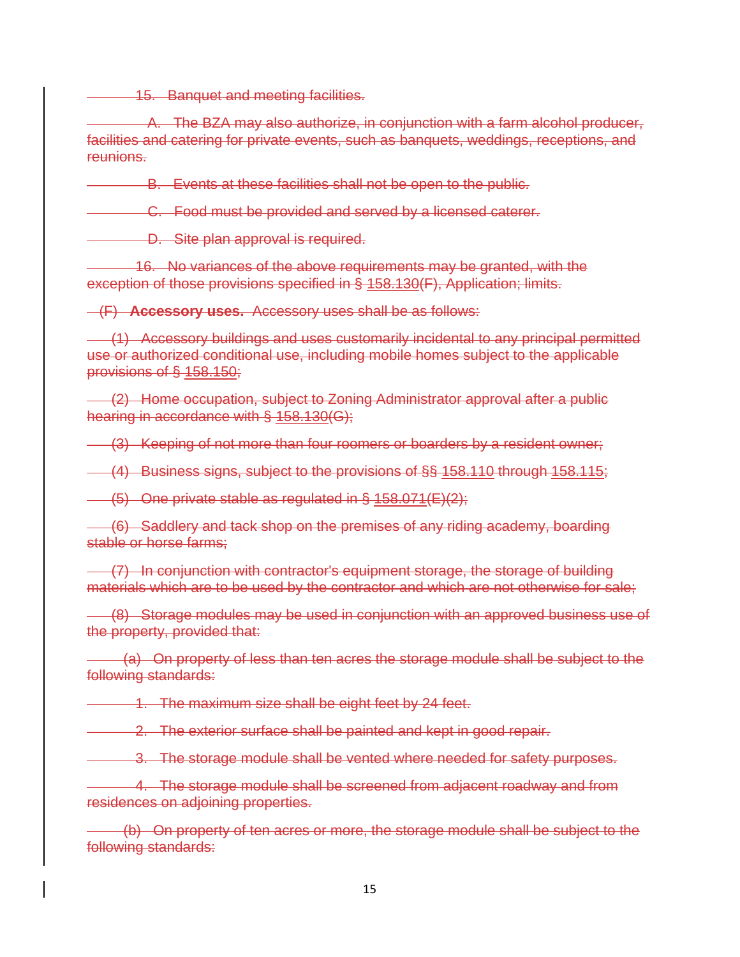15. Banquet and meeting facilities.

 A. The BZA may also authorize, in conjunction with a farm alcohol producer, facilities and catering for private events, such as banquets, weddings, receptions, and reunions.

B. Events at these facilities shall not be open to the public.

**C.** Food must be provided and served by a licensed caterer.

D. Site plan approval is required.

 16. No variances of the above requirements may be granted, with the exception of those provisions specified in § 158.130(F), Application; limits.

(F) **Accessory uses.** Accessory uses shall be as follows:

 (1) Accessory buildings and uses customarily incidental to any principal permitted use or authorized conditional use, including mobile homes subject to the applicable provisions of § 158.150;

 (2) Home occupation, subject to Zoning Administrator approval after a public hearing in accordance with § 158.130(G);

(3) Keeping of not more than four roomers or boarders by a resident owner;

(4) Business signs, subject to the provisions of §§ 158.110 through 158.115;

 $\left(-\frac{1}{5}\right)$  One private stable as regulated in § 158.071(E)(2);

 (6) Saddlery and tack shop on the premises of any riding academy, boarding stable or horse farms;

 (7) In conjunction with contractor's equipment storage, the storage of building materials which are to be used by the contractor and which are not otherwise for sale;

 (8) Storage modules may be used in conjunction with an approved business use of the property, provided that:

 (a) On property of less than ten acres the storage module shall be subject to the following standards:

1. The maximum size shall be eight feet by 24 feet.

2. The exterior surface shall be painted and kept in good repair.

3. The storage module shall be vented where needed for safety purposes.

4. The storage module shall be screened from adjacent roadway and from residences on adjoining properties.

 (b) On property of ten acres or more, the storage module shall be subject to the following standards: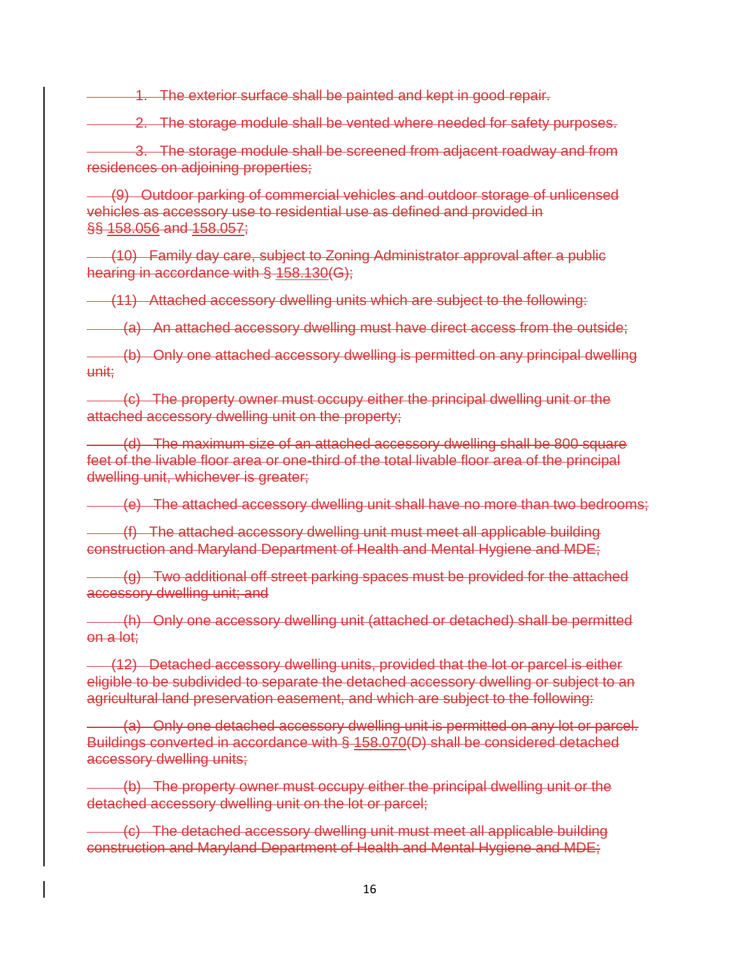1. The exterior surface shall be painted and kept in good repair.

2. The storage module shall be vented where needed for safety purposes.

 3. The storage module shall be screened from adjacent roadway and from residences on adjoining properties;

 (9) Outdoor parking of commercial vehicles and outdoor storage of unlicensed vehicles as accessory use to residential use as defined and provided in §§ 158.056 and 158.057;

 (10) Family day care, subject to Zoning Administrator approval after a public hearing in accordance with § 158.130(G);

(11) Attached accessory dwelling units which are subject to the following:

(a) An attached accessory dwelling must have direct access from the outside;

 (b) Only one attached accessory dwelling is permitted on any principal dwelling unit;

 (c) The property owner must occupy either the principal dwelling unit or the attached accessory dwelling unit on the property;

 (d) The maximum size of an attached accessory dwelling shall be 800 square feet of the livable floor area or one-third of the total livable floor area of the principal dwelling unit, whichever is greater;

(e) The attached accessory dwelling unit shall have no more than two bedrooms;

 (f) The attached accessory dwelling unit must meet all applicable building construction and Maryland Department of Health and Mental Hygiene and MDE;

 (g) Two additional off street parking spaces must be provided for the attached accessory dwelling unit; and

 (h) Only one accessory dwelling unit (attached or detached) shall be permitted on a lot;

 (12) Detached accessory dwelling units, provided that the lot or parcel is either eligible to be subdivided to separate the detached accessory dwelling or subject to an agricultural land preservation easement, and which are subject to the following:

 (a) Only one detached accessory dwelling unit is permitted on any lot or parcel. Buildings converted in accordance with § 158.070(D) shall be considered detached accessory dwelling units;

 (b) The property owner must occupy either the principal dwelling unit or the detached accessory dwelling unit on the lot or parcel;

 (c) The detached accessory dwelling unit must meet all applicable building construction and Maryland Department of Health and Mental Hygiene and MDE;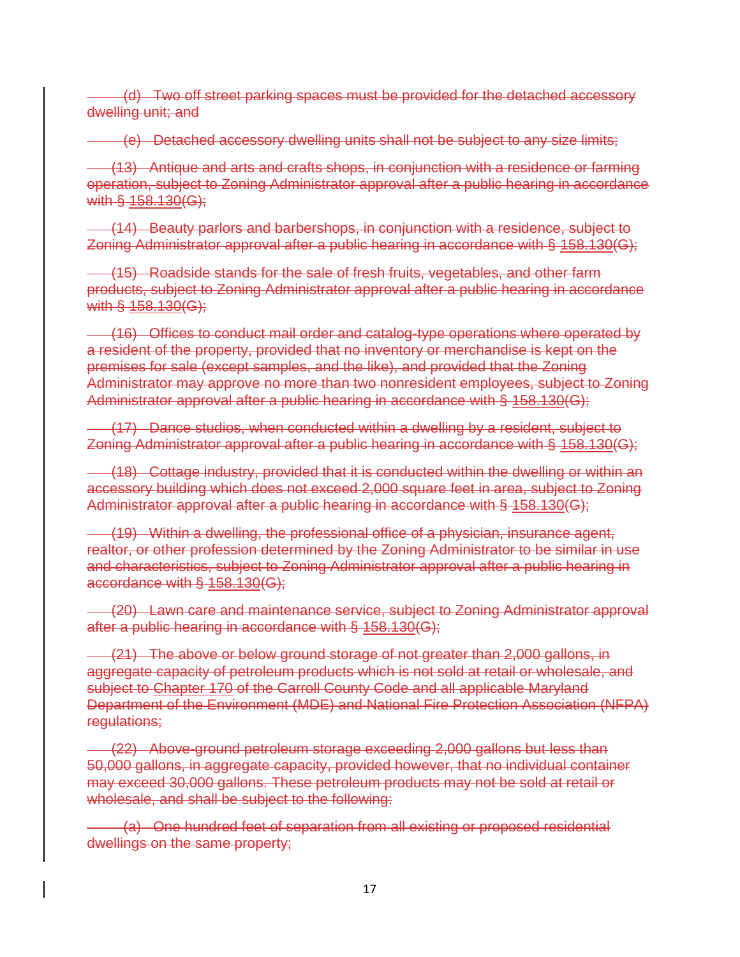(d) Two off street parking spaces must be provided for the detached accessory dwelling unit; and

(e) Detached accessory dwelling units shall not be subject to any size limits;

 (13) Antique and arts and crafts shops, in conjunction with a residence or farming operation, subject to Zoning Administrator approval after a public hearing in accordance with § 158.130(G);

 (14) Beauty parlors and barbershops, in conjunction with a residence, subject to Zoning Administrator approval after a public hearing in accordance with § 158.130(G);

 (15) Roadside stands for the sale of fresh fruits, vegetables, and other farm products, subject to Zoning Administrator approval after a public hearing in accordance with § 158.130(G);

 (16) Offices to conduct mail order and catalog-type operations where operated by a resident of the property, provided that no inventory or merchandise is kept on the premises for sale (except samples, and the like), and provided that the Zoning Administrator may approve no more than two nonresident employees, subject to Zoning Administrator approval after a public hearing in accordance with § 158.130(G);

 (17) Dance studios, when conducted within a dwelling by a resident, subject to Zoning Administrator approval after a public hearing in accordance with § 158.130(G);

 (18) Cottage industry, provided that it is conducted within the dwelling or within an accessory building which does not exceed 2,000 square feet in area, subject to Zoning Administrator approval after a public hearing in accordance with § 158.130(G);

 (19) Within a dwelling, the professional office of a physician, insurance agent, realtor, or other profession determined by the Zoning Administrator to be similar in use and characteristics, subject to Zoning Administrator approval after a public hearing in accordance with § 158.130(G);

 (20) Lawn care and maintenance service, subject to Zoning Administrator approval after a public hearing in accordance with § 158.130(G);

 (21) The above or below ground storage of not greater than 2,000 gallons, in aggregate capacity of petroleum products which is not sold at retail or wholesale, and subject to Chapter 170 of the Carroll County Code and all applicable Maryland Department of the Environment (MDE) and National Fire Protection Association (NFPA) regulations;

 (22) Above-ground petroleum storage exceeding 2,000 gallons but less than 50,000 gallons, in aggregate capacity, provided however, that no individual container may exceed 30,000 gallons. These petroleum products may not be sold at retail or wholesale, and shall be subject to the following:

 (a) One hundred feet of separation from all existing or proposed residential dwellings on the same property;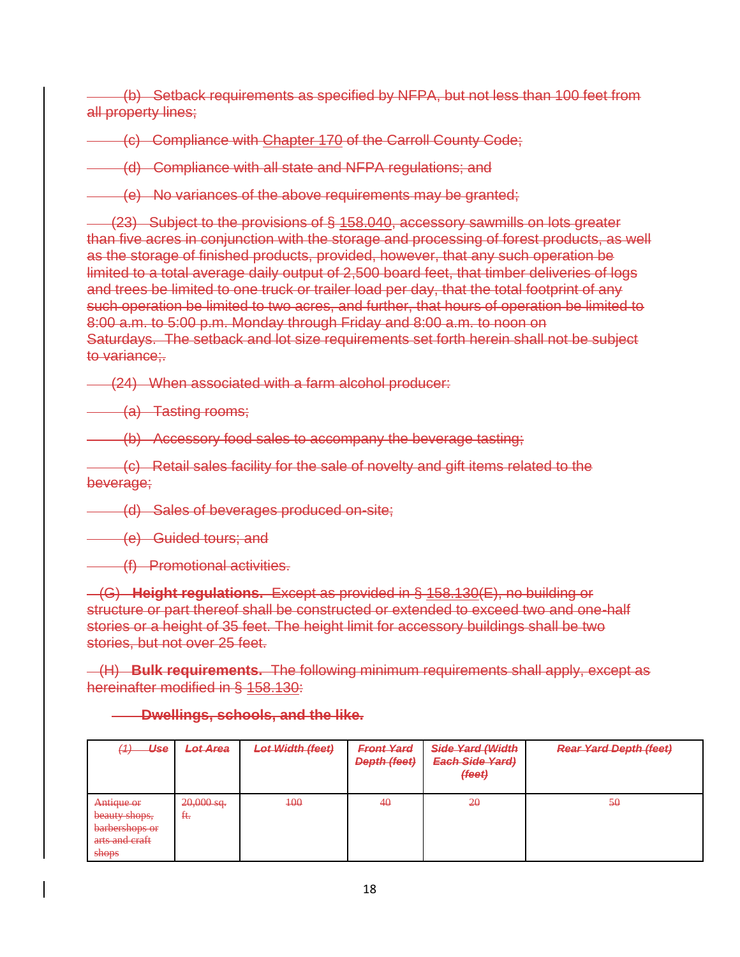(b) Setback requirements as specified by NFPA, but not less than 100 feet from all property lines;

(c) Compliance with Chapter 170 of the Carroll County Code;

(d) Compliance with all state and NFPA regulations; and

(e) No variances of the above requirements may be granted;

 (23) Subject to the provisions of § 158.040, accessory sawmills on lots greater than five acres in conjunction with the storage and processing of forest products, as well as the storage of finished products, provided, however, that any such operation be limited to a total average daily output of 2,500 board feet, that timber deliveries of logs and trees be limited to one truck or trailer load per day, that the total footprint of any such operation be limited to two acres, and further, that hours of operation be limited to 8:00 a.m. to 5:00 p.m. Monday through Friday and 8:00 a.m. to noon on Saturdays. The setback and lot size requirements set forth herein shall not be subject to variance;.

(24) When associated with a farm alcohol producer:

(a) Tasting rooms;

(b) Accessory food sales to accompany the beverage tasting;

 (c) Retail sales facility for the sale of novelty and gift items related to the beverage;

(d) Sales of beverages produced on-site;

**(e)** Guided tours; and

(f) Promotional activities.

 (G) **Height regulations.** Except as provided in § 158.130(E), no building or structure or part thereof shall be constructed or extended to exceed two and one-half stories or a height of 35 feet. The height limit for accessory buildings shall be two stories, but not over 25 feet.

 (H) **Bulk requirements.** The following minimum requirements shall apply, except as hereinafter modified in § 158.130:

**Dwellings, schools, and the like.**

| Use<br>$\overline{4}$<br>▽                                                                           | <b>Lot Area</b>    | <b>Lot Width (feet)</b> | <b>Front Yard</b><br>Depth (feet) | Side Yard (Width<br><b>Fach Side Vard)</b><br><del>Laun oruc raru</del><br>${fee}$ | <b>Rear Yard Depth (feet)</b> |
|------------------------------------------------------------------------------------------------------|--------------------|-------------------------|-----------------------------------|------------------------------------------------------------------------------------|-------------------------------|
| Antique or<br>hequity chang<br><del>beauty shops,</del><br>barbershops or<br>arts and craft<br>shops | $20,000$ sq.<br>Ħ. | $+00$                   | 40                                | 20                                                                                 | 50                            |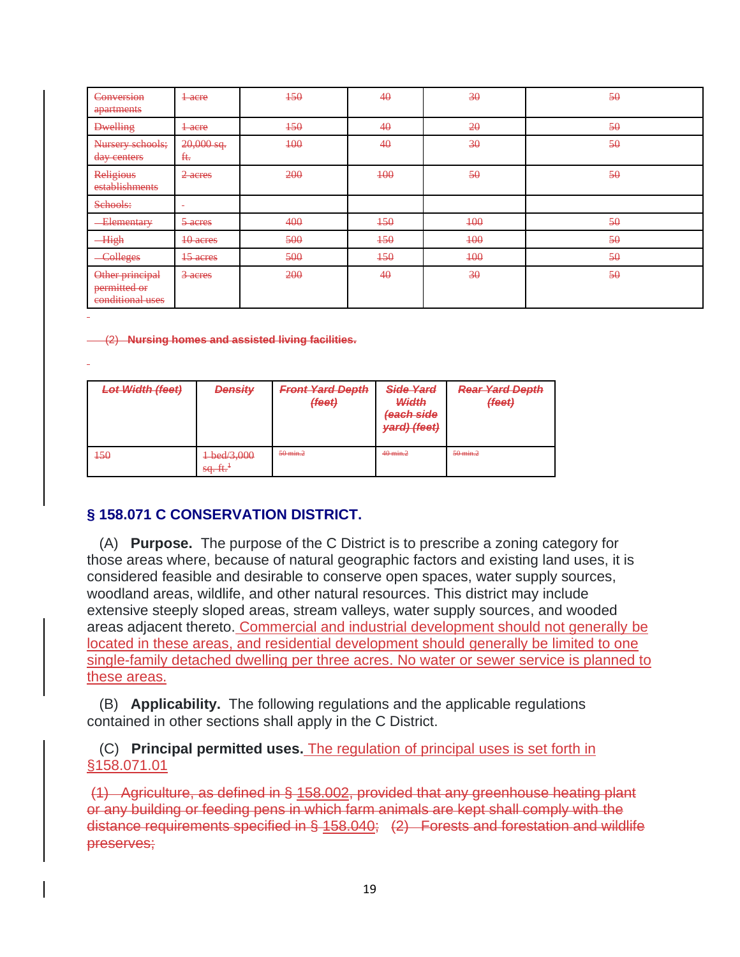| Conversion<br>apartments                            | $1$ acre                 | $+50$ | 40        | 30    | 50 |
|-----------------------------------------------------|--------------------------|-------|-----------|-------|----|
| <b>Dwelling</b>                                     | $1$ acre                 | $+50$ | $4\theta$ | 20    | 50 |
| Nursery schools;<br>day centers                     | $20,000$ sq.<br>ft.      | 400   | 40        | 30    | 50 |
| Religious<br>establishments                         | 2-acres                  | 200   | $+00$     | 50    | 50 |
| Schools:                                            | $\overline{\phantom{a}}$ |       |           |       |    |
| <b>Elementary</b>                                   | 5-acres                  | 400   | $+50$     | $+00$ | 50 |
| <b>High</b>                                         | 40 acres                 | 500   | $+50$     | 100   | 50 |
| <b>Colleges</b>                                     | <del>15 acres</del>      | 500   | $+50$     | $+00$ | 50 |
| Other principal<br>permitted or<br>conditional uses | 3-acres                  | 200   | 40        | 30    | 50 |

(2) **Nursing homes and assisted living facilities.**

| <b>Lot Width (feet)</b> | <b>Density</b>                         | <b>Front Yard Depth</b><br>${f (eet)}$ | Side Yard<br>Width<br>feach side<br>yard) (feet) | <b>Rear Yard Depth</b><br>${f(test)}$ |
|-------------------------|----------------------------------------|----------------------------------------|--------------------------------------------------|---------------------------------------|
| $+50$                   | + bed/3,000<br>$\text{sq. ft}^{\ddag}$ | $50$ min. $2$                          | 40 min.2                                         | 50 min.2                              |

### **§ 158.071 C CONSERVATION DISTRICT.**

 (A) **Purpose.** The purpose of the C District is to prescribe a zoning category for those areas where, because of natural geographic factors and existing land uses, it is considered feasible and desirable to conserve open spaces, water supply sources, woodland areas, wildlife, and other natural resources. This district may include extensive steeply sloped areas, stream valleys, water supply sources, and wooded areas adjacent thereto. Commercial and industrial development should not generally be located in these areas, and residential development should generally be limited to one single-family detached dwelling per three acres. No water or sewer service is planned to these areas.

 (B) **Applicability.** The following regulations and the applicable regulations contained in other sections shall apply in the C District.

 (C) **Principal permitted uses.** The regulation of principal uses is set forth in §158.071.01

(1) Agriculture, as defined in § 158.002, provided that any greenhouse heating plant or any building or feeding pens in which farm animals are kept shall comply with the distance requirements specified in § 158.040; (2) Forests and forestation and wildlife preserves;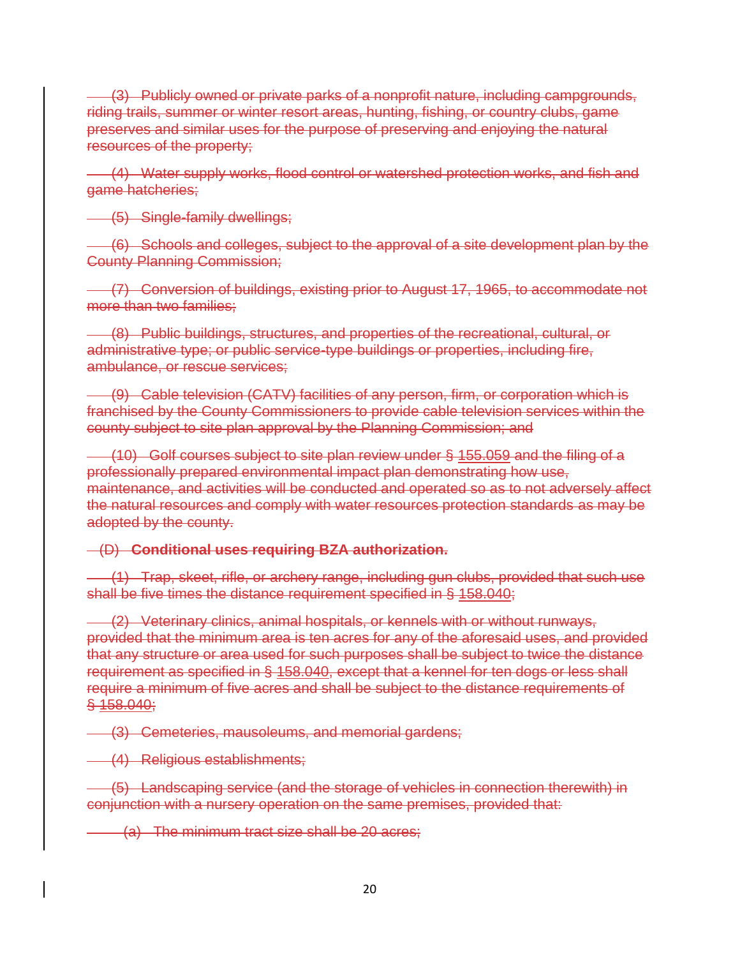(3) Publicly owned or private parks of a nonprofit nature, including campgrounds, riding trails, summer or winter resort areas, hunting, fishing, or country clubs, game preserves and similar uses for the purpose of preserving and enjoying the natural resources of the property;

 (4) Water supply works, flood control or watershed protection works, and fish and game hatcheries;

(5) Single-family dwellings;

 (6) Schools and colleges, subject to the approval of a site development plan by the County Planning Commission;

 (7) Conversion of buildings, existing prior to August 17, 1965, to accommodate not more than two families;

 (8) Public buildings, structures, and properties of the recreational, cultural, or administrative type; or public service-type buildings or properties, including fire, ambulance, or rescue services;

 (9) Cable television (CATV) facilities of any person, firm, or corporation which is franchised by the County Commissioners to provide cable television services within the county subject to site plan approval by the Planning Commission; and

 (10) Golf courses subject to site plan review under § 155.059 and the filing of a professionally prepared environmental impact plan demonstrating how use, maintenance, and activities will be conducted and operated so as to not adversely affect the natural resources and comply with water resources protection standards as may be adopted by the county.

#### (D) **Conditional uses requiring BZA authorization.**

 (1) Trap, skeet, rifle, or archery range, including gun clubs, provided that such use shall be five times the distance requirement specified in § 158.040;

 (2) Veterinary clinics, animal hospitals, or kennels with or without runways, provided that the minimum area is ten acres for any of the aforesaid uses, and provided that any structure or area used for such purposes shall be subject to twice the distance requirement as specified in § 158.040, except that a kennel for ten dogs or less shall require a minimum of five acres and shall be subject to the distance requirements of § 158.040;

(3) Cemeteries, mausoleums, and memorial gardens;

(4) Religious establishments;

 (5) Landscaping service (and the storage of vehicles in connection therewith) in conjunction with a nursery operation on the same premises, provided that:

(a) The minimum tract size shall be 20 acres;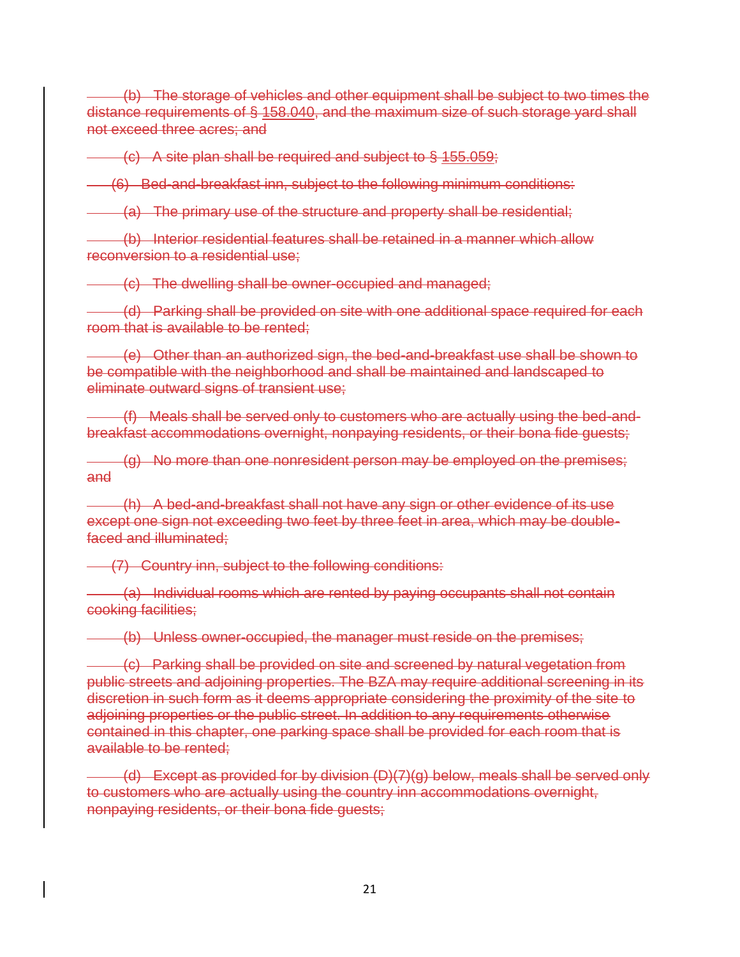(b) The storage of vehicles and other equipment shall be subject to two times the distance requirements of § 158.040, and the maximum size of such storage yard shall not exceed three acres; and

(c) A site plan shall be required and subject to § 155.059;

(6) Bed-and-breakfast inn, subject to the following minimum conditions:

(a) The primary use of the structure and property shall be residential;

 (b) Interior residential features shall be retained in a manner which allow reconversion to a residential use;

(c) The dwelling shall be owner-occupied and managed;

 (d) Parking shall be provided on site with one additional space required for each room that is available to be rented;

 (e) Other than an authorized sign, the bed-and-breakfast use shall be shown to be compatible with the neighborhood and shall be maintained and landscaped to eliminate outward signs of transient use;

 (f) Meals shall be served only to customers who are actually using the bed-andbreakfast accommodations overnight, nonpaying residents, or their bona fide guests;

 (g) No more than one nonresident person may be employed on the premises; and

 (h) A bed-and-breakfast shall not have any sign or other evidence of its use except one sign not exceeding two feet by three feet in area, which may be doublefaced and illuminated;

(7) Country inn, subject to the following conditions:

 (a) Individual rooms which are rented by paying occupants shall not contain cooking facilities;

(b) Unless owner-occupied, the manager must reside on the premises;

 (c) Parking shall be provided on site and screened by natural vegetation from public streets and adjoining properties. The BZA may require additional screening in its discretion in such form as it deems appropriate considering the proximity of the site to adjoining properties or the public street. In addition to any requirements otherwise contained in this chapter, one parking space shall be provided for each room that is available to be rented;

 (d) Except as provided for by division (D)(7)(g) below, meals shall be served only to customers who are actually using the country inn accommodations overnight, nonpaying residents, or their bona fide guests;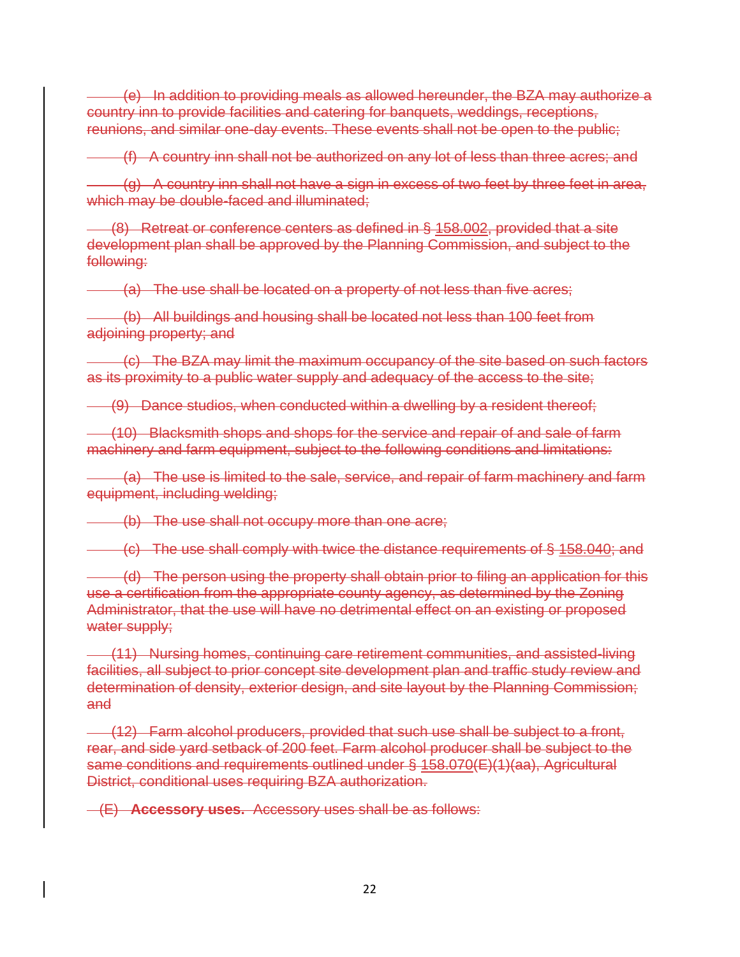(e) In addition to providing meals as allowed hereunder, the BZA may authorize a country inn to provide facilities and catering for banquets, weddings, receptions, reunions, and similar one-day events. These events shall not be open to the public;

(f) A country inn shall not be authorized on any lot of less than three acres; and

 (g) A country inn shall not have a sign in excess of two feet by three feet in area, which may be double-faced and illuminated:

 (8) Retreat or conference centers as defined in § 158.002, provided that a site development plan shall be approved by the Planning Commission, and subject to the following:

(a) The use shall be located on a property of not less than five acres;

 (b) All buildings and housing shall be located not less than 100 feet from adjoining property; and

 (c) The BZA may limit the maximum occupancy of the site based on such factors as its proximity to a public water supply and adequacy of the access to the site;

(9) Dance studios, when conducted within a dwelling by a resident thereof;

 (10) Blacksmith shops and shops for the service and repair of and sale of farm machinery and farm equipment, subject to the following conditions and limitations:

 (a) The use is limited to the sale, service, and repair of farm machinery and farm equipment, including welding;

(b) The use shall not occupy more than one acre;

(c) The use shall comply with twice the distance requirements of § 158.040; and

 (d) The person using the property shall obtain prior to filing an application for this use a certification from the appropriate county agency, as determined by the Zoning Administrator, that the use will have no detrimental effect on an existing or proposed water supply;

 (11) Nursing homes, continuing care retirement communities, and assisted-living facilities, all subject to prior concept site development plan and traffic study review and determination of density, exterior design, and site layout by the Planning Commission; and

 (12) Farm alcohol producers, provided that such use shall be subject to a front, rear, and side yard setback of 200 feet. Farm alcohol producer shall be subject to the same conditions and requirements outlined under § 158.070(E)(1)(aa), Agricultural District, conditional uses requiring BZA authorization.

(E) **Accessory uses.** Accessory uses shall be as follows: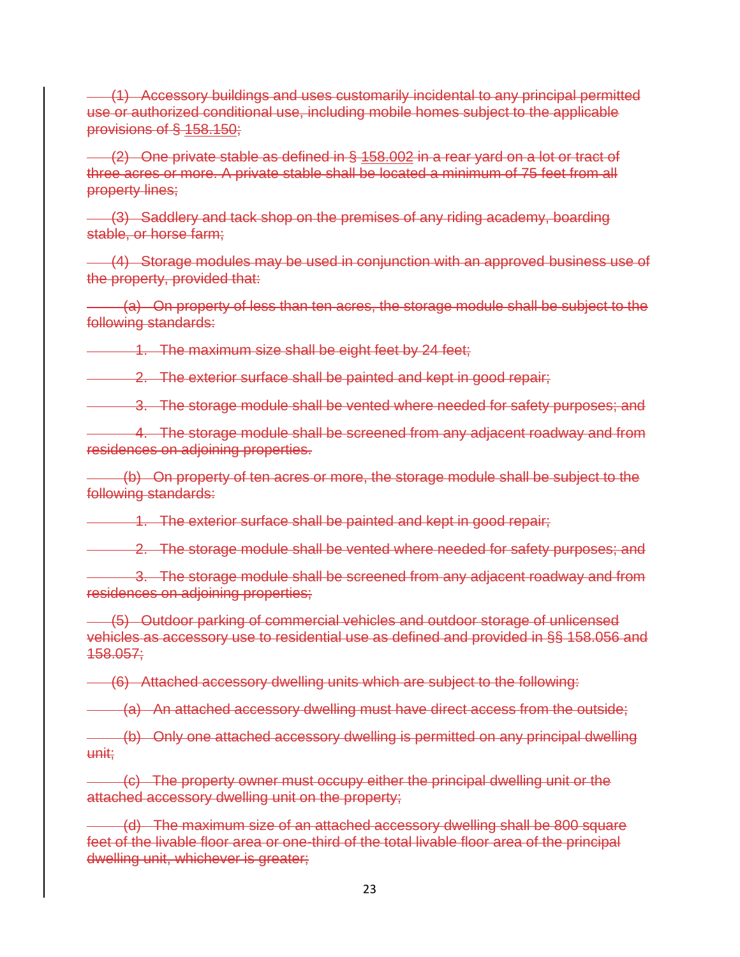(1) Accessory buildings and uses customarily incidental to any principal permitted use or authorized conditional use, including mobile homes subject to the applicable provisions of § 158.150;

 (2) One private stable as defined in § 158.002 in a rear yard on a lot or tract of three acres or more. A private stable shall be located a minimum of 75 feet from all property lines;

 (3) Saddlery and tack shop on the premises of any riding academy, boarding stable, or horse farm;

 (4) Storage modules may be used in conjunction with an approved business use of the property, provided that:

 (a) On property of less than ten acres, the storage module shall be subject to the following standards:

1. The maximum size shall be eight feet by 24 feet;

**2.** The exterior surface shall be painted and kept in good repair;

3. The storage module shall be vented where needed for safety purposes; and

 4. The storage module shall be screened from any adjacent roadway and from residences on adjoining properties.

 (b) On property of ten acres or more, the storage module shall be subject to the following standards:

1. The exterior surface shall be painted and kept in good repair;

2. The storage module shall be vented where needed for safety purposes; and

 3. The storage module shall be screened from any adjacent roadway and from residences on adjoining properties;

 (5) Outdoor parking of commercial vehicles and outdoor storage of unlicensed vehicles as accessory use to residential use as defined and provided in §§ 158.056 and 158.057;

(6) Attached accessory dwelling units which are subject to the following:

(a) An attached accessory dwelling must have direct access from the outside;

 (b) Only one attached accessory dwelling is permitted on any principal dwelling unit;

 (c) The property owner must occupy either the principal dwelling unit or the attached accessory dwelling unit on the property;

(d) The maximum size of an attached accessory dwelling shall be 800 square feet of the livable floor area or one-third of the total livable floor area of the principal dwelling unit, whichever is greater;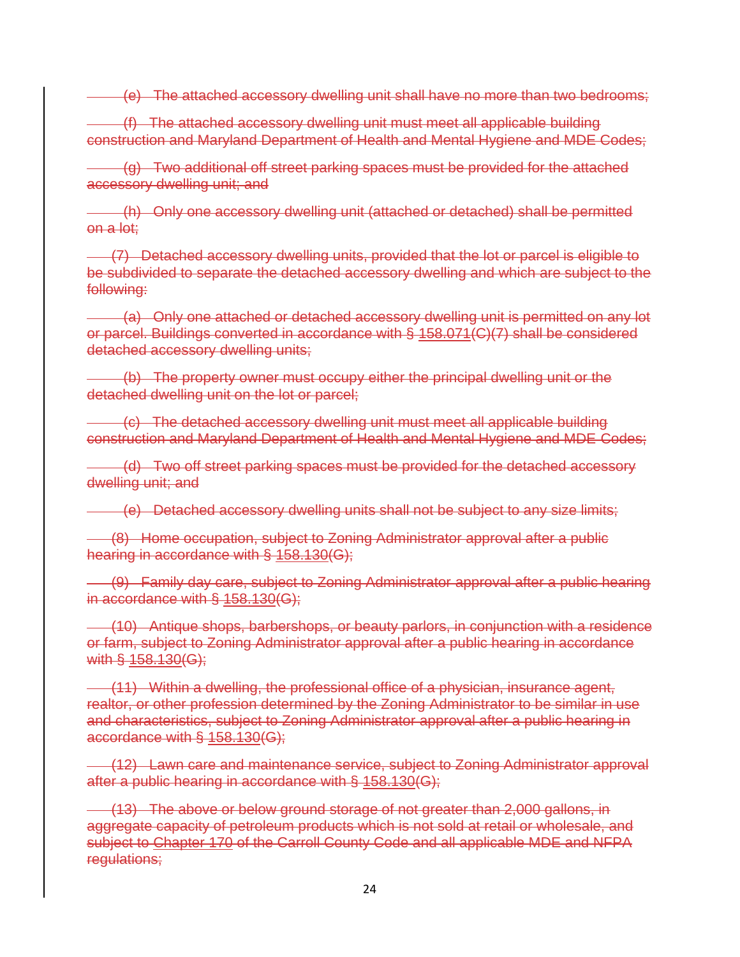(e) The attached accessory dwelling unit shall have no more than two bedrooms;

 (f) The attached accessory dwelling unit must meet all applicable building construction and Maryland Department of Health and Mental Hygiene and MDE Codes;

 (g) Two additional off street parking spaces must be provided for the attached accessory dwelling unit; and

 (h) Only one accessory dwelling unit (attached or detached) shall be permitted on a lot;

 (7) Detached accessory dwelling units, provided that the lot or parcel is eligible to be subdivided to separate the detached accessory dwelling and which are subject to the following:

 (a) Only one attached or detached accessory dwelling unit is permitted on any lot or parcel. Buildings converted in accordance with § 158.071(C)(7) shall be considered detached accessory dwelling units;

 (b) The property owner must occupy either the principal dwelling unit or the detached dwelling unit on the lot or parcel;

 (c) The detached accessory dwelling unit must meet all applicable building construction and Maryland Department of Health and Mental Hygiene and MDE Codes;

 (d) Two off street parking spaces must be provided for the detached accessory dwelling unit; and

(e) Detached accessory dwelling units shall not be subject to any size limits;

 (8) Home occupation, subject to Zoning Administrator approval after a public hearing in accordance with § 158.130(G);

 (9) Family day care, subject to Zoning Administrator approval after a public hearing in accordance with § 158.130(G);

 (10) Antique shops, barbershops, or beauty parlors, in conjunction with a residence or farm, subject to Zoning Administrator approval after a public hearing in accordance with § 158.130(G);

 (11) Within a dwelling, the professional office of a physician, insurance agent, realtor, or other profession determined by the Zoning Administrator to be similar in use and characteristics, subject to Zoning Administrator approval after a public hearing in accordance with § 158.130(G);

 (12) Lawn care and maintenance service, subject to Zoning Administrator approval after a public hearing in accordance with § 158.130(G);

 (13) The above or below ground storage of not greater than 2,000 gallons, in aggregate capacity of petroleum products which is not sold at retail or wholesale, and subject to Chapter 170 of the Carroll County Code and all applicable MDE and NFPA regulations;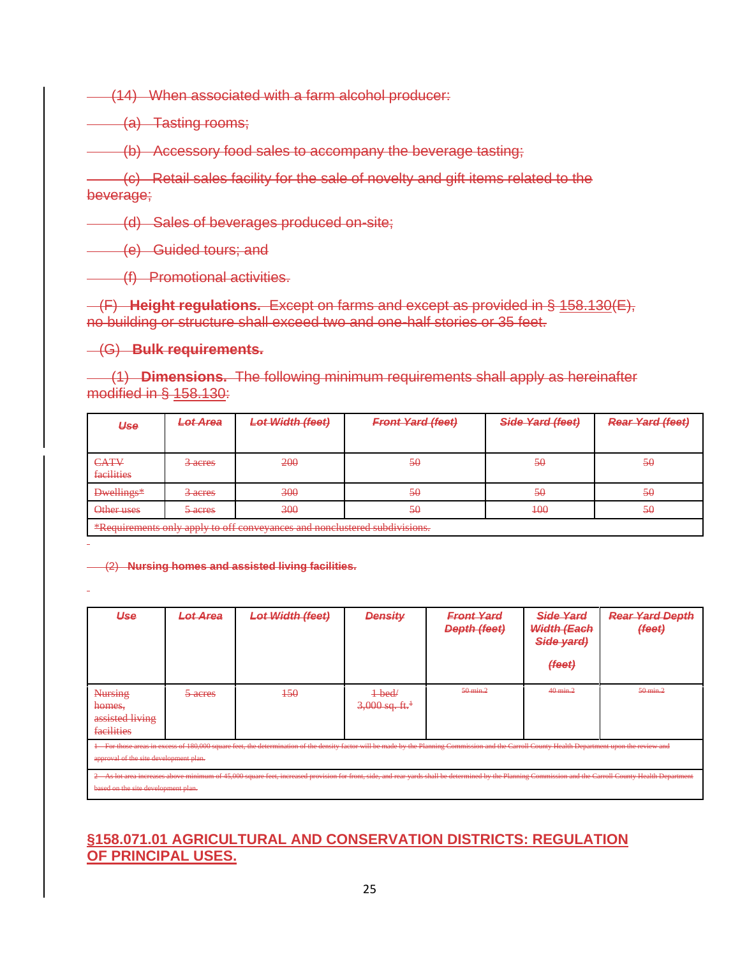(14) When associated with a farm alcohol producer:

(a) Tasting rooms;

(b) Accessory food sales to accompany the beverage tasting;

 (c) Retail sales facility for the sale of novelty and gift items related to the beverage;

(d) Sales of beverages produced on-site;

(e) Guided tours; and

(f) Promotional activities.

 (F) **Height regulations.** Except on farms and except as provided in § 158.130(E), no building or structure shall exceed two and one-half stories or 35 feet.

#### (G) **Bulk requirements.**

 (1) **Dimensions.** The following minimum requirements shall apply as hereinafter modified in § 158.130:

| Use                                                                                                                                                                                                                                          | <b>Lot Area</b> | <b>Lot Width (feet)</b> | <b>Front Yard (feet)</b> | Side Yard (feet) | <b>Rear Yard (feet)</b> |  |
|----------------------------------------------------------------------------------------------------------------------------------------------------------------------------------------------------------------------------------------------|-----------------|-------------------------|--------------------------|------------------|-------------------------|--|
|                                                                                                                                                                                                                                              |                 |                         |                          |                  |                         |  |
| CATV<br>facilities                                                                                                                                                                                                                           | 3 acres         | 200                     | 50                       | 50               | 50                      |  |
| <b>Dwellings*</b>                                                                                                                                                                                                                            | 3 acres         | 300                     | 50                       | 50               | 50                      |  |
| Other uses                                                                                                                                                                                                                                   | 5 acres         | 300                     | 50                       | 400              | 50                      |  |
| <u>*Requirements only annly to off conveyances and nonclustered subdivisions</u><br><b>Requirements only upply</b><br><b>TO OFFICIAL ACTIVITY CONTRACT AND ACTIVITY CONTRACT AND A PROPERTY CONTRACT OF A PROPERTY AND ACTIVITY OF A PRO</b> |                 |                         |                          |                  |                         |  |

(2) **Nursing homes and assisted living facilities.**

| Use                                                                                                                                                                                                                                             | <b>Lot Area</b> | <b>Lot Width (feet)</b> | <b>Density</b>                           | <b>Front Yard</b><br>Depth (feet) | Side Yard<br>Width (Each<br>Side yard)<br>(feet) | <b>Rear Yard Depth</b><br>(feet) |  |
|-------------------------------------------------------------------------------------------------------------------------------------------------------------------------------------------------------------------------------------------------|-----------------|-------------------------|------------------------------------------|-----------------------------------|--------------------------------------------------|----------------------------------|--|
| <b>Nursing</b><br>homes.<br>assisted living<br>facilities                                                                                                                                                                                       | 5 acres         | 450                     | $1$ bed/<br>$3,000$ sq. ft. <sup>1</sup> | 50 min.2                          | 40 min.2                                         | 50 min.2                         |  |
| 1 For those areas in excess of 180,000 square feet, the determination of the density factor will be made by the Planning Commission and the Carroll County Health Department upon the review and<br>approval of the site development plan.      |                 |                         |                                          |                                   |                                                  |                                  |  |
| 2 As lot area increases above minimum of 45,000 square feet, increased provision for front, side, and rear vards shall be determined by the Planning Commission and the Carroll County Health Department<br>based on the site development plan. |                 |                         |                                          |                                   |                                                  |                                  |  |

#### **§158.071.01 AGRICULTURAL AND CONSERVATION DISTRICTS: REGULATION OF PRINCIPAL USES.**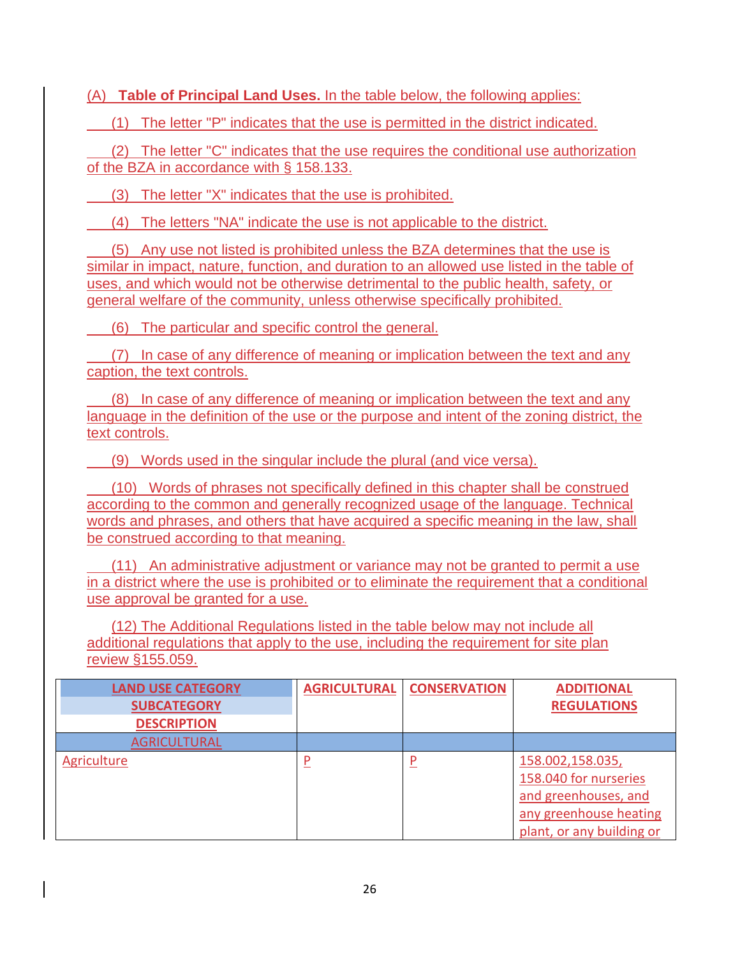(A) **Table of Principal Land Uses.** In the table below, the following applies:

(1) The letter "P" indicates that the use is permitted in the district indicated.

 (2) The letter "C" indicates that the use requires the conditional use authorization of the BZA in accordance with § [158.133.](https://codelibrary.amlegal.com/codes/carrollcounty/latest/carrollcounty_md/0-0-0-29016#JD_158.133)

(3) The letter "X" indicates that the use is prohibited.

(4) The letters "NA" indicate the use is not applicable to the district.

 (5) Any use not listed is prohibited unless the BZA determines that the use is similar in impact, nature, function, and duration to an allowed use listed in the table of uses, and which would not be otherwise detrimental to the public health, safety, or general welfare of the community, unless otherwise specifically prohibited.

(6) The particular and specific control the general.

 (7) In case of any difference of meaning or implication between the text and any caption, the text controls.

 (8) In case of any difference of meaning or implication between the text and any language in the definition of the use or the purpose and intent of the zoning district, the text controls.

(9) Words used in the singular include the plural (and vice versa).

 (10) Words of phrases not specifically defined in this chapter shall be construed according to the common and generally recognized usage of the language. Technical words and phrases, and others that have acquired a specific meaning in the law, shall be construed according to that meaning.

 (11) An administrative adjustment or variance may not be granted to permit a use in a district where the use is prohibited or to eliminate the requirement that a conditional use approval be granted for a use.

 (12) The Additional Regulations listed in the table below may not include all additional regulations that apply to the use, including the requirement for site plan review §155.059.

| <b>LAND USE CATEGORY</b><br><b>SUBCATEGORY</b> | <b>AGRICULTURAL</b> | <b>CONSERVATION</b> | <b>ADDITIONAL</b><br><b>REGULATIONS</b>                                                                                  |
|------------------------------------------------|---------------------|---------------------|--------------------------------------------------------------------------------------------------------------------------|
| <b>DESCRIPTION</b>                             |                     |                     |                                                                                                                          |
| <b>AGRICULTURAL</b>                            |                     |                     |                                                                                                                          |
| Agriculture                                    | P                   |                     | 158.002,158.035,<br>158.040 for nurseries<br>and greenhouses, and<br>any greenhouse heating<br>plant, or any building or |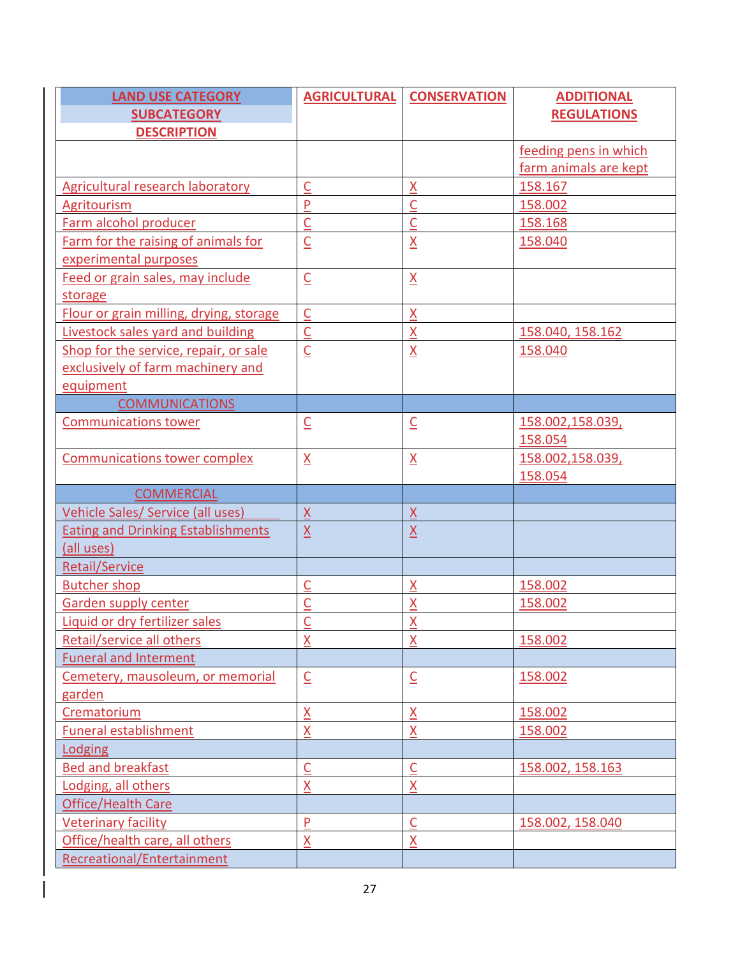| <b>LAND USE CATEGORY</b>                  | <b>AGRICULTURAL</b>                 | <b>CONSERVATION</b>        | <b>ADDITIONAL</b>     |
|-------------------------------------------|-------------------------------------|----------------------------|-----------------------|
| <b>SUBCATEGORY</b>                        |                                     |                            | <b>REGULATIONS</b>    |
| <b>DESCRIPTION</b>                        |                                     |                            |                       |
|                                           |                                     |                            | feeding pens in which |
|                                           |                                     |                            | farm animals are kept |
| <b>Agricultural research laboratory</b>   | $\overline{\mathsf{C}}$             | $\underline{X}$            | 158.167               |
| Agritourism                               | $\overline{P}$                      | $\overline{\mathsf{C}}$    | 158.002               |
| Farm alcohol producer                     | $\underline{\underline{C}}$         | $\overline{C}$             | 158.168               |
| Farm for the raising of animals for       | $\underline{\mathsf{C}}$            | $\underline{\mathsf{X}}$   | 158.040               |
| experimental purposes                     |                                     |                            |                       |
| Feed or grain sales, may include          | $\underline{\mathsf{C}}$            | $\underline{X}$            |                       |
| storage                                   |                                     |                            |                       |
| Flour or grain milling, drying, storage   | $\overline{\underline{C}}$          | $\underline{X}$            |                       |
| <b>Livestock sales yard and building</b>  | $\overline{\underline{C}}$          | $\underline{X}$            | 158.040, 158.162      |
| Shop for the service, repair, or sale     | $\underline{\mathsf{C}}$            | $\underline{\mathsf{X}}$   | 158.040               |
| exclusively of farm machinery and         |                                     |                            |                       |
| equipment                                 |                                     |                            |                       |
| <b>COMMUNICATIONS</b>                     |                                     |                            |                       |
| <b>Communications tower</b>               | $\underline{\mathsf{C}}$            | $\underline{\mathsf{C}}$   | 158.002,158.039,      |
|                                           |                                     |                            | 158.054               |
| <b>Communications tower complex</b>       | $\underline{X}$                     | $\underline{X}$            | 158.002,158.039,      |
|                                           |                                     |                            | 158.054               |
| <b>COMMERCIAL</b>                         |                                     |                            |                       |
| Vehicle Sales/ Service (all uses)         | X                                   | $\underline{X}$            |                       |
| <b>Eating and Drinking Establishments</b> | $\underline{X}$                     | $\underline{X}$            |                       |
| (all uses)                                |                                     |                            |                       |
| <b>Retail/Service</b>                     |                                     |                            |                       |
| <b>Butcher shop</b>                       | $\overline{\mathsf{C}}$             | $\underline{X}$            | 158.002               |
| <b>Garden supply center</b>               | $\overline{\underline{\mathsf{C}}}$ | $\overline{\mathsf{X}}$    | 158.002               |
| Liquid or dry fertilizer sales            | $\overline{\mathsf{C}}$             | $\underline{X}$            |                       |
| Retail/service all others                 | $\underline{X}$                     | $\underline{X}$            | 158.002               |
| <b>Funeral and Interment</b>              |                                     |                            |                       |
| Cemetery, mausoleum, or memorial          | $\underline{\mathsf{C}}$            | $\underline{\mathsf{C}}$   | 158.002               |
| garden                                    |                                     |                            |                       |
| Crematorium                               | $\underline{X}$                     | $\underline{X}$            | 158.002               |
| <b>Funeral establishment</b>              | $\underline{X}$                     | $\underline{X}$            | 158.002               |
| Lodging                                   |                                     |                            |                       |
| <b>Bed and breakfast</b>                  | $\overline{C}$                      | $\overline{\underline{C}}$ | 158.002, 158.163      |
| Lodging, all others                       | $\underline{X}$                     | $\underline{X}$            |                       |
| Office/Health Care                        |                                     |                            |                       |
| <b>Veterinary facility</b>                | $\overline{P}$                      | $\overline{\mathsf{C}}$    | 158.002, 158.040      |
| Office/health care, all others            | X                                   | X                          |                       |
| <b>Recreational/Entertainment</b>         |                                     |                            |                       |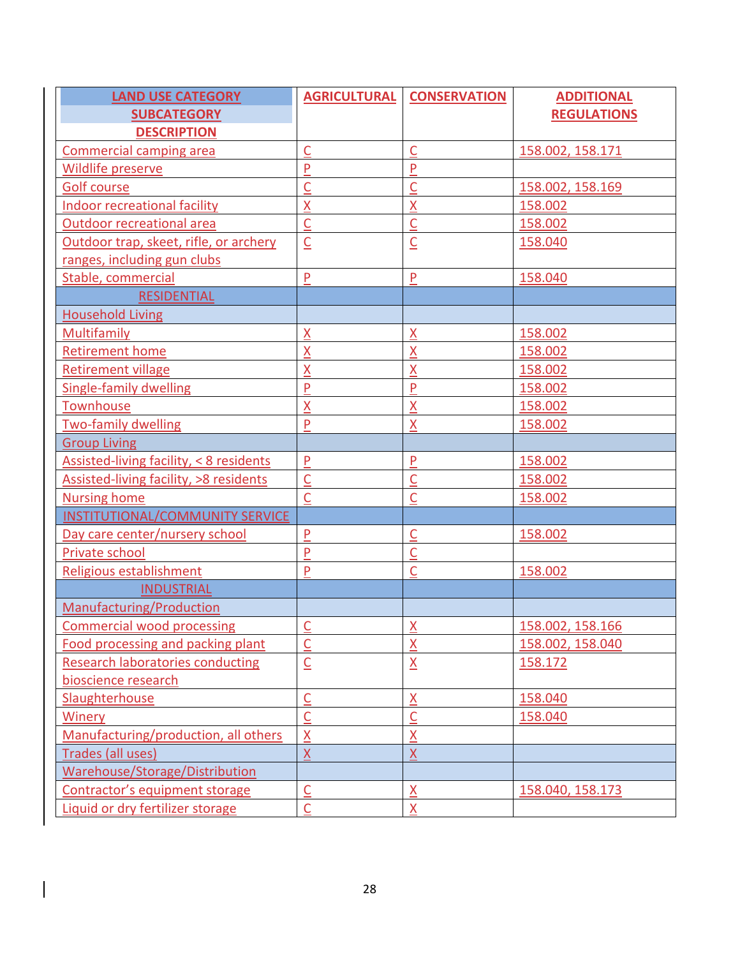| <b>LAND USE CATEGORY</b>                | <b>AGRICULTURAL</b>        | <b>CONSERVATION</b>         | <b>ADDITIONAL</b>  |
|-----------------------------------------|----------------------------|-----------------------------|--------------------|
| <b>SUBCATEGORY</b>                      |                            |                             | <b>REGULATIONS</b> |
| <b>DESCRIPTION</b>                      |                            |                             |                    |
| <b>Commercial camping area</b>          | $\mathsf C$                | $\overline{\mathsf{C}}$     | 158.002, 158.171   |
| <b>Wildlife preserve</b>                | $\mathsf{P}$               | $\mathsf{P}$                |                    |
| <b>Golf course</b>                      | $\mathsf{C}$               | $\overline{\mathsf{C}}$     | 158.002, 158.169   |
| Indoor recreational facility            | $\underline{X}$            | $\underline{X}$             | 158.002            |
| <b>Outdoor recreational area</b>        | $\overline{\underline{C}}$ | $\overline{\mathsf{C}}$     | 158.002            |
| Outdoor trap, skeet, rifle, or archery  | $\underline{\mathsf{C}}$   | $\underline{\underline{C}}$ | 158.040            |
| ranges, including gun clubs             |                            |                             |                    |
| Stable, commercial                      | ${\sf P}$                  | P                           | 158.040            |
| <b>RESIDENTIAL</b>                      |                            |                             |                    |
| <b>Household Living</b>                 |                            |                             |                    |
| Multifamily                             | $\underline{X}$            | <u>X</u>                    | 158.002            |
| <b>Retirement home</b>                  | $\underline{X}$            | X                           | 158.002            |
| <b>Retirement village</b>               | $\overline{\mathsf{X}}$    | $\overline{\mathsf{X}}$     | 158.002            |
| <b>Single-family dwelling</b>           | $\mathsf{P}$               | P                           | 158.002            |
| Townhouse                               | $\underline{X}$            | $\underline{X}$             | 158.002            |
| <b>Two-family dwelling</b>              | $\mathsf{P}$               | X                           | 158.002            |
| <b>Group Living</b>                     |                            |                             |                    |
| Assisted-living facility, < 8 residents | $\mathsf{P}$               | P                           | 158.002            |
| Assisted-living facility, >8 residents  | $\underline{\mathsf{C}}$   | $\overline{\mathsf{C}}$     | 158.002            |
| <b>Nursing home</b>                     | $\overline{C}$             | $\overline{\mathsf{C}}$     | 158.002            |
| INSTITUTIONAL/COMMUNITY SERVICE         |                            |                             |                    |
| Day care center/nursery school          | $\overline{P}$             | $\underline{\underline{C}}$ | 158.002            |
| Private school                          | $\mathsf{P}$               | $\overline{\mathsf{C}}$     |                    |
| Religious establishment                 | $\overline{P}$             | $\overline{\mathsf{C}}$     | 158.002            |
| <b>INDUSTRIAL</b>                       |                            |                             |                    |
| Manufacturing/Production                |                            |                             |                    |
| <b>Commercial wood processing</b>       |                            | $\mathsf{X}$                | 158.002.158.166    |
| Food processing and packing plant       | $\overline{\mathsf{C}}$    | $\underline{X}$             | 158.002, 158.040   |
| <b>Research laboratories conducting</b> | $\underline{\mathsf{C}}$   | $\underline{X}$             | 158.172            |
| bioscience research                     |                            |                             |                    |
| Slaughterhouse                          | $\overline{\underline{C}}$ | $\underline{X}$             | 158.040            |
| <b>Winery</b>                           | $\overline{\underline{C}}$ | $\overline{\underline{C}}$  | 158.040            |
| Manufacturing/production, all others    | $\underline{X}$            | $\underline{X}$             |                    |
| Trades (all uses)                       | $\underline{X}$            | $\underline{X}$             |                    |
| Warehouse/Storage/Distribution          |                            |                             |                    |
| Contractor's equipment storage          | $\overline{C}$             | $\underline{X}$             | 158.040, 158.173   |
| Liquid or dry fertilizer storage        | $\mathsf C$                | X                           |                    |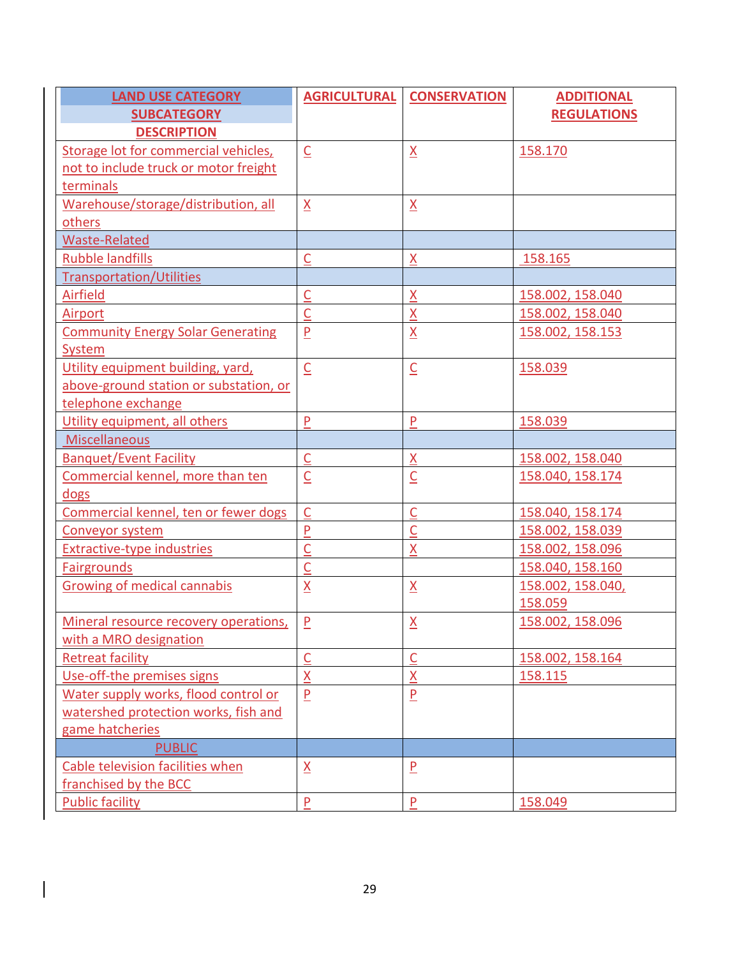| <b>LAND USE CATEGORY</b>                 | <b>AGRICULTURAL</b>         | <b>CONSERVATION</b>        | <b>ADDITIONAL</b>  |
|------------------------------------------|-----------------------------|----------------------------|--------------------|
| <b>SUBCATEGORY</b>                       |                             |                            | <b>REGULATIONS</b> |
| <b>DESCRIPTION</b>                       |                             |                            |                    |
| Storage lot for commercial vehicles,     | $\underline{\mathsf{C}}$    | $\underline{X}$            | 158.170            |
| not to include truck or motor freight    |                             |                            |                    |
| terminals                                |                             |                            |                    |
| Warehouse/storage/distribution, all      | $\underline{X}$             | $\underline{\mathsf{X}}$   |                    |
| others                                   |                             |                            |                    |
| <b>Waste-Related</b>                     |                             |                            |                    |
| <b>Rubble landfills</b>                  | $\overline{C}$              | $\underline{X}$            | 158.165            |
| <b>Transportation/Utilities</b>          |                             |                            |                    |
| Airfield                                 | $\underline{\underline{C}}$ | $\underline{X}$            | 158.002, 158.040   |
| <b>Airport</b>                           | $\overline{\underline{C}}$  | $\underline{X}$            | 158.002, 158.040   |
| <b>Community Energy Solar Generating</b> | $\underline{\mathsf{P}}$    | $\underline{\mathsf{X}}$   | 158.002, 158.153   |
| System                                   |                             |                            |                    |
| Utility equipment building, yard,        | $\overline{\underline{C}}$  | $\overline{\mathsf{C}}$    | 158.039            |
| above-ground station or substation, or   |                             |                            |                    |
| telephone exchange                       |                             |                            |                    |
| Utility equipment, all others            | P                           | $\mathsf{P}$               | 158.039            |
| Miscellaneous                            |                             |                            |                    |
| <b>Banquet/Event Facility</b>            | $\underline{\underline{C}}$ | $\underline{X}$            | 158.002, 158.040   |
| Commercial kennel, more than ten         | $\underline{\underline{C}}$ | $\overline{\underline{C}}$ | 158.040, 158.174   |
| dogs                                     |                             |                            |                    |
| Commercial kennel, ten or fewer dogs     | $\overline{C}$              | $\overline{C}$             | 158.040, 158.174   |
| Conveyor system                          | $\overline{P}$              | $\overline{\mathsf{C}}$    | 158.002, 158.039   |
| <b>Extractive-type industries</b>        | $\underline{\underline{C}}$ | X                          | 158.002, 158.096   |
| <b>Fairgrounds</b>                       | $\overline{\underline{C}}$  |                            | 158.040, 158.160   |
| <b>Growing of medical cannabis</b>       | $\underline{X}$             | $\underline{\mathsf{X}}$   | 158.002, 158.040,  |
|                                          |                             |                            | 158.059            |
| Mineral resource recovery operations,    | $\mathsf{P}$                | $\underline{X}$            | 158.002, 158.096   |
| with a MRO designation                   |                             |                            |                    |
| <b>Retreat facility</b>                  | $\overline{\mathsf{C}}$     | $\overline{\mathsf{C}}$    | 158.002, 158.164   |
| Use-off-the premises signs               | $\underline{X}$             | $\underline{X}$            | 158.115            |
| Water supply works, flood control or     | $\overline{P}$              | $\overline{P}$             |                    |
| watershed protection works, fish and     |                             |                            |                    |
| game hatcheries                          |                             |                            |                    |
| <b>PUBLIC</b>                            |                             |                            |                    |
| Cable television facilities when         | $\underline{X}$             | $\overline{P}$             |                    |
| franchised by the BCC                    |                             |                            |                    |
| <b>Public facility</b>                   | $\mathsf{P}$                | $\mathsf{P}$               | 158.049            |

 $\begin{array}{c} \hline \end{array}$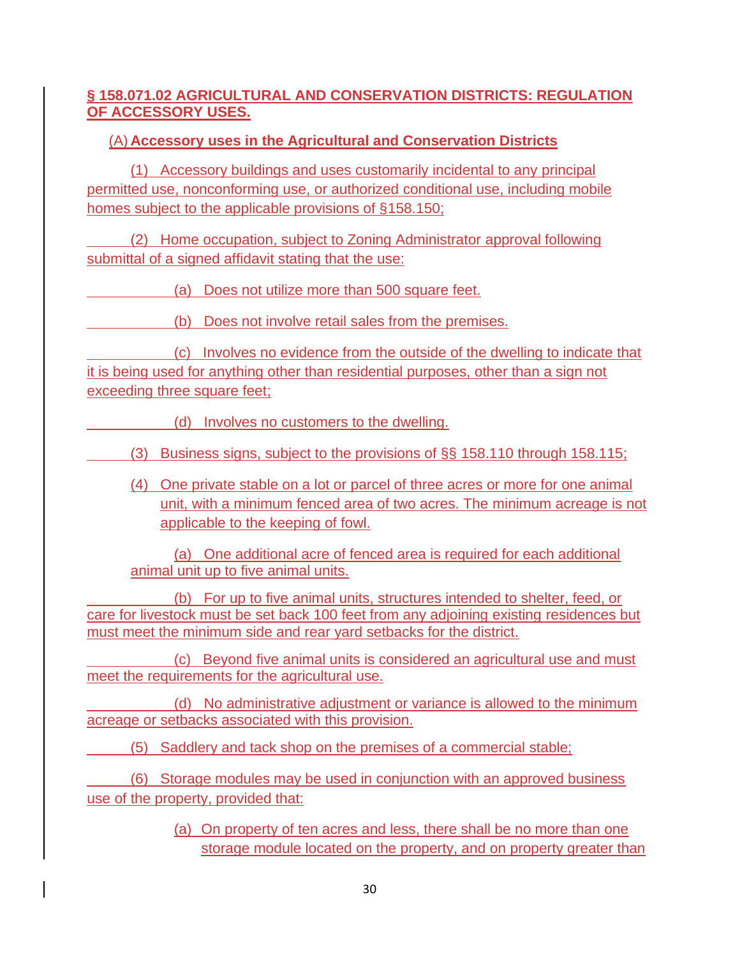### **§ 158.071.02 AGRICULTURAL AND CONSERVATION DISTRICTS: REGULATION OF ACCESSORY USES.**

### (A) **Accessory uses in the Agricultural and Conservation Districts**

(1) Accessory buildings and uses customarily incidental to any principal permitted use, nonconforming use, or authorized conditional use, including mobile homes subject to the applicable provisions of [§158.150;](https://codelibrary.amlegal.com/codes/carrollcounty/latest/carrollcounty_md/0-0-0-29119#JD_158.150)

 (2) Home occupation, subject to Zoning Administrator approval following submittal of a signed affidavit stating that the use:

(a) Does not utilize more than 500 square feet.

(b) Does not involve retail sales from the premises.

 (c) Involves no evidence from the outside of the dwelling to indicate that it is being used for anything other than residential purposes, other than a sign not exceeding three square feet;

(d) Involves no customers to the dwelling.

(3) Business signs, subject to the provisions of §§ [158.110](https://codelibrary.amlegal.com/codes/carrollcounty/latest/carrollcounty_md/0-0-0-28861#JD_158.110) through [158.115;](https://codelibrary.amlegal.com/codes/carrollcounty/latest/carrollcounty_md/0-0-0-28927#JD_158.115)

(4) One private stable on a lot or parcel of three acres or more for one animal unit, with a minimum fenced area of two acres. The minimum acreage is not applicable to the keeping of fowl.

(a) One additional acre of fenced area is required for each additional animal unit up to five animal units.

 (b) For up to five animal units, structures intended to shelter, feed, or care for livestock must be set back 100 feet from any adjoining existing residences but must meet the minimum side and rear yard setbacks for the district.

 (c) Beyond five animal units is considered an agricultural use and must meet the requirements for the agricultural use.

 (d) No administrative adjustment or variance is allowed to the minimum acreage or setbacks associated with this provision.

(5) Saddlery and tack shop on the premises of a commercial stable;

 (6) Storage modules may be used in conjunction with an approved business use of the property, provided that:

> (a) On property of ten acres and less, there shall be no more than one storage module located on the property, and on property greater than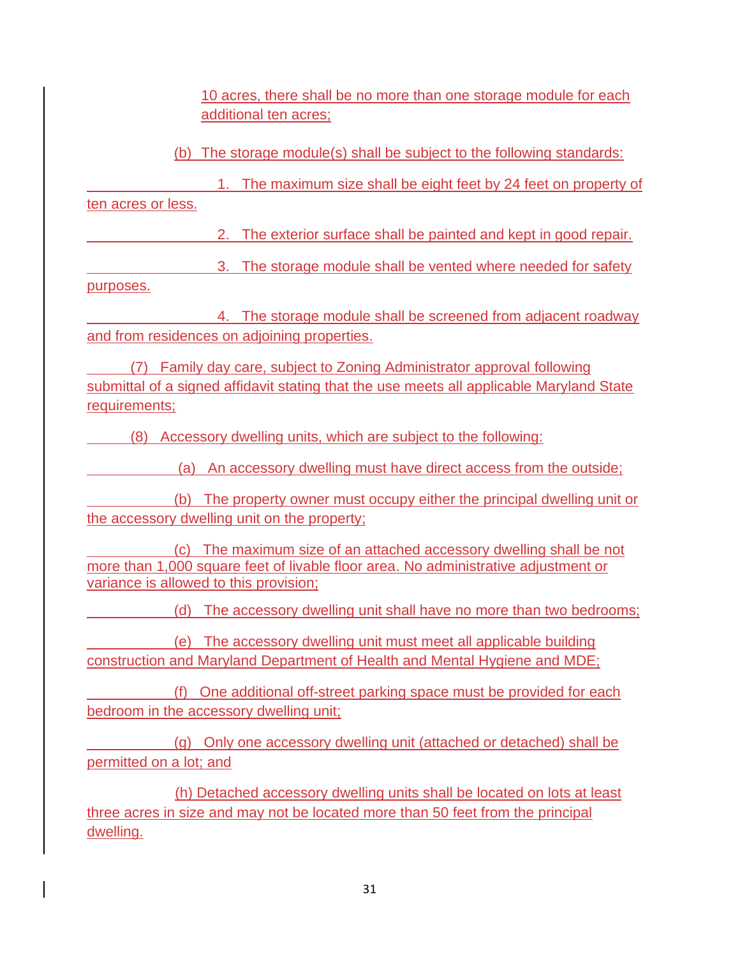10 acres, there shall be no more than one storage module for each additional ten acres;

(b) The storage module(s) shall be subject to the following standards:

 1. The maximum size shall be eight feet by 24 feet on property of ten acres or less.

2. The exterior surface shall be painted and kept in good repair.

3. The storage module shall be vented where needed for safety

purposes.

 4. The storage module shall be screened from adjacent roadway and from residences on adjoining properties.

 (7) Family day care, subject to Zoning Administrator approval following submittal of a signed affidavit stating that the use meets all applicable Maryland State requirements;

(8) Accessory dwelling units, which are subject to the following:

(a) An accessory dwelling must have direct access from the outside;

 (b) The property owner must occupy either the principal dwelling unit or the accessory dwelling unit on the property;

 (c) The maximum size of an attached accessory dwelling shall be not more than 1,000 square feet of livable floor area. No administrative adjustment or variance is allowed to this provision;

(d) The accessory dwelling unit shall have no more than two bedrooms;

 (e) The accessory dwelling unit must meet all applicable building construction and Maryland Department of Health and Mental Hygiene and MDE;

 (f) One additional off-street parking space must be provided for each bedroom in the accessory dwelling unit;

 (g) Only one accessory dwelling unit (attached or detached) shall be permitted on a lot; and

 (h) Detached accessory dwelling units shall be located on lots at least three acres in size and may not be located more than 50 feet from the principal dwelling.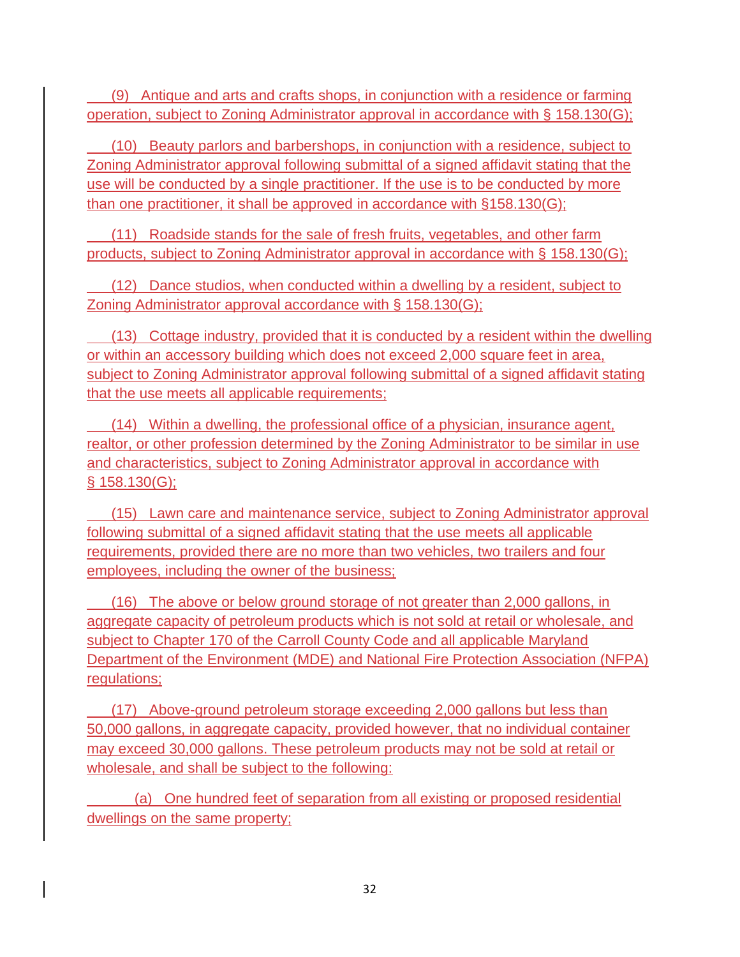(9) Antique and arts and crafts shops, in conjunction with a residence or farming operation, subject to Zoning Administrator approval in accordance with § [158.130\(](https://codelibrary.amlegal.com/codes/carrollcounty/latest/carrollcounty_md/0-0-0-28958#JD_158.130)G);

 (10) Beauty parlors and barbershops, in conjunction with a residence, subject to Zoning Administrator approval following submittal of a signed affidavit stating that the use will be conducted by a single practitioner. If the use is to be conducted by more than one practitioner, it shall be approved in accordance with [§158.130\(](https://codelibrary.amlegal.com/codes/carrollcounty/latest/carrollcounty_md/0-0-0-28958#JD_158.130)G);

 (11) Roadside stands for the sale of fresh fruits, vegetables, and other farm products, subject to Zoning Administrator approval in accordance with § [158.130\(](https://codelibrary.amlegal.com/codes/carrollcounty/latest/carrollcounty_md/0-0-0-28958#JD_158.130)G);

 (12) Dance studios, when conducted within a dwelling by a resident, subject to Zoning Administrator approval accordance with § [158.130\(](https://codelibrary.amlegal.com/codes/carrollcounty/latest/carrollcounty_md/0-0-0-28958#JD_158.130)G);

 (13) Cottage industry, provided that it is conducted by a resident within the dwelling or within an accessory building which does not exceed 2,000 square feet in area, subject to Zoning Administrator approval following submittal of a signed affidavit stating that the use meets all applicable requirements;

 (14) Within a dwelling, the professional office of a physician, insurance agent, realtor, or other profession determined by the Zoning Administrator to be similar in use and characteristics, subject to Zoning Administrator approval in accordance with § [158.130\(](https://codelibrary.amlegal.com/codes/carrollcounty/latest/carrollcounty_md/0-0-0-28958#JD_158.130)G);

 (15) Lawn care and maintenance service, subject to Zoning Administrator approval following submittal of a signed affidavit stating that the use meets all applicable requirements, provided there are no more than two vehicles, two trailers and four employees, including the owner of the business;

 (16) The above or below ground storage of not greater than 2,000 gallons, in aggregate capacity of petroleum products which is not sold at retail or wholesale, and subject to [Chapter 170](https://codelibrary.amlegal.com/codes/carrollcounty/latest/carrollcounty_md/0-0-0-25545#JD_Chapter170) of the Carroll County Code and all applicable Maryland Department of the Environment (MDE) and National Fire Protection Association (NFPA) regulations;

 (17) Above-ground petroleum storage exceeding 2,000 gallons but less than 50,000 gallons, in aggregate capacity, provided however, that no individual container may exceed 30,000 gallons. These petroleum products may not be sold at retail or wholesale, and shall be subject to the following:

 (a) One hundred feet of separation from all existing or proposed residential dwellings on the same property;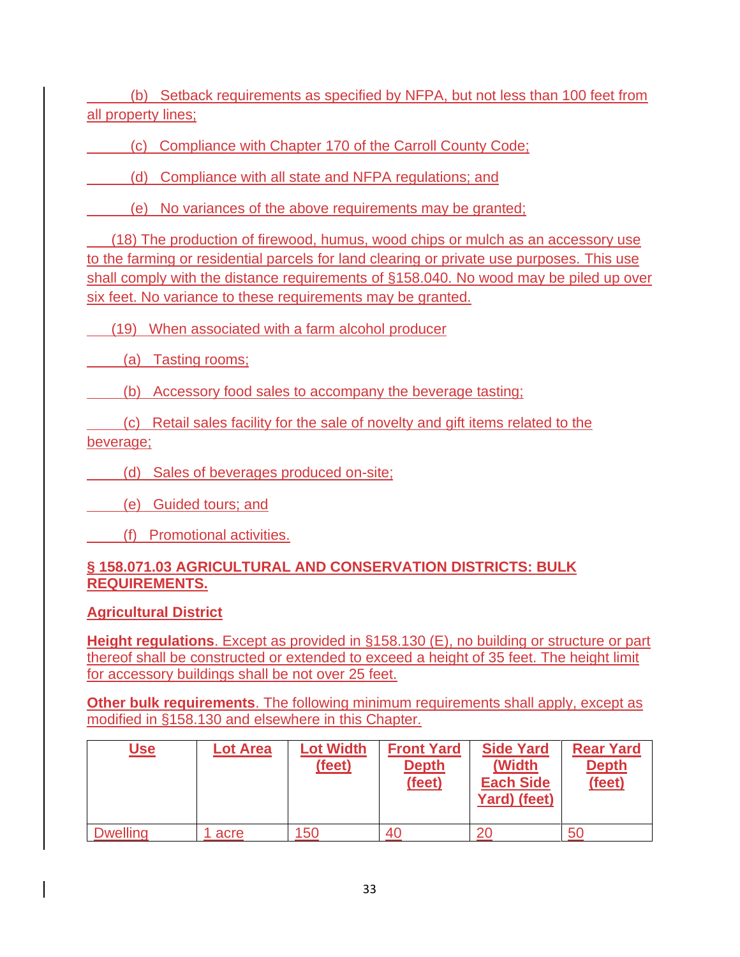(b) Setback requirements as specified by NFPA, but not less than 100 feet from all property lines;

(c) Compliance with [Chapter 170](https://codelibrary.amlegal.com/codes/carrollcounty/latest/carrollcounty_md/0-0-0-25545#JD_Chapter170) of the Carroll County Code;

(d) Compliance with all state and NFPA regulations; and

(e) No variances of the above requirements may be granted;

 (18) The production of firewood, humus, wood chips or mulch as an accessory use to the farming or residential parcels for land clearing or private use purposes. This use shall comply with the distance requirements of §158.040. No wood may be piled up over six feet. No variance to these requirements may be granted.

(19) When associated with a farm alcohol producer

(a) Tasting rooms;

(b) Accessory food sales to accompany the beverage tasting;

 (c) Retail sales facility for the sale of novelty and gift items related to the beverage;

(d) Sales of beverages produced on-site;

(e) Guided tours; and

(f) Promotional activities.

### **§ 158.071.03 AGRICULTURAL AND CONSERVATION DISTRICTS: BULK REQUIREMENTS.**

**Agricultural District**

**Height regulations**. Except as provided in §158.130 (E), no building or structure or part thereof shall be constructed or extended to exceed a height of 35 feet. The height limit for accessory buildings shall be not over 25 feet.

**Other bulk requirements**. The following minimum requirements shall apply, except as modified in §158.130 and elsewhere in this Chapter.

| <u>Use</u>      | <b>Lot Area</b> | <b>Lot Width</b><br>(feet) | <b>Front Yard</b><br><b>Depth</b><br>(feet) | <b>Side Yard</b><br>(Width<br><b>Each Side</b><br>Yard) (feet) | <b>Rear Yard</b><br><b>Depth</b><br>(feet) |
|-----------------|-----------------|----------------------------|---------------------------------------------|----------------------------------------------------------------|--------------------------------------------|
| <b>Dwelling</b> | acre            | 150                        | 40                                          | 20                                                             | 50                                         |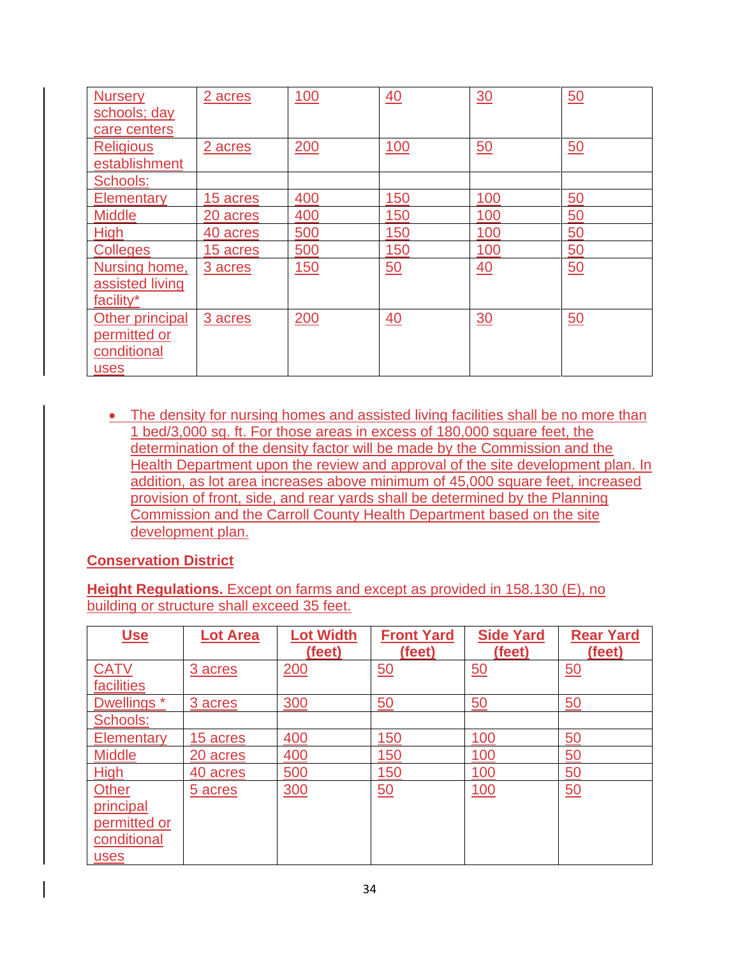| <b>Nursery</b><br>schools; day<br>care centers                | 2 acres  | <u>100</u> | 40              | 30               | 50 |
|---------------------------------------------------------------|----------|------------|-----------------|------------------|----|
| <b>Religious</b><br>establishment                             | 2 acres  | 200        | <u>100</u>      | $\underline{50}$ | 50 |
| Schools:                                                      |          |            |                 |                  |    |
| <b>Elementary</b>                                             | 15 acres | 400        | 150             | 100              | 50 |
| <b>Middle</b>                                                 | 20 acres | 400        | 150             | 100              | 50 |
| <b>High</b>                                                   | 40 acres | 500        | 150             | 100              | 50 |
| <b>Colleges</b>                                               | 15 acres | 500        | 150             | 100              | 50 |
| Nursing home,<br>assisted living<br>facility*                 | 3 acres  | <u>150</u> | 50              | 40               | 50 |
| Other principal<br><u>permitted or</u><br>conditional<br>uses | 3 acres  | 200        | $\overline{40}$ | $\frac{30}{5}$   | 50 |

• The density for nursing homes and assisted living facilities shall be no more than 1 bed/3,000 sq. ft. For those areas in excess of 180,000 square feet, the determination of the density factor will be made by the Commission and the Health Department upon the review and approval of the site development plan. In addition, as lot area increases above minimum of 45,000 square feet, increased provision of front, side, and rear yards shall be determined by the Planning Commission and the Carroll County Health Department based on the site development plan.

#### **Conservation District**

**Height Regulations.** Except on farms and except as provided in 158.130 (E), no building or structure shall exceed 35 feet.

| <u>Use</u>                                                              | <b>Lot Area</b> | <b>Lot Width</b><br>(feet) | <b>Front Yard</b><br>(feet) | <b>Side Yard</b><br>(feet) | <b>Rear Yard</b><br>(feet) |
|-------------------------------------------------------------------------|-----------------|----------------------------|-----------------------------|----------------------------|----------------------------|
| <b>CATV</b><br>facilities                                               | 3 acres         | 200                        | $\underline{50}$            | $\underline{50}$           | $\underline{50}$           |
| Dwellings <sup>*</sup>                                                  | 3 acres         | 300                        | 50                          | 50                         | 50                         |
| Schools:                                                                |                 |                            |                             |                            |                            |
| Elementary                                                              | 15 acres        | 400                        | 150                         | 100                        | 50                         |
| <b>Middle</b>                                                           | 20 acres        | 400                        | 150                         | 100                        | 50                         |
| <b>High</b>                                                             | 40 acres        | 500                        | 150                         | 100                        | 50                         |
| <b>Other</b><br>principal<br>permitted or<br>conditional<br><b>uses</b> | 5 acres         | 300                        | 50                          | <u>100</u>                 | 50                         |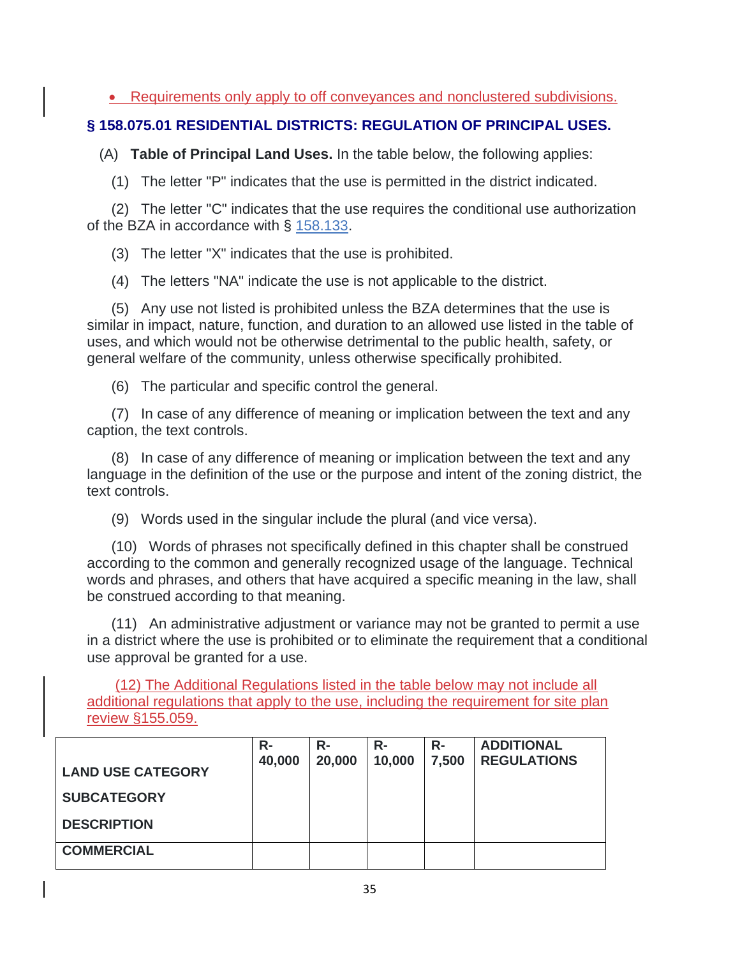• Requirements only apply to off conveyances and nonclustered subdivisions.

## **§ 158.075.01 RESIDENTIAL DISTRICTS: REGULATION OF PRINCIPAL USES.**

(A) **Table of Principal Land Uses.** In the table below, the following applies:

(1) The letter "P" indicates that the use is permitted in the district indicated.

 (2) The letter "C" indicates that the use requires the conditional use authorization of the BZA in accordance with § [158.133.](https://codelibrary.amlegal.com/codes/carrollcounty/latest/carrollcounty_md/0-0-0-29016#JD_158.133)

(3) The letter "X" indicates that the use is prohibited.

(4) The letters "NA" indicate the use is not applicable to the district.

 (5) Any use not listed is prohibited unless the BZA determines that the use is similar in impact, nature, function, and duration to an allowed use listed in the table of uses, and which would not be otherwise detrimental to the public health, safety, or general welfare of the community, unless otherwise specifically prohibited.

(6) The particular and specific control the general.

 (7) In case of any difference of meaning or implication between the text and any caption, the text controls.

 (8) In case of any difference of meaning or implication between the text and any language in the definition of the use or the purpose and intent of the zoning district, the text controls.

(9) Words used in the singular include the plural (and vice versa).

 (10) Words of phrases not specifically defined in this chapter shall be construed according to the common and generally recognized usage of the language. Technical words and phrases, and others that have acquired a specific meaning in the law, shall be construed according to that meaning.

 (11) An administrative adjustment or variance may not be granted to permit a use in a district where the use is prohibited or to eliminate the requirement that a conditional use approval be granted for a use.

 (12) The Additional Regulations listed in the table below may not include all additional regulations that apply to the use, including the requirement for site plan review §155.059.

| <b>LAND USE CATEGORY</b> | $R -$<br>40,000 | $R-$<br>20,000 | $R-$<br>10,000 | $R-$<br>7,500 | <b>ADDITIONAL</b><br><b>REGULATIONS</b> |
|--------------------------|-----------------|----------------|----------------|---------------|-----------------------------------------|
| <b>SUBCATEGORY</b>       |                 |                |                |               |                                         |
| <b>DESCRIPTION</b>       |                 |                |                |               |                                         |
| <b>COMMERCIAL</b>        |                 |                |                |               |                                         |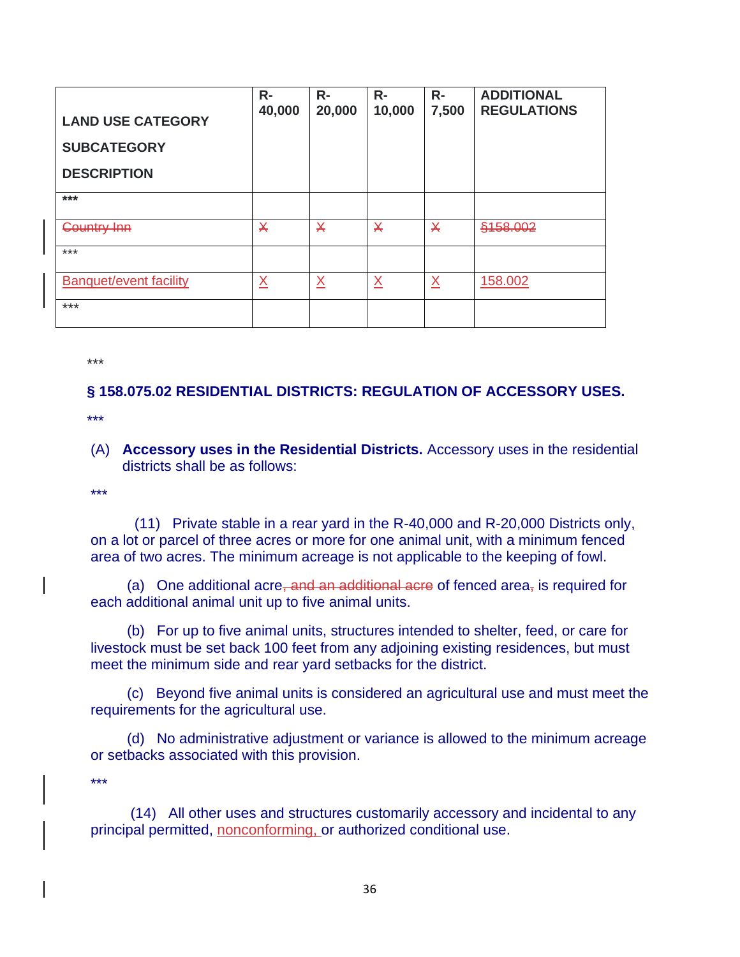| <b>LAND USE CATEGORY</b><br><b>SUBCATEGORY</b><br><b>DESCRIPTION</b> | $R -$<br>40,000          | $R -$<br>20,000         | $R -$<br>10,000         | $R-$<br>7,500           | <b>ADDITIONAL</b><br><b>REGULATIONS</b> |
|----------------------------------------------------------------------|--------------------------|-------------------------|-------------------------|-------------------------|-----------------------------------------|
| $***$                                                                |                          |                         |                         |                         |                                         |
| <b>Country Inn</b>                                                   | $\overline{\mathsf{X}}$  | $\overline{\mathsf{X}}$ | $\overline{\mathsf{X}}$ | $\overline{\mathsf{X}}$ | §158.002                                |
| $***$                                                                |                          |                         |                         |                         |                                         |
| <b>Banquet/event facility</b>                                        | $\underline{\mathsf{X}}$ | $\underline{X}$         | $\underline{X}$         | $\underline{X}$         | 158.002                                 |
| ***                                                                  |                          |                         |                         |                         |                                         |

\*\*\*

### **§ 158.075.02 RESIDENTIAL DISTRICTS: REGULATION OF ACCESSORY USES.**

\*\*\*

(A) **Accessory uses in the Residential Districts.** Accessory uses in the residential districts shall be as follows:

\*\*\*

(11) Private stable in a rear yard in the R-40,000 and R-20,000 Districts only, on a lot or parcel of three acres or more for one animal unit, with a minimum fenced area of two acres. The minimum acreage is not applicable to the keeping of fowl.

(a) One additional acre, and an additional acre of fenced area, is required for each additional animal unit up to five animal units.

 (b) For up to five animal units, structures intended to shelter, feed, or care for livestock must be set back 100 feet from any adjoining existing residences, but must meet the minimum side and rear yard setbacks for the district.

 (c) Beyond five animal units is considered an agricultural use and must meet the requirements for the agricultural use.

 (d) No administrative adjustment or variance is allowed to the minimum acreage or setbacks associated with this provision.

\*\*\*

(14) All other uses and structures customarily accessory and incidental to any principal permitted, nonconforming, or authorized conditional use.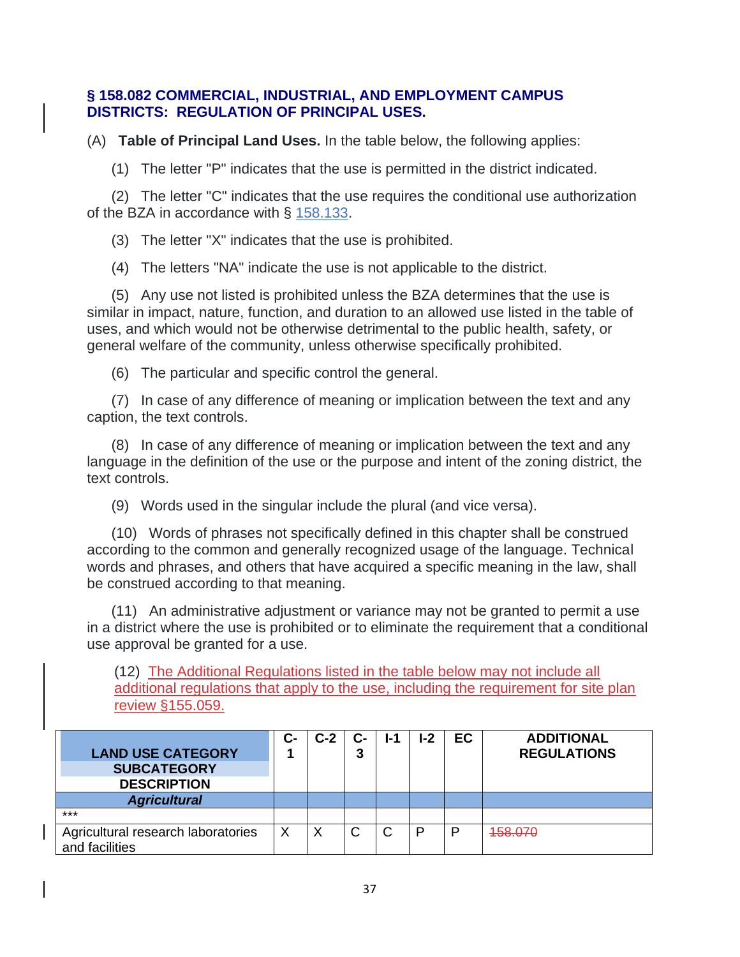#### **§ 158.082 COMMERCIAL, INDUSTRIAL, AND EMPLOYMENT CAMPUS DISTRICTS: REGULATION OF PRINCIPAL USES.**

(A) **Table of Principal Land Uses.** In the table below, the following applies:

(1) The letter "P" indicates that the use is permitted in the district indicated.

 (2) The letter "C" indicates that the use requires the conditional use authorization of the BZA in accordance with § [158.133.](https://codelibrary.amlegal.com/codes/carrollcounty/latest/carrollcounty_md/0-0-0-29016#JD_158.133)

(3) The letter "X" indicates that the use is prohibited.

(4) The letters "NA" indicate the use is not applicable to the district.

 (5) Any use not listed is prohibited unless the BZA determines that the use is similar in impact, nature, function, and duration to an allowed use listed in the table of uses, and which would not be otherwise detrimental to the public health, safety, or general welfare of the community, unless otherwise specifically prohibited.

(6) The particular and specific control the general.

 (7) In case of any difference of meaning or implication between the text and any caption, the text controls.

 (8) In case of any difference of meaning or implication between the text and any language in the definition of the use or the purpose and intent of the zoning district, the text controls.

(9) Words used in the singular include the plural (and vice versa).

 (10) Words of phrases not specifically defined in this chapter shall be construed according to the common and generally recognized usage of the language. Technical words and phrases, and others that have acquired a specific meaning in the law, shall be construed according to that meaning.

 (11) An administrative adjustment or variance may not be granted to permit a use in a district where the use is prohibited or to eliminate the requirement that a conditional use approval be granted for a use.

(12) The Additional Regulations listed in the table below may not include all additional regulations that apply to the use, including the requirement for site plan review §155.059.

| <b>LAND USE CATEGORY</b><br><b>SUBCATEGORY</b><br><b>DESCRIPTION</b> | င- | C-2 | C-<br>3 | <u>l-1</u> | $I-2$ | <b>EC</b> | <b>ADDITIONAL</b><br><b>REGULATIONS</b> |
|----------------------------------------------------------------------|----|-----|---------|------------|-------|-----------|-----------------------------------------|
| <b>Agricultural</b>                                                  |    |     |         |            |       |           |                                         |
| $***$                                                                |    |     |         |            |       |           |                                         |
| Agricultural research laboratories<br>and facilities                 |    | ◡   |         |            | D     | P         | 458.070                                 |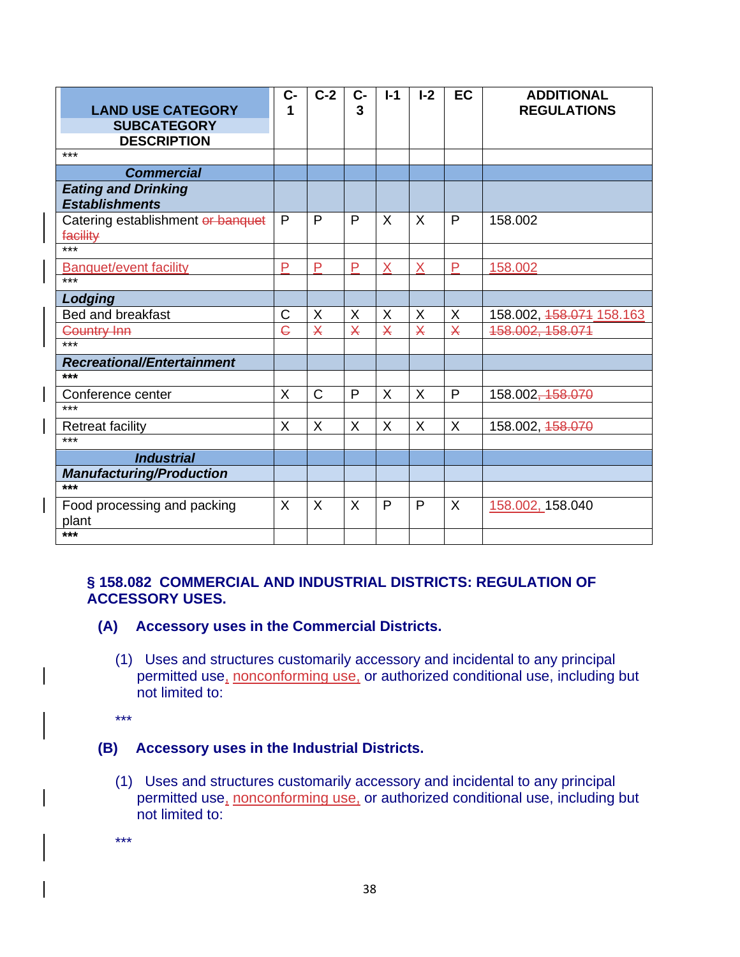| <b>LAND USE CATEGORY</b><br><b>SUBCATEGORY</b>      | $C-$<br>1               | $C-2$                   | $C -$<br>3              | $I-1$ | $I - 2$                 | <b>EC</b>               | <b>ADDITIONAL</b><br><b>REGULATIONS</b> |
|-----------------------------------------------------|-------------------------|-------------------------|-------------------------|-------|-------------------------|-------------------------|-----------------------------------------|
| <b>DESCRIPTION</b><br>$***$                         |                         |                         |                         |       |                         |                         |                                         |
| <b>Commercial</b>                                   |                         |                         |                         |       |                         |                         |                                         |
| <b>Eating and Drinking</b><br><b>Establishments</b> |                         |                         |                         |       |                         |                         |                                         |
| Catering establishment or banquet<br>facility       | P                       | P                       | P                       | X     | $\times$                | P                       | 158.002                                 |
| ***                                                 |                         |                         |                         |       |                         |                         |                                         |
| <b>Banquet/event facility</b><br>$***$              | P                       | P                       | P                       | X     | X                       | P                       | 158.002                                 |
| Lodging                                             |                         |                         |                         |       |                         |                         |                                         |
| Bed and breakfast                                   | C                       | X                       | X                       | X     | X                       | X                       | 158.002, 158.071 158.163                |
| <b>Country Inn</b>                                  | $\overline{\mathsf{C}}$ | $\overline{\mathsf{X}}$ | $\overline{\mathsf{X}}$ | X     | $\overline{\mathsf{X}}$ | $\overline{\mathsf{X}}$ | 158.002, 158.071                        |
| $***$                                               |                         |                         |                         |       |                         |                         |                                         |
| <b>Recreational/Entertainment</b>                   |                         |                         |                         |       |                         |                         |                                         |
| ***                                                 |                         |                         |                         |       |                         |                         |                                         |
| Conference center                                   | X                       | C                       | P                       | X     | X                       | P                       | 158.002, 158.070                        |
| ***                                                 |                         |                         |                         |       |                         |                         |                                         |
| <b>Retreat facility</b>                             | X                       | X                       | X                       | X     | X                       | X                       | 158.002, 458.070                        |
| ***                                                 |                         |                         |                         |       |                         |                         |                                         |
| <b>Industrial</b>                                   |                         |                         |                         |       |                         |                         |                                         |
| <b>Manufacturing/Production</b>                     |                         |                         |                         |       |                         |                         |                                         |
| ***                                                 |                         |                         |                         |       |                         |                         |                                         |
| Food processing and packing<br>plant                | $\sf X$                 | X                       | X                       | P     | P                       | X                       | 158.002, 158.040                        |
| ***                                                 |                         |                         |                         |       |                         |                         |                                         |

#### **§ 158.082 COMMERCIAL AND INDUSTRIAL DISTRICTS: REGULATION OF ACCESSORY USES.**

- **(A) Accessory uses in the Commercial Districts.**
	- (1) Uses and structures customarily accessory and incidental to any principal permitted use, nonconforming use, or authorized conditional use, including but not limited to:
	- \*\*\*

#### **(B) Accessory uses in the Industrial Districts.**

- (1) Uses and structures customarily accessory and incidental to any principal permitted use, nonconforming use, or authorized conditional use, including but not limited to:
- \*\*\*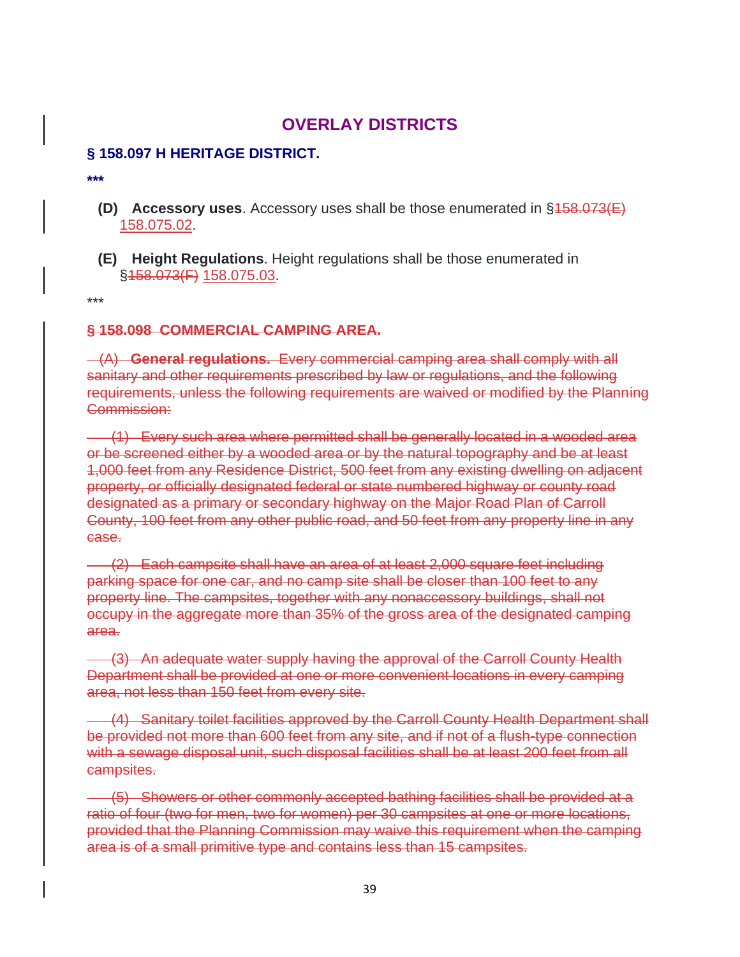# **OVERLAY DISTRICTS**

#### **§ 158.097 H HERITAGE DISTRICT.**

**\*\*\***

- **(D) Accessory uses**. Accessory uses shall be those enumerated in §158.073(E) 158.075.02.
- **(E) Height Regulations**. Height regulations shall be those enumerated in §158.073(F) 158.075.03.

\*\*\*

#### **§ 158.098 COMMERCIAL CAMPING AREA.**

 (A) **General regulations.** Every commercial camping area shall comply with all sanitary and other requirements prescribed by law or regulations, and the following requirements, unless the following requirements are waived or modified by the Planning Commission:

 (1) Every such area where permitted shall be generally located in a wooded area or be screened either by a wooded area or by the natural topography and be at least 1,000 feet from any Residence District, 500 feet from any existing dwelling on adjacent property, or officially designated federal or state numbered highway or county road designated as a primary or secondary highway on the Major Road Plan of Carroll County, 100 feet from any other public road, and 50 feet from any property line in any case.

 (2) Each campsite shall have an area of at least 2,000 square feet including parking space for one car, and no camp site shall be closer than 100 feet to any property line. The campsites, together with any nonaccessory buildings, shall not occupy in the aggregate more than 35% of the gross area of the designated camping area.

 (3) An adequate water supply having the approval of the Carroll County Health Department shall be provided at one or more convenient locations in every camping area, not less than 150 feet from every site.

 (4) Sanitary toilet facilities approved by the Carroll County Health Department shall be provided not more than 600 feet from any site, and if not of a flush-type connection with a sewage disposal unit, such disposal facilities shall be at least 200 feet from all campsites.

 (5) Showers or other commonly accepted bathing facilities shall be provided at a ratio of four (two for men, two for women) per 30 campsites at one or more locations, provided that the Planning Commission may waive this requirement when the camping area is of a small primitive type and contains less than 15 campsites.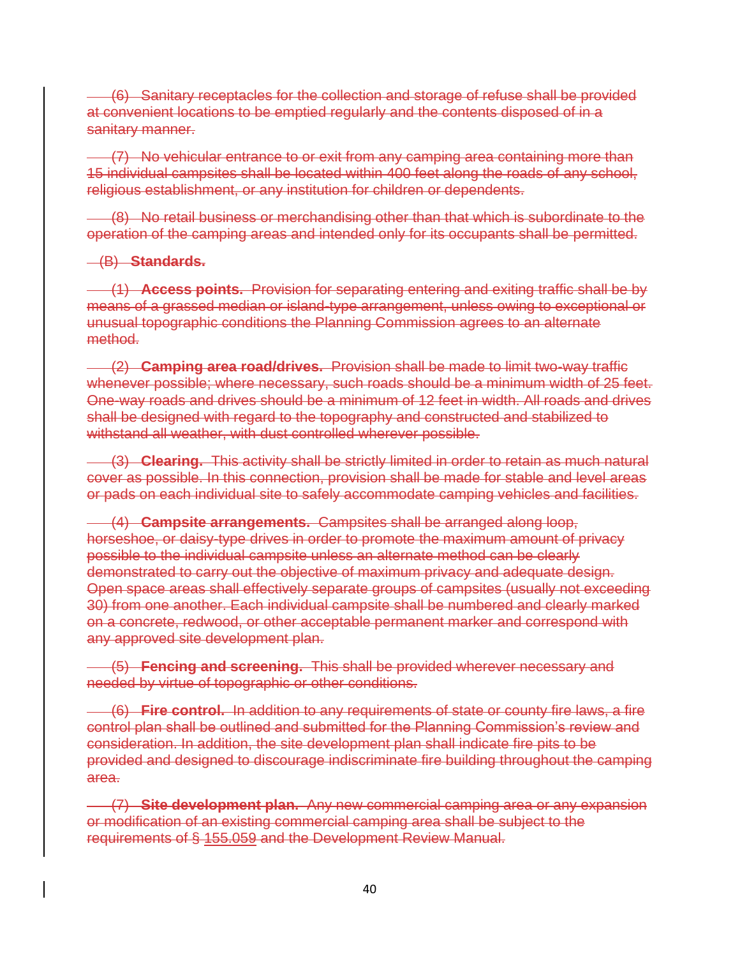(6) Sanitary receptacles for the collection and storage of refuse shall be provided at convenient locations to be emptied regularly and the contents disposed of in a sanitary manner.

 (7) No vehicular entrance to or exit from any camping area containing more than 15 individual campsites shall be located within 400 feet along the roads of any school, religious establishment, or any institution for children or dependents.

 (8) No retail business or merchandising other than that which is subordinate to the operation of the camping areas and intended only for its occupants shall be permitted.

#### (B) **Standards.**

 (1) **Access points.** Provision for separating entering and exiting traffic shall be by means of a grassed median or island-type arrangement, unless owing to exceptional or unusual topographic conditions the Planning Commission agrees to an alternate method.

 (2) **Camping area road/drives.** Provision shall be made to limit two-way traffic whenever possible; where necessary, such roads should be a minimum width of 25 feet. One-way roads and drives should be a minimum of 12 feet in width. All roads and drives shall be designed with regard to the topography and constructed and stabilized to withstand all weather, with dust controlled wherever possible.

 (3) **Clearing.** This activity shall be strictly limited in order to retain as much natural cover as possible. In this connection, provision shall be made for stable and level areas or pads on each individual site to safely accommodate camping vehicles and facilities.

 (4) **Campsite arrangements.** Campsites shall be arranged along loop, horseshoe, or daisy-type drives in order to promote the maximum amount of privacy possible to the individual campsite unless an alternate method can be clearly demonstrated to carry out the objective of maximum privacy and adequate design. Open space areas shall effectively separate groups of campsites (usually not exceeding 30) from one another. Each individual campsite shall be numbered and clearly marked on a concrete, redwood, or other acceptable permanent marker and correspond with any approved site development plan.

 (5) **Fencing and screening.** This shall be provided wherever necessary and needed by virtue of topographic or other conditions.

 (6) **Fire control.** In addition to any requirements of state or county fire laws, a fire control plan shall be outlined and submitted for the Planning Commission's review and consideration. In addition, the site development plan shall indicate fire pits to be provided and designed to discourage indiscriminate fire building throughout the camping area.

 (7) **Site development plan.** Any new commercial camping area or any expansion or modification of an existing commercial camping area shall be subject to the requirements of § 155.059 and the Development Review Manual.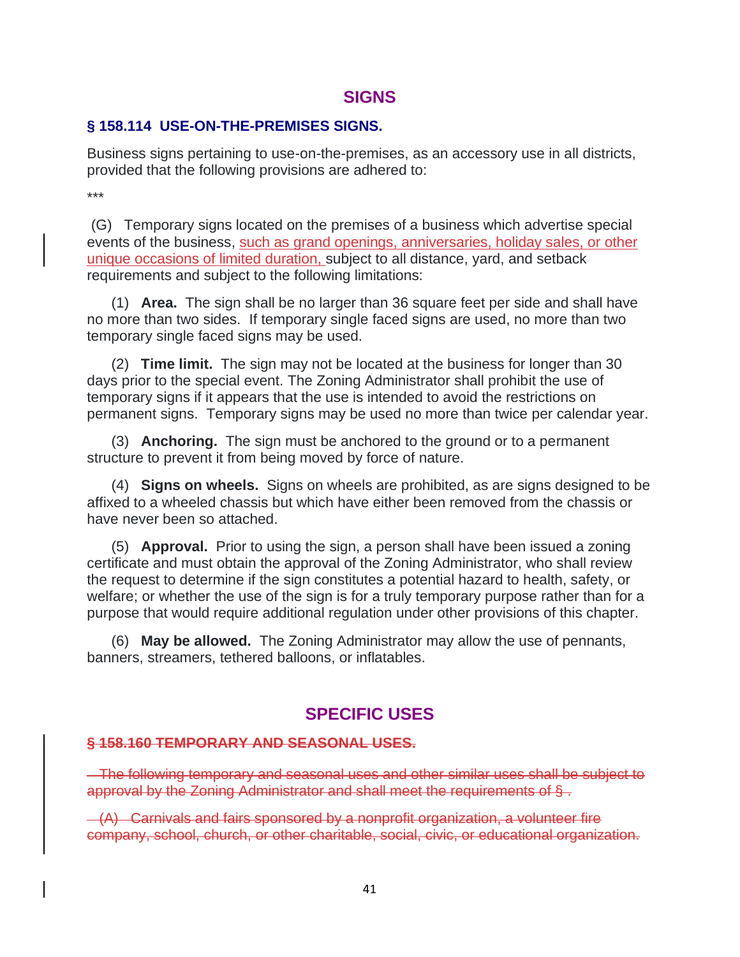### **SIGNS**

#### **§ 158.114 USE-ON-THE-PREMISES SIGNS.**

Business signs pertaining to use-on-the-premises, as an accessory use in all districts, provided that the following provisions are adhered to:

\*\*\*

(G) Temporary signs located on the premises of a business which advertise special events of the business, such as grand openings, anniversaries, holiday sales, or other unique occasions of limited duration, subject to all distance, yard, and setback requirements and subject to the following limitations:

 (1) **Area.** The sign shall be no larger than 36 square feet per side and shall have no more than two sides. If temporary single faced signs are used, no more than two temporary single faced signs may be used.

 (2) **Time limit.** The sign may not be located at the business for longer than 30 days prior to the special event. The Zoning Administrator shall prohibit the use of temporary signs if it appears that the use is intended to avoid the restrictions on permanent signs. Temporary signs may be used no more than twice per calendar year.

 (3) **Anchoring.** The sign must be anchored to the ground or to a permanent structure to prevent it from being moved by force of nature.

 (4) **Signs on wheels.** Signs on wheels are prohibited, as are signs designed to be affixed to a wheeled chassis but which have either been removed from the chassis or have never been so attached.

 (5) **Approval.** Prior to using the sign, a person shall have been issued a zoning certificate and must obtain the approval of the Zoning Administrator, who shall review the request to determine if the sign constitutes a potential hazard to health, safety, or welfare; or whether the use of the sign is for a truly temporary purpose rather than for a purpose that would require additional regulation under other provisions of this chapter.

 (6) **May be allowed.** The Zoning Administrator may allow the use of pennants, banners, streamers, tethered balloons, or inflatables.

# **SPECIFIC USES**

#### **§ 158.160 TEMPORARY AND SEASONAL USES.**

 The following temporary and seasonal uses and other similar uses shall be subject to approval by the Zoning Administrator and shall meet the requirements of § .

 $-(A)$  Carnivals and fairs sponsored by a nonprofit organization, a volunteer fire company, school, church, or other charitable, social, civic, or educational organization.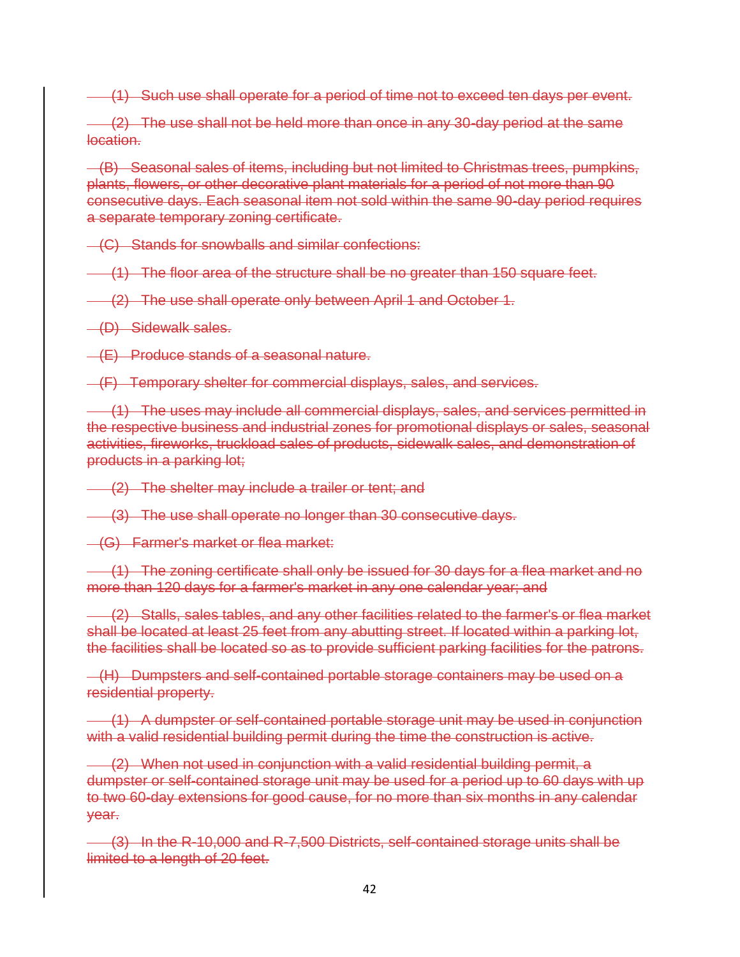(1) Such use shall operate for a period of time not to exceed ten days per event.

(2) The use shall not be held more than once in any 30-day period at the same location.

 (B) Seasonal sales of items, including but not limited to Christmas trees, pumpkins, plants, flowers, or other decorative plant materials for a period of not more than 90 consecutive days. Each seasonal item not sold within the same 90-day period requires a separate temporary zoning certificate.

(C) Stands for snowballs and similar confections:

(1) The floor area of the structure shall be no greater than 150 square feet.

(2) The use shall operate only between April 1 and October 1.

(D) Sidewalk sales.

(E) Produce stands of a seasonal nature.

(F) Temporary shelter for commercial displays, sales, and services.

 (1) The uses may include all commercial displays, sales, and services permitted in the respective business and industrial zones for promotional displays or sales, seasonal activities, fireworks, truckload sales of products, sidewalk sales, and demonstration of products in a parking lot;

(2) The shelter may include a trailer or tent; and

(3) The use shall operate no longer than 30 consecutive days.

(G) Farmer's market or flea market:

 (1) The zoning certificate shall only be issued for 30 days for a flea market and no more than 120 days for a farmer's market in any one calendar year; and

 (2) Stalls, sales tables, and any other facilities related to the farmer's or flea market shall be located at least 25 feet from any abutting street. If located within a parking lot, the facilities shall be located so as to provide sufficient parking facilities for the patrons.

 (H) Dumpsters and self-contained portable storage containers may be used on a residential property.

 (1) A dumpster or self-contained portable storage unit may be used in conjunction with a valid residential building permit during the time the construction is active.

 (2) When not used in conjunction with a valid residential building permit, a dumpster or self-contained storage unit may be used for a period up to 60 days with up to two 60-day extensions for good cause, for no more than six months in any calendar year.

 (3) In the R-10,000 and R-7,500 Districts, self-contained storage units shall be limited to a length of 20 feet.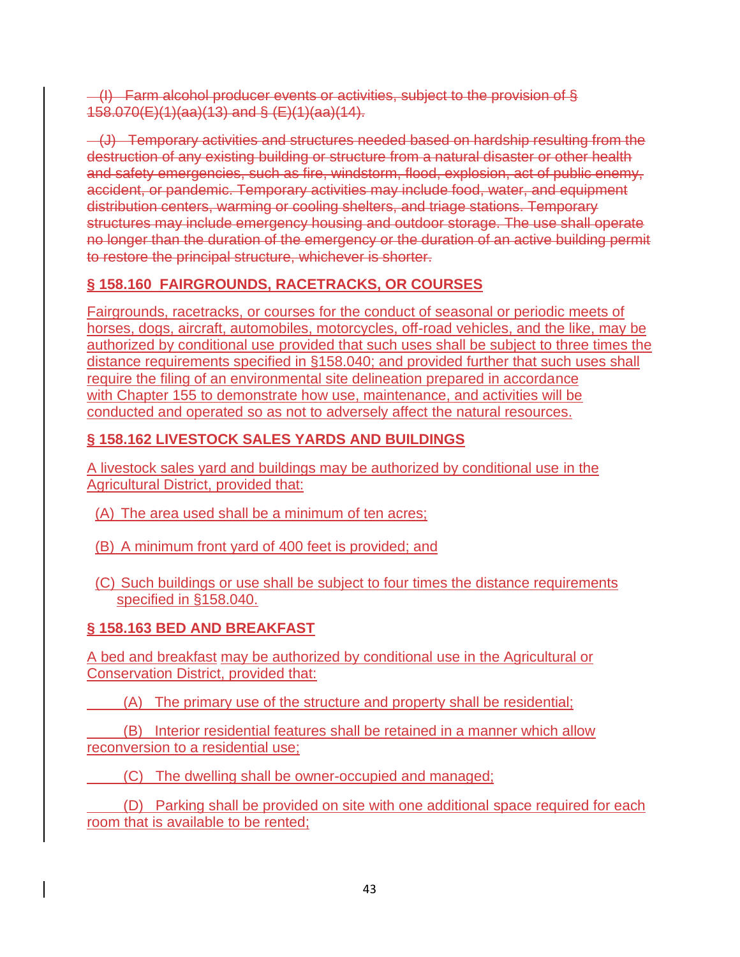(I) Farm alcohol producer events or activities, subject to the provision of § 158.070(E)(1)(aa)(13) and § (E)(1)(aa)(14).

 (J) Temporary activities and structures needed based on hardship resulting from the destruction of any existing building or structure from a natural disaster or other health and safety emergencies, such as fire, windstorm, flood, explosion, act of public enemy, accident, or pandemic. Temporary activities may include food, water, and equipment distribution centers, warming or cooling shelters, and triage stations. Temporary structures may include emergency housing and outdoor storage. The use shall operate no longer than the duration of the emergency or the duration of an active building permit to restore the principal structure, whichever is shorter.

# **§ 158.160 FAIRGROUNDS, RACETRACKS, OR COURSES**

Fairgrounds, racetracks, or courses for the conduct of seasonal or periodic meets of horses, dogs, aircraft, automobiles, motorcycles, off-road vehicles, and the like, may be authorized by conditional use provided that such uses shall be subject to three times the distance requirements specified in [§158.040;](https://codelibrary.amlegal.com/codes/carrollcounty/latest/carrollcounty_md/0-0-0-27819#JD_158.040) and provided further that such uses shall require the filing of an environmental site delineation prepared in accordance with [Chapter 155](https://codelibrary.amlegal.com/codes/carrollcounty/latest/carrollcounty_md/0-0-0-22197#JD_Chapter155) to demonstrate how use, maintenance, and activities will be conducted and operated so as not to adversely affect the natural resources.

# **§ 158.162 LIVESTOCK SALES YARDS AND BUILDINGS**

A livestock sales yard and buildings may be authorized by conditional use in the Agricultural District, provided that:

- (A) The area used shall be a minimum of ten acres;
- (B) A minimum front yard of 400 feet is provided; and
- (C) Such buildings or use shall be subject to four times the distance requirements specified in §158.040.

# **§ 158.163 BED AND BREAKFAST**

A bed and breakfast may be authorized by conditional use in the Agricultural or Conservation District, provided that:

(A) The primary use of the structure and property shall be residential;

 (B) Interior residential features shall be retained in a manner which allow reconversion to a residential use;

(C) The dwelling shall be owner-occupied and managed;

 (D) Parking shall be provided on site with one additional space required for each room that is available to be rented;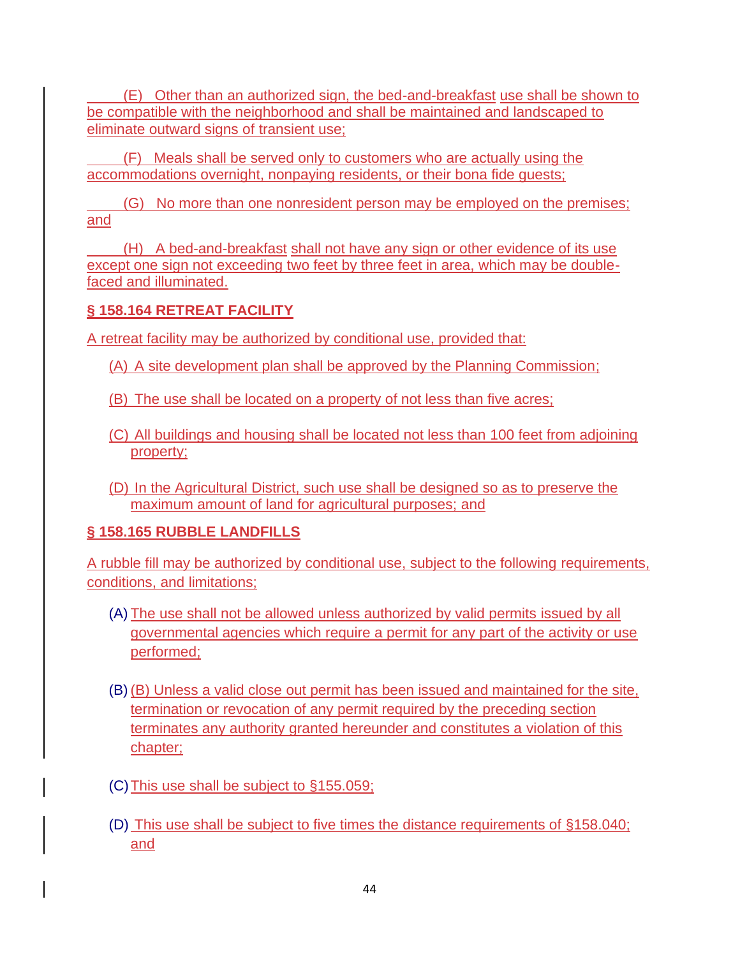(E) Other than an authorized sign, the bed-and-breakfast use shall be shown to be compatible with the neighborhood and shall be maintained and landscaped to eliminate outward signs of transient use;

 (F) Meals shall be served only to customers who are actually using the accommodations overnight, nonpaying residents, or their bona fide guests;

 (G) No more than one nonresident person may be employed on the premises; and

 (H) A bed-and-breakfast shall not have any sign or other evidence of its use except one sign not exceeding two feet by three feet in area, which may be doublefaced and illuminated.

# **§ 158.164 RETREAT FACILITY**

A retreat facility may be authorized by conditional use, provided that:

(A) A site development plan shall be approved by the Planning Commission;

(B) The use shall be located on a property of not less than five acres;

- (C) All buildings and housing shall be located not less than 100 feet from adjoining property;
- (D) In the Agricultural District, such use shall be designed so as to preserve the maximum amount of land for agricultural purposes; and

# **§ 158.165 RUBBLE LANDFILLS**

A rubble fill may be authorized by conditional use, subject to the following requirements, conditions, and limitations;

- (A) The use shall not be allowed unless authorized by valid permits issued by all governmental agencies which require a permit for any part of the activity or use performed;
- (B) (B) Unless a valid close out permit has been issued and maintained for the site, termination or revocation of any permit required by the preceding section terminates any authority granted hereunder and constitutes a violation of this chapter;
- (C)This use shall be subject to §155.059;
- (D) This use shall be subject to five times the distance requirements of §158.040; and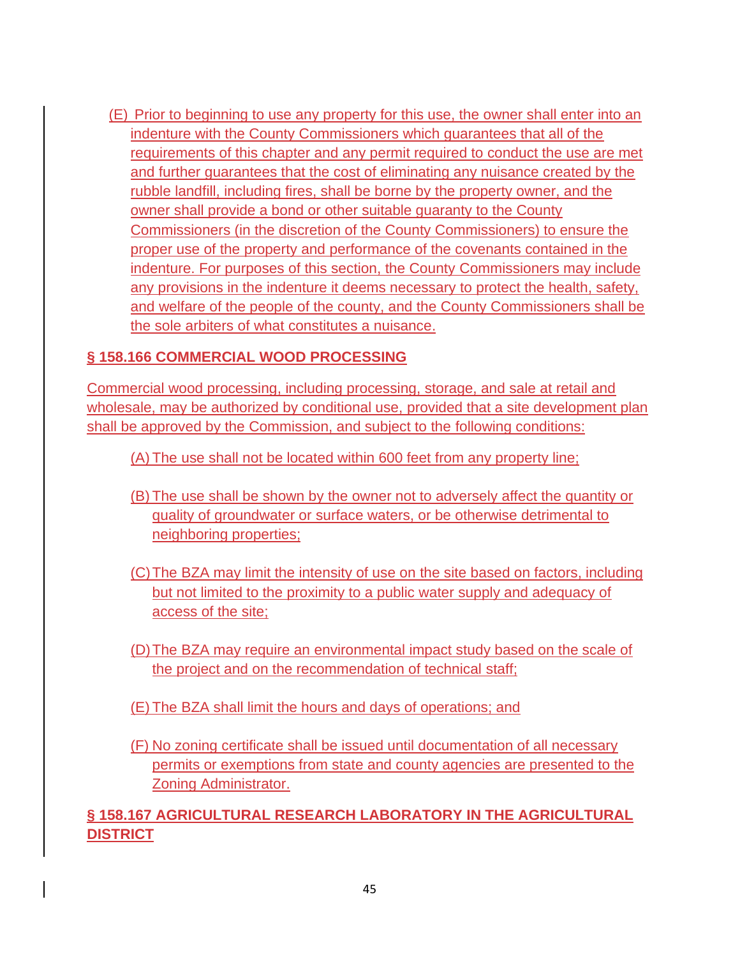(E) Prior to beginning to use any property for this use, the owner shall enter into an indenture with the County Commissioners which guarantees that all of the requirements of this chapter and any permit required to conduct the use are met and further guarantees that the cost of eliminating any nuisance created by the rubble landfill, including fires, shall be borne by the property owner, and the owner shall provide a bond or other suitable guaranty to the County Commissioners (in the discretion of the County Commissioners) to ensure the proper use of the property and performance of the covenants contained in the indenture. For purposes of this section, the County Commissioners may include any provisions in the indenture it deems necessary to protect the health, safety, and welfare of the people of the county, and the County Commissioners shall be the sole arbiters of what constitutes a nuisance.

### **§ 158.166 COMMERCIAL WOOD PROCESSING**

Commercial wood processing, including processing, storage, and sale at retail and wholesale, may be authorized by conditional use, provided that a site development plan shall be approved by the Commission, and subject to the following conditions:

(A) The use shall not be located within 600 feet from any property line;

- (B) The use shall be shown by the owner not to adversely affect the quantity or quality of groundwater or surface waters, or be otherwise detrimental to neighboring properties;
- (C)The BZA may limit the intensity of use on the site based on factors, including but not limited to the proximity to a public water supply and adequacy of access of the site;
- (D)The BZA may require an environmental impact study based on the scale of the project and on the recommendation of technical staff;
- (E) The BZA shall limit the hours and days of operations; and
- (F) No zoning certificate shall be issued until documentation of all necessary permits or exemptions from state and county agencies are presented to the Zoning Administrator.

# **§ 158.167 AGRICULTURAL RESEARCH LABORATORY IN THE AGRICULTURAL DISTRICT**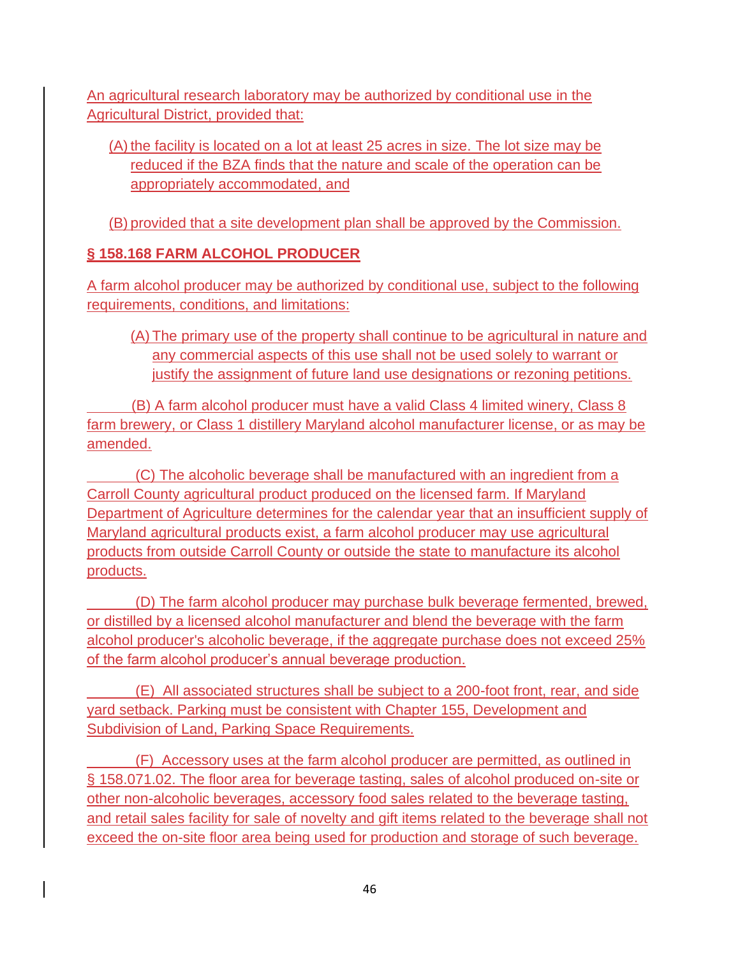An agricultural research laboratory may be authorized by conditional use in the Agricultural District, provided that:

# (A) the facility is located on a lot at least 25 acres in size. The lot size may be reduced if the BZA finds that the nature and scale of the operation can be appropriately accommodated, and

(B) provided that a site development plan shall be approved by the Commission.

# **§ 158.168 FARM ALCOHOL PRODUCER**

A farm alcohol producer may be authorized by conditional use, subject to the following requirements, conditions, and limitations:

(A) The primary use of the property shall continue to be agricultural in nature and any commercial aspects of this use shall not be used solely to warrant or justify the assignment of future land use designations or rezoning petitions.

 (B) A farm alcohol producer must have a valid Class 4 limited winery, Class 8 farm brewery, or Class 1 distillery Maryland alcohol manufacturer license, or as may be amended.

 (C) The alcoholic beverage shall be manufactured with an ingredient from a Carroll County agricultural product produced on the licensed farm. If Maryland Department of Agriculture determines for the calendar year that an insufficient supply of Maryland agricultural products exist, a farm alcohol producer may use agricultural products from outside Carroll County or outside the state to manufacture its alcohol products.

 (D) The farm alcohol producer may purchase bulk beverage fermented, brewed, or distilled by a licensed alcohol manufacturer and blend the beverage with the farm alcohol producer's alcoholic beverage, if the aggregate purchase does not exceed 25% of the farm alcohol producer's annual beverage production.

 (E) All associated structures shall be subject to a 200-foot front, rear, and side yard setback. Parking must be consistent with Chapter 155, Development and Subdivision of Land, Parking Space Requirements.

 (F) Accessory uses at the farm alcohol producer are permitted, as outlined in § 158.071.02. The floor area for beverage tasting, sales of alcohol produced on-site or other non-alcoholic beverages, accessory food sales related to the beverage tasting, and retail sales facility for sale of novelty and gift items related to the beverage shall not exceed the on-site floor area being used for production and storage of such beverage.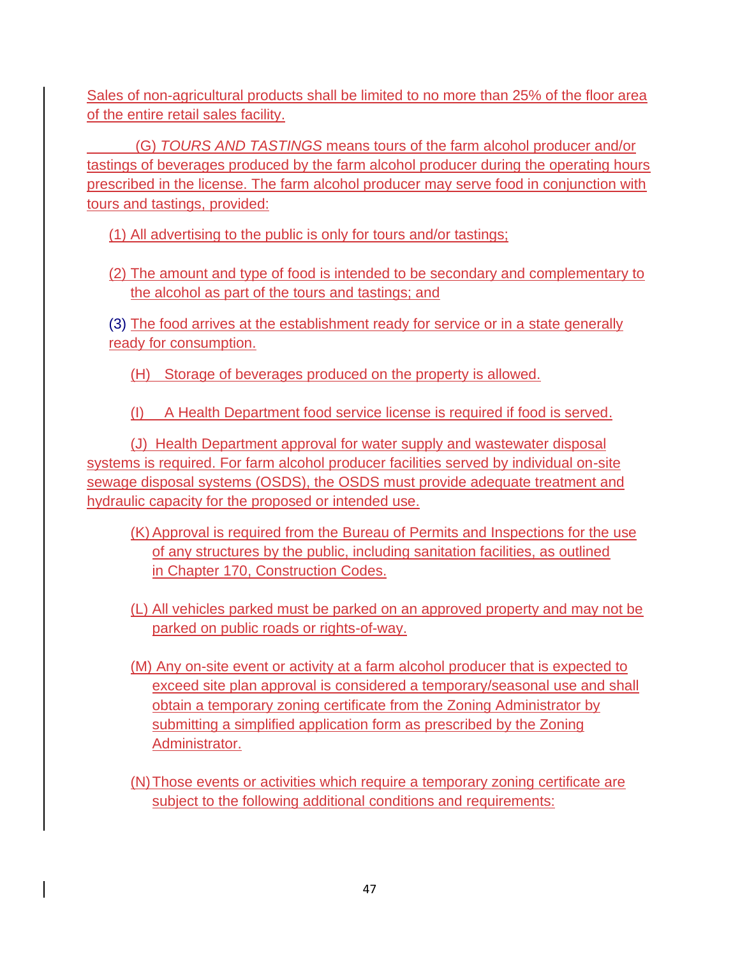Sales of non-agricultural products shall be limited to no more than 25% of the floor area of the entire retail sales facility.

 (G) *TOURS AND TASTINGS* means tours of the farm alcohol producer and/or tastings of beverages produced by the farm alcohol producer during the operating hours prescribed in the license. The farm alcohol producer may serve food in conjunction with tours and tastings, provided:

(1) All advertising to the public is only for tours and/or tastings;

(2) The amount and type of food is intended to be secondary and complementary to the alcohol as part of the tours and tastings; and

(3) The food arrives at the establishment ready for service or in a state generally ready for consumption.

(H) Storage of beverages produced on the property is allowed.

(I) A Health Department food service license is required if food is served.

(J) Health Department approval for water supply and wastewater disposal systems is required. For farm alcohol producer facilities served by individual on-site sewage disposal systems (OSDS), the OSDS must provide adequate treatment and hydraulic capacity for the proposed or intended use.

- (K) Approval is required from the Bureau of Permits and Inspections for the use of any structures by the public, including sanitation facilities, as outlined in [Chapter 170,](https://codelibrary.amlegal.com/codes/carrollcounty/latest/carrollcounty_md/0-0-0-25545#JD_Chapter170) Construction Codes.
- (L) All vehicles parked must be parked on an approved property and may not be parked on public roads or rights-of-way.
- (M) Any on-site event or activity at a farm alcohol producer that is expected to exceed site plan approval is considered a temporary/seasonal use and shall obtain a temporary zoning certificate from the Zoning Administrator by submitting a simplified application form as prescribed by the Zoning Administrator.
- (N)Those events or activities which require a temporary zoning certificate are subject to the following additional conditions and requirements: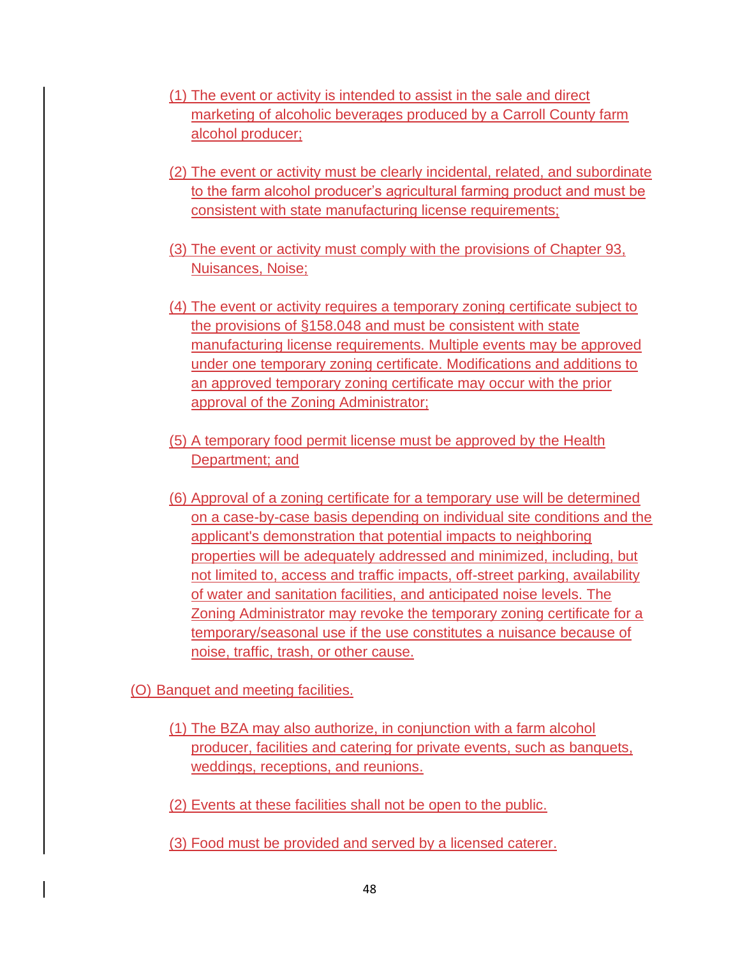- (1) The event or activity is intended to assist in the sale and direct marketing of alcoholic beverages produced by a Carroll County farm alcohol producer;
- (2) The event or activity must be clearly incidental, related, and subordinate to the farm alcohol producer's agricultural farming product and must be consistent with state manufacturing license requirements;
- (3) The event or activity must comply with the provisions of [Chapter 93,](https://codelibrary.amlegal.com/codes/carrollcounty/latest/carrollcounty_md/0-0-0-19328#JD_Chapter93) Nuisances, Noise;
- (4) The event or activity requires a temporary zoning certificate subject to the provisions of [§158.048](https://codelibrary.amlegal.com/codes/carrollcounty/latest/carrollcounty_md/0-0-0-27922#JD_158.048) and must be consistent with state manufacturing license requirements. Multiple events may be approved under one temporary zoning certificate. Modifications and additions to an approved temporary zoning certificate may occur with the prior approval of the Zoning Administrator;
- (5) A temporary food permit license must be approved by the Health Department; and
- (6) Approval of a zoning certificate for a temporary use will be determined on a case-by-case basis depending on individual site conditions and the applicant's demonstration that potential impacts to neighboring properties will be adequately addressed and minimized, including, but not limited to, access and traffic impacts, off-street parking, availability of water and sanitation facilities, and anticipated noise levels. The Zoning Administrator may revoke the temporary zoning certificate for a temporary/seasonal use if the use constitutes a nuisance because of noise, traffic, trash, or other cause.

(O) Banquet and meeting facilities.

- (1) The BZA may also authorize, in conjunction with a farm alcohol producer, facilities and catering for private events, such as banquets, weddings, receptions, and reunions.
- (2) Events at these facilities shall not be open to the public.
- (3) Food must be provided and served by a licensed caterer.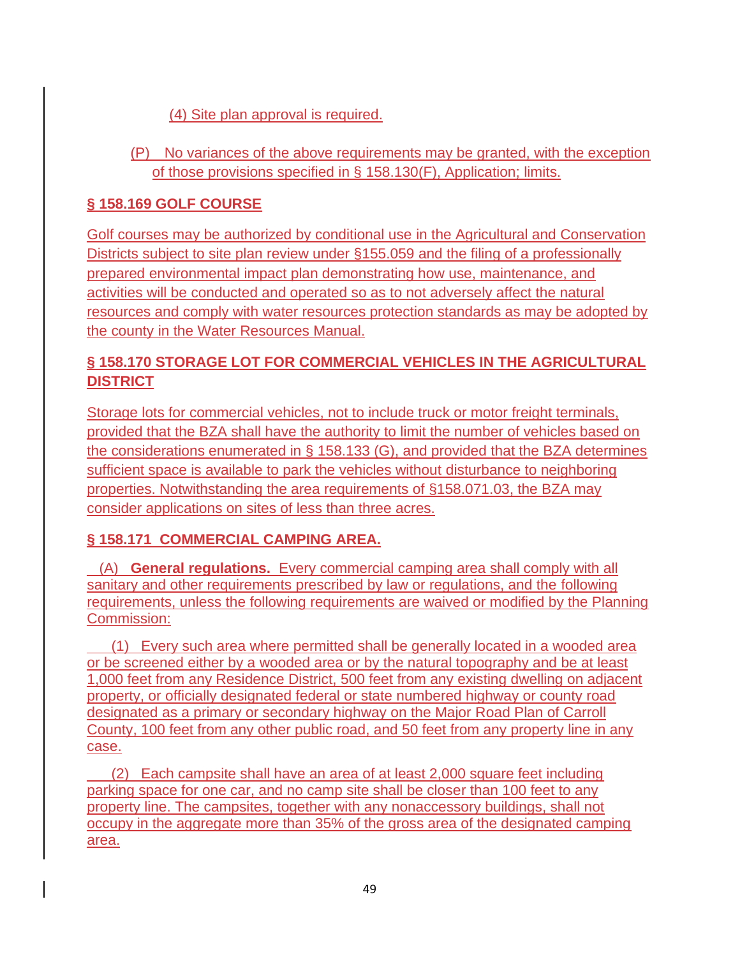## (4) Site plan approval is required.

(P) No variances of the above requirements may be granted, with the exception of those provisions specified in § [158.130\(](https://codelibrary.amlegal.com/codes/carrollcounty/latest/carrollcounty_md/0-0-0-28958#JD_158.130)F), Application; limits.

## **§ 158.169 GOLF COURSE**

Golf courses may be authorized by conditional use in the Agricultural and Conservation Districts subject to site plan review under [§155.059](https://codelibrary.amlegal.com/codes/carrollcounty/latest/carrollcounty_md/0-0-0-22554#JD_155.059) and the filing of a professionally prepared environmental impact plan demonstrating how use, maintenance, and activities will be conducted and operated so as to not adversely affect the natural resources and comply with water resources protection standards as may be adopted by the county in the Water Resources Manual.

# **§ 158.170 STORAGE LOT FOR COMMERCIAL VEHICLES IN THE AGRICULTURAL DISTRICT**

Storage lots for commercial vehicles, not to include truck or motor freight terminals, provided that the BZA shall have the authority to limit the number of vehicles based on the considerations enumerated in § 158.133 (G), and provided that the BZA determines sufficient space is available to park the vehicles without disturbance to neighboring properties. Notwithstanding the area requirements of §158.071.03, the BZA may consider applications on sites of less than three acres.

### **§ 158.171 COMMERCIAL CAMPING AREA.**

 (A) **General regulations.** Every commercial camping area shall comply with all sanitary and other requirements prescribed by law or regulations, and the following requirements, unless the following requirements are waived or modified by the Planning Commission:

 (1) Every such area where permitted shall be generally located in a wooded area or be screened either by a wooded area or by the natural topography and be at least 1,000 feet from any Residence District, 500 feet from any existing dwelling on adjacent property, or officially designated federal or state numbered highway or county road designated as a primary or secondary highway on the Major Road Plan of Carroll County, 100 feet from any other public road, and 50 feet from any property line in any case.

 (2) Each campsite shall have an area of at least 2,000 square feet including parking space for one car, and no camp site shall be closer than 100 feet to any property line. The campsites, together with any nonaccessory buildings, shall not occupy in the aggregate more than 35% of the gross area of the designated camping area.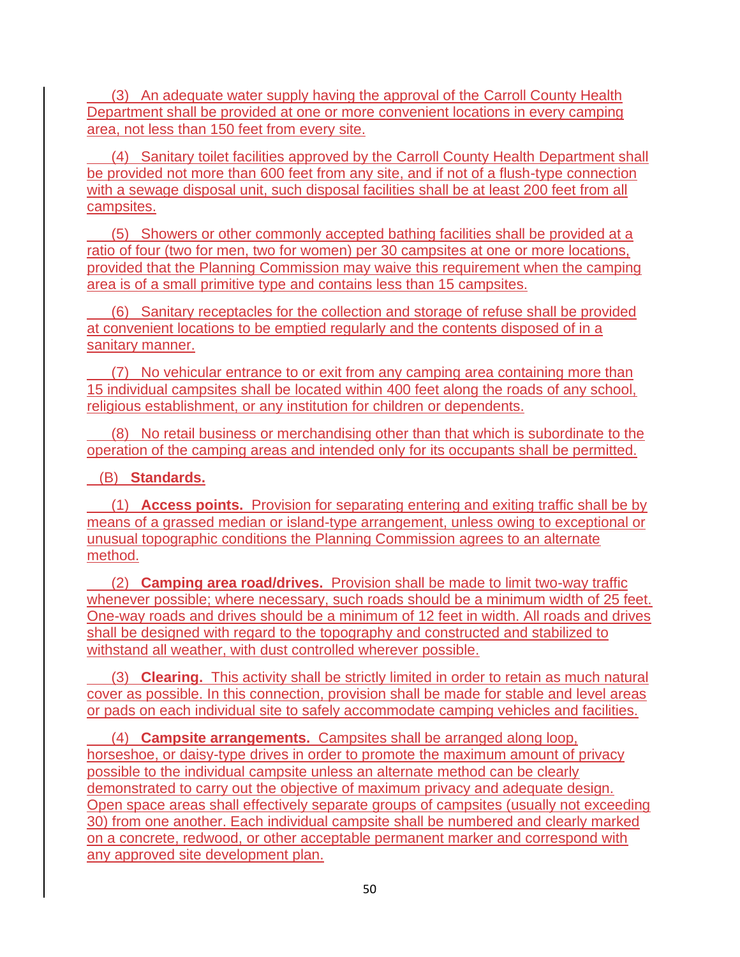(3) An adequate water supply having the approval of the Carroll County Health Department shall be provided at one or more convenient locations in every camping area, not less than 150 feet from every site.

 (4) Sanitary toilet facilities approved by the Carroll County Health Department shall be provided not more than 600 feet from any site, and if not of a flush-type connection with a sewage disposal unit, such disposal facilities shall be at least 200 feet from all campsites.

 (5) Showers or other commonly accepted bathing facilities shall be provided at a ratio of four (two for men, two for women) per 30 campsites at one or more locations, provided that the Planning Commission may waive this requirement when the camping area is of a small primitive type and contains less than 15 campsites.

 (6) Sanitary receptacles for the collection and storage of refuse shall be provided at convenient locations to be emptied regularly and the contents disposed of in a sanitary manner.

 (7) No vehicular entrance to or exit from any camping area containing more than 15 individual campsites shall be located within 400 feet along the roads of any school, religious establishment, or any institution for children or dependents.

 (8) No retail business or merchandising other than that which is subordinate to the operation of the camping areas and intended only for its occupants shall be permitted.

### (B) **Standards.**

 (1) **Access points.** Provision for separating entering and exiting traffic shall be by means of a grassed median or island-type arrangement, unless owing to exceptional or unusual topographic conditions the Planning Commission agrees to an alternate method.

 (2) **Camping area road/drives.** Provision shall be made to limit two-way traffic whenever possible; where necessary, such roads should be a minimum width of 25 feet. One-way roads and drives should be a minimum of 12 feet in width. All roads and drives shall be designed with regard to the topography and constructed and stabilized to withstand all weather, with dust controlled wherever possible.

 (3) **Clearing.** This activity shall be strictly limited in order to retain as much natural cover as possible. In this connection, provision shall be made for stable and level areas or pads on each individual site to safely accommodate camping vehicles and facilities.

 (4) **Campsite arrangements.** Campsites shall be arranged along loop, horseshoe, or daisy-type drives in order to promote the maximum amount of privacy possible to the individual campsite unless an alternate method can be clearly demonstrated to carry out the objective of maximum privacy and adequate design. Open space areas shall effectively separate groups of campsites (usually not exceeding 30) from one another. Each individual campsite shall be numbered and clearly marked on a concrete, redwood, or other acceptable permanent marker and correspond with any approved site development plan.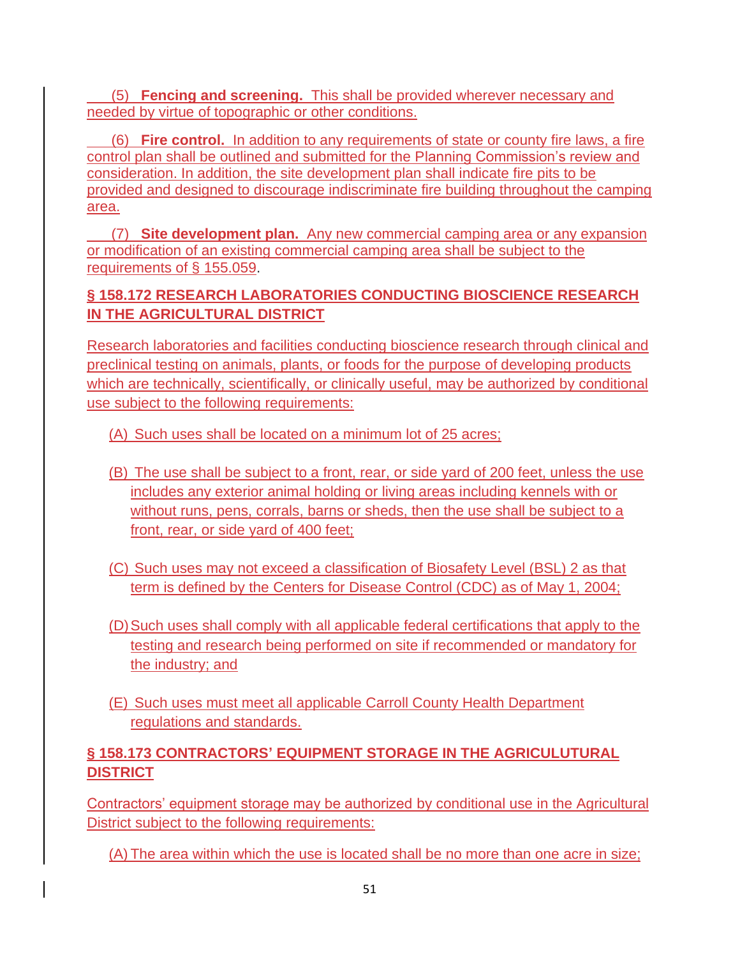(5) **Fencing and screening.** This shall be provided wherever necessary and needed by virtue of topographic or other conditions.

 (6) **Fire control.** In addition to any requirements of state or county fire laws, a fire control plan shall be outlined and submitted for the Planning Commission's review and consideration. In addition, the site development plan shall indicate fire pits to be provided and designed to discourage indiscriminate fire building throughout the camping area.

 (7) **Site development plan.** Any new commercial camping area or any expansion or modification of an existing commercial camping area shall be subject to the requirements of § [155.059.](https://codelibrary.amlegal.com/codes/carrollcounty/latest/carrollcounty_md/0-0-0-22554#JD_155.059)

# **§ 158.172 RESEARCH LABORATORIES CONDUCTING BIOSCIENCE RESEARCH IN THE AGRICULTURAL DISTRICT**

Research laboratories and facilities conducting bioscience research through clinical and preclinical testing on animals, plants, or foods for the purpose of developing products which are technically, scientifically, or clinically useful, may be authorized by conditional use subject to the following requirements:

- (A) Such uses shall be located on a minimum lot of 25 acres;
- (B) The use shall be subject to a front, rear, or side yard of 200 feet, unless the use includes any exterior animal holding or living areas including kennels with or without runs, pens, corrals, barns or sheds, then the use shall be subject to a front, rear, or side yard of 400 feet;
- (C) Such uses may not exceed a classification of Biosafety Level (BSL) 2 as that term is defined by the Centers for Disease Control (CDC) as of May 1, 2004;
- (D)Such uses shall comply with all applicable federal certifications that apply to the testing and research being performed on site if recommended or mandatory for the industry; and
- (E) Such uses must meet all applicable Carroll County Health Department regulations and standards.

# **§ 158.173 CONTRACTORS' EQUIPMENT STORAGE IN THE AGRICULUTURAL DISTRICT**

Contractors' equipment storage may be authorized by conditional use in the Agricultural District subject to the following requirements:

(A) The area within which the use is located shall be no more than one acre in size;